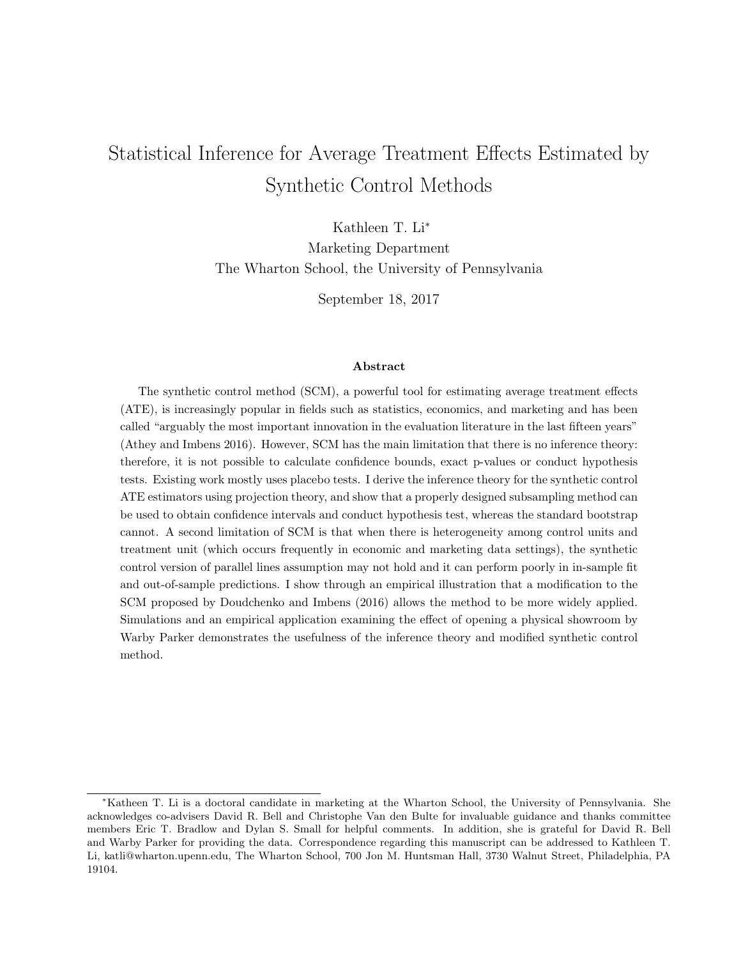# Statistical Inference for Average Treatment Effects Estimated by Synthetic Control Methods

Kathleen T. Li<sup>∗</sup>

Marketing Department The Wharton School, the University of Pennsylvania

September 18, 2017

#### Abstract

The synthetic control method (SCM), a powerful tool for estimating average treatment effects (ATE), is increasingly popular in fields such as statistics, economics, and marketing and has been called "arguably the most important innovation in the evaluation literature in the last fifteen years" (Athey and Imbens 2016). However, SCM has the main limitation that there is no inference theory: therefore, it is not possible to calculate confidence bounds, exact p-values or conduct hypothesis tests. Existing work mostly uses placebo tests. I derive the inference theory for the synthetic control ATE estimators using projection theory, and show that a properly designed subsampling method can be used to obtain confidence intervals and conduct hypothesis test, whereas the standard bootstrap cannot. A second limitation of SCM is that when there is heterogeneity among control units and treatment unit (which occurs frequently in economic and marketing data settings), the synthetic control version of parallel lines assumption may not hold and it can perform poorly in in-sample fit and out-of-sample predictions. I show through an empirical illustration that a modification to the SCM proposed by Doudchenko and Imbens (2016) allows the method to be more widely applied. Simulations and an empirical application examining the effect of opening a physical showroom by Warby Parker demonstrates the usefulness of the inference theory and modified synthetic control method.

<sup>∗</sup>Katheen T. Li is a doctoral candidate in marketing at the Wharton School, the University of Pennsylvania. She acknowledges co-advisers David R. Bell and Christophe Van den Bulte for invaluable guidance and thanks committee members Eric T. Bradlow and Dylan S. Small for helpful comments. In addition, she is grateful for David R. Bell and Warby Parker for providing the data. Correspondence regarding this manuscript can be addressed to Kathleen T. Li, katli@wharton.upenn.edu, The Wharton School, 700 Jon M. Huntsman Hall, 3730 Walnut Street, Philadelphia, PA 19104.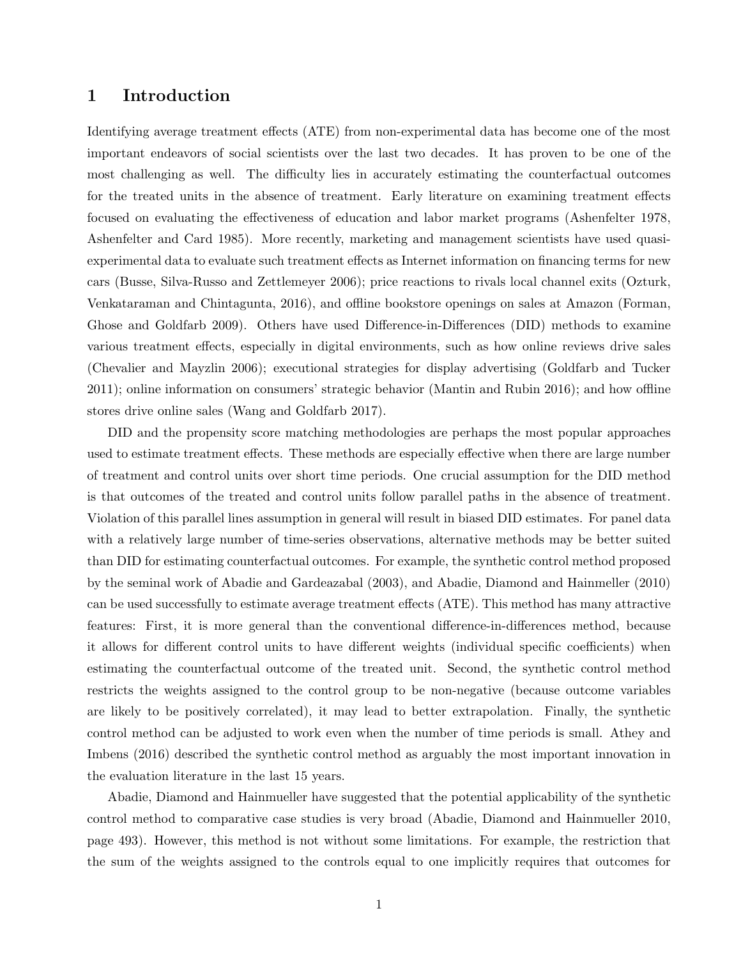## 1 Introduction

Identifying average treatment effects (ATE) from non-experimental data has become one of the most important endeavors of social scientists over the last two decades. It has proven to be one of the most challenging as well. The difficulty lies in accurately estimating the counterfactual outcomes for the treated units in the absence of treatment. Early literature on examining treatment effects focused on evaluating the effectiveness of education and labor market programs (Ashenfelter 1978, Ashenfelter and Card 1985). More recently, marketing and management scientists have used quasiexperimental data to evaluate such treatment effects as Internet information on financing terms for new cars (Busse, Silva-Russo and Zettlemeyer 2006); price reactions to rivals local channel exits (Ozturk, Venkataraman and Chintagunta, 2016), and offline bookstore openings on sales at Amazon (Forman, Ghose and Goldfarb 2009). Others have used Difference-in-Differences (DID) methods to examine various treatment effects, especially in digital environments, such as how online reviews drive sales (Chevalier and Mayzlin 2006); executional strategies for display advertising (Goldfarb and Tucker 2011); online information on consumers' strategic behavior (Mantin and Rubin 2016); and how offline stores drive online sales (Wang and Goldfarb 2017).

DID and the propensity score matching methodologies are perhaps the most popular approaches used to estimate treatment effects. These methods are especially effective when there are large number of treatment and control units over short time periods. One crucial assumption for the DID method is that outcomes of the treated and control units follow parallel paths in the absence of treatment. Violation of this parallel lines assumption in general will result in biased DID estimates. For panel data with a relatively large number of time-series observations, alternative methods may be better suited than DID for estimating counterfactual outcomes. For example, the synthetic control method proposed by the seminal work of Abadie and Gardeazabal (2003), and Abadie, Diamond and Hainmeller (2010) can be used successfully to estimate average treatment effects (ATE). This method has many attractive features: First, it is more general than the conventional difference-in-differences method, because it allows for different control units to have different weights (individual specific coefficients) when estimating the counterfactual outcome of the treated unit. Second, the synthetic control method restricts the weights assigned to the control group to be non-negative (because outcome variables are likely to be positively correlated), it may lead to better extrapolation. Finally, the synthetic control method can be adjusted to work even when the number of time periods is small. Athey and Imbens (2016) described the synthetic control method as arguably the most important innovation in the evaluation literature in the last 15 years.

Abadie, Diamond and Hainmueller have suggested that the potential applicability of the synthetic control method to comparative case studies is very broad (Abadie, Diamond and Hainmueller 2010, page 493). However, this method is not without some limitations. For example, the restriction that the sum of the weights assigned to the controls equal to one implicitly requires that outcomes for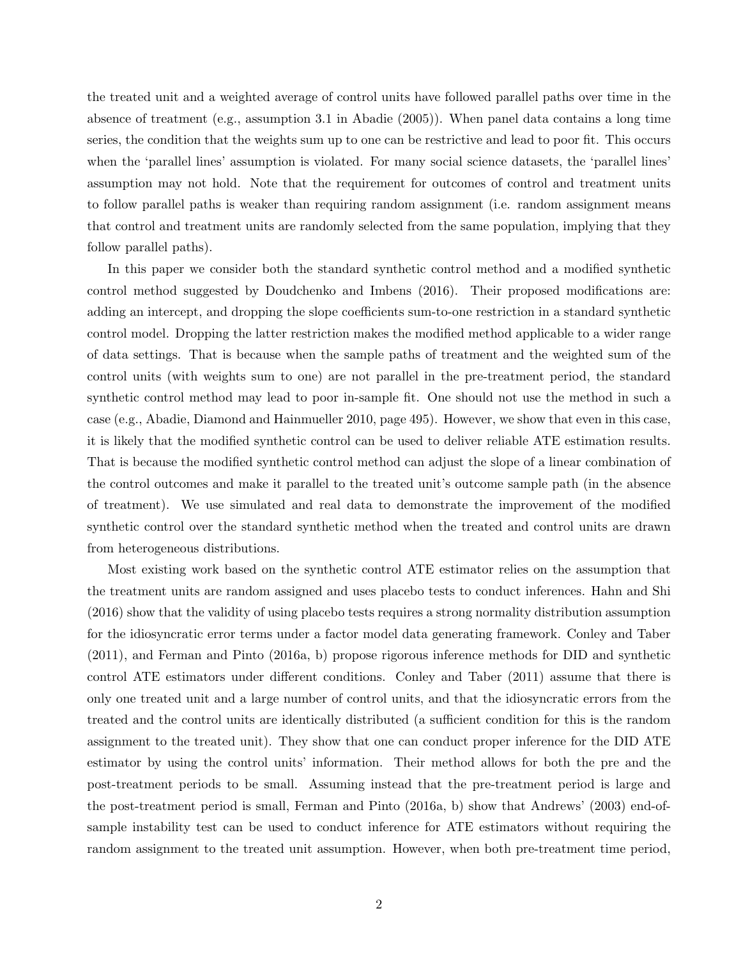the treated unit and a weighted average of control units have followed parallel paths over time in the absence of treatment (e.g., assumption 3.1 in Abadie (2005)). When panel data contains a long time series, the condition that the weights sum up to one can be restrictive and lead to poor fit. This occurs when the 'parallel lines' assumption is violated. For many social science datasets, the 'parallel lines' assumption may not hold. Note that the requirement for outcomes of control and treatment units to follow parallel paths is weaker than requiring random assignment (i.e. random assignment means that control and treatment units are randomly selected from the same population, implying that they follow parallel paths).

In this paper we consider both the standard synthetic control method and a modified synthetic control method suggested by Doudchenko and Imbens (2016). Their proposed modifications are: adding an intercept, and dropping the slope coefficients sum-to-one restriction in a standard synthetic control model. Dropping the latter restriction makes the modified method applicable to a wider range of data settings. That is because when the sample paths of treatment and the weighted sum of the control units (with weights sum to one) are not parallel in the pre-treatment period, the standard synthetic control method may lead to poor in-sample fit. One should not use the method in such a case (e.g., Abadie, Diamond and Hainmueller 2010, page 495). However, we show that even in this case, it is likely that the modified synthetic control can be used to deliver reliable ATE estimation results. That is because the modified synthetic control method can adjust the slope of a linear combination of the control outcomes and make it parallel to the treated unit's outcome sample path (in the absence of treatment). We use simulated and real data to demonstrate the improvement of the modified synthetic control over the standard synthetic method when the treated and control units are drawn from heterogeneous distributions.

Most existing work based on the synthetic control ATE estimator relies on the assumption that the treatment units are random assigned and uses placebo tests to conduct inferences. Hahn and Shi (2016) show that the validity of using placebo tests requires a strong normality distribution assumption for the idiosyncratic error terms under a factor model data generating framework. Conley and Taber (2011), and Ferman and Pinto (2016a, b) propose rigorous inference methods for DID and synthetic control ATE estimators under different conditions. Conley and Taber (2011) assume that there is only one treated unit and a large number of control units, and that the idiosyncratic errors from the treated and the control units are identically distributed (a sufficient condition for this is the random assignment to the treated unit). They show that one can conduct proper inference for the DID ATE estimator by using the control units' information. Their method allows for both the pre and the post-treatment periods to be small. Assuming instead that the pre-treatment period is large and the post-treatment period is small, Ferman and Pinto (2016a, b) show that Andrews' (2003) end-ofsample instability test can be used to conduct inference for ATE estimators without requiring the random assignment to the treated unit assumption. However, when both pre-treatment time period,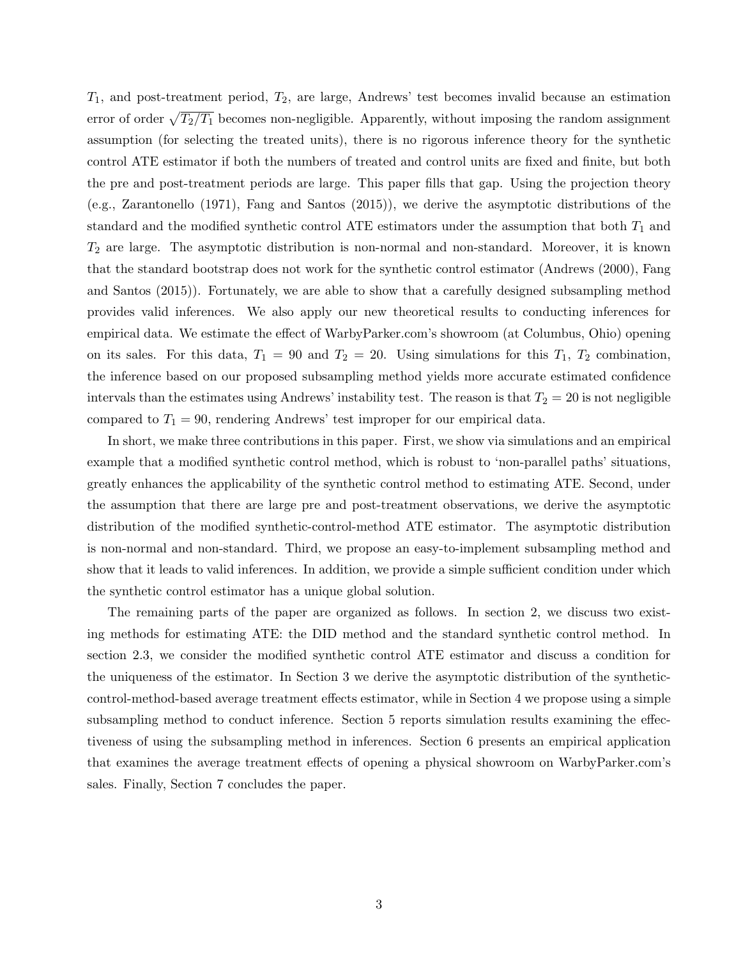$T_1$ , and post-treatment period,  $T_2$ , are large, Andrews' test becomes invalid because an estimation error of order  $\sqrt{T_2/T_1}$  becomes non-negligible. Apparently, without imposing the random assignment assumption (for selecting the treated units), there is no rigorous inference theory for the synthetic control ATE estimator if both the numbers of treated and control units are fixed and finite, but both the pre and post-treatment periods are large. This paper fills that gap. Using the projection theory (e.g., Zarantonello (1971), Fang and Santos (2015)), we derive the asymptotic distributions of the standard and the modified synthetic control ATE estimators under the assumption that both  $T_1$  and  $T_2$  are large. The asymptotic distribution is non-normal and non-standard. Moreover, it is known that the standard bootstrap does not work for the synthetic control estimator (Andrews (2000), Fang and Santos (2015)). Fortunately, we are able to show that a carefully designed subsampling method provides valid inferences. We also apply our new theoretical results to conducting inferences for empirical data. We estimate the effect of WarbyParker.com's showroom (at Columbus, Ohio) opening on its sales. For this data,  $T_1 = 90$  and  $T_2 = 20$ . Using simulations for this  $T_1$ ,  $T_2$  combination, the inference based on our proposed subsampling method yields more accurate estimated confidence intervals than the estimates using Andrews' instability test. The reason is that  $T_2 = 20$  is not negligible compared to  $T_1 = 90$ , rendering Andrews' test improper for our empirical data.

In short, we make three contributions in this paper. First, we show via simulations and an empirical example that a modified synthetic control method, which is robust to 'non-parallel paths' situations, greatly enhances the applicability of the synthetic control method to estimating ATE. Second, under the assumption that there are large pre and post-treatment observations, we derive the asymptotic distribution of the modified synthetic-control-method ATE estimator. The asymptotic distribution is non-normal and non-standard. Third, we propose an easy-to-implement subsampling method and show that it leads to valid inferences. In addition, we provide a simple sufficient condition under which the synthetic control estimator has a unique global solution.

The remaining parts of the paper are organized as follows. In section 2, we discuss two existing methods for estimating ATE: the DID method and the standard synthetic control method. In section 2.3, we consider the modified synthetic control ATE estimator and discuss a condition for the uniqueness of the estimator. In Section 3 we derive the asymptotic distribution of the syntheticcontrol-method-based average treatment effects estimator, while in Section 4 we propose using a simple subsampling method to conduct inference. Section 5 reports simulation results examining the effectiveness of using the subsampling method in inferences. Section 6 presents an empirical application that examines the average treatment effects of opening a physical showroom on WarbyParker.com's sales. Finally, Section 7 concludes the paper.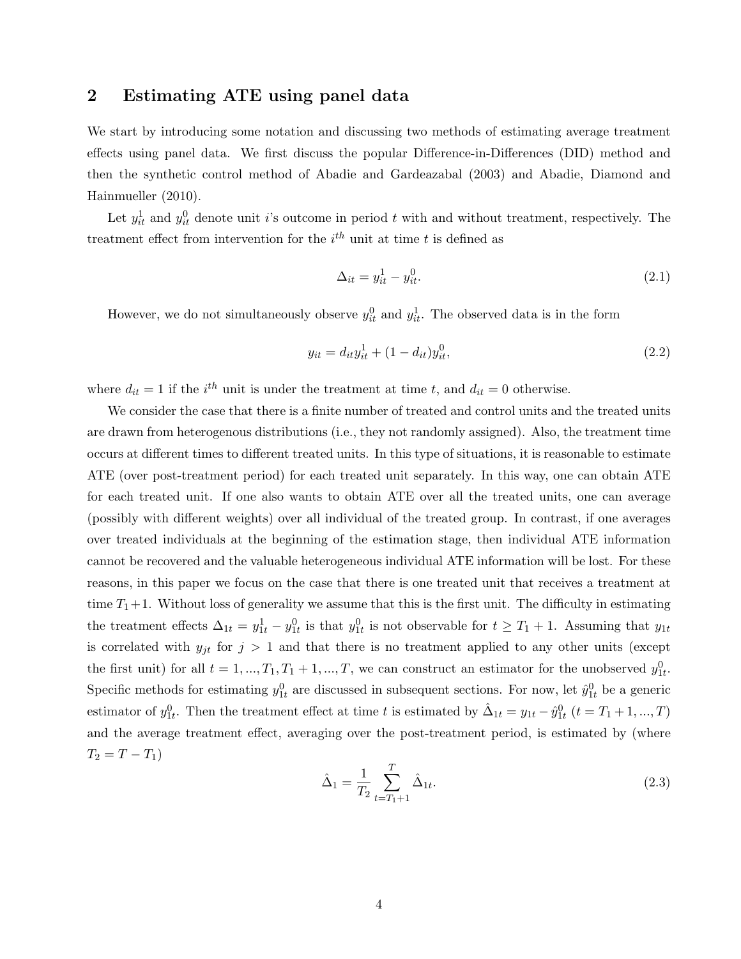## 2 Estimating ATE using panel data

We start by introducing some notation and discussing two methods of estimating average treatment effects using panel data. We first discuss the popular Difference-in-Differences (DID) method and then the synthetic control method of Abadie and Gardeazabal (2003) and Abadie, Diamond and Hainmueller (2010).

Let  $y_{it}^1$  and  $y_{it}^0$  denote unit i's outcome in period t with and without treatment, respectively. The treatment effect from intervention for the  $i^{th}$  unit at time t is defined as

$$
\Delta_{it} = y_{it}^1 - y_{it}^0. \tag{2.1}
$$

However, we do not simultaneously observe  $y_{it}^0$  and  $y_{it}^1$ . The observed data is in the form

$$
y_{it} = d_{it}y_{it}^1 + (1 - d_{it})y_{it}^0,
$$
\n(2.2)

where  $d_{it} = 1$  if the  $i^{th}$  unit is under the treatment at time t, and  $d_{it} = 0$  otherwise.

We consider the case that there is a finite number of treated and control units and the treated units are drawn from heterogenous distributions (i.e., they not randomly assigned). Also, the treatment time occurs at different times to different treated units. In this type of situations, it is reasonable to estimate ATE (over post-treatment period) for each treated unit separately. In this way, one can obtain ATE for each treated unit. If one also wants to obtain ATE over all the treated units, one can average (possibly with different weights) over all individual of the treated group. In contrast, if one averages over treated individuals at the beginning of the estimation stage, then individual ATE information cannot be recovered and the valuable heterogeneous individual ATE information will be lost. For these reasons, in this paper we focus on the case that there is one treated unit that receives a treatment at time  $T_1+1$ . Without loss of generality we assume that this is the first unit. The difficulty in estimating the treatment effects  $\Delta_{1t} = y_{1t}^1 - y_{1t}^0$  is that  $y_{1t}^0$  is not observable for  $t \geq T_1 + 1$ . Assuming that  $y_{1t}$ is correlated with  $y_{jt}$  for  $j > 1$  and that there is no treatment applied to any other units (except the first unit) for all  $t = 1, ..., T_1, T_1 + 1, ..., T$ , we can construct an estimator for the unobserved  $y_{1t}^0$ . Specific methods for estimating  $y_{1t}^0$  are discussed in subsequent sections. For now, let  $\hat{y}_{1t}^0$  be a generic estimator of  $y_{1t}^0$ . Then the treatment effect at time t is estimated by  $\hat{\Delta}_{1t} = y_{1t} - \hat{y}_{1t}^0$   $(t = T_1 + 1, ..., T)$ and the average treatment effect, averaging over the post-treatment period, is estimated by (where  $T_2 = T - T_1$ 

$$
\hat{\Delta}_1 = \frac{1}{T_2} \sum_{t=T_1+1}^T \hat{\Delta}_{1t}.
$$
\n(2.3)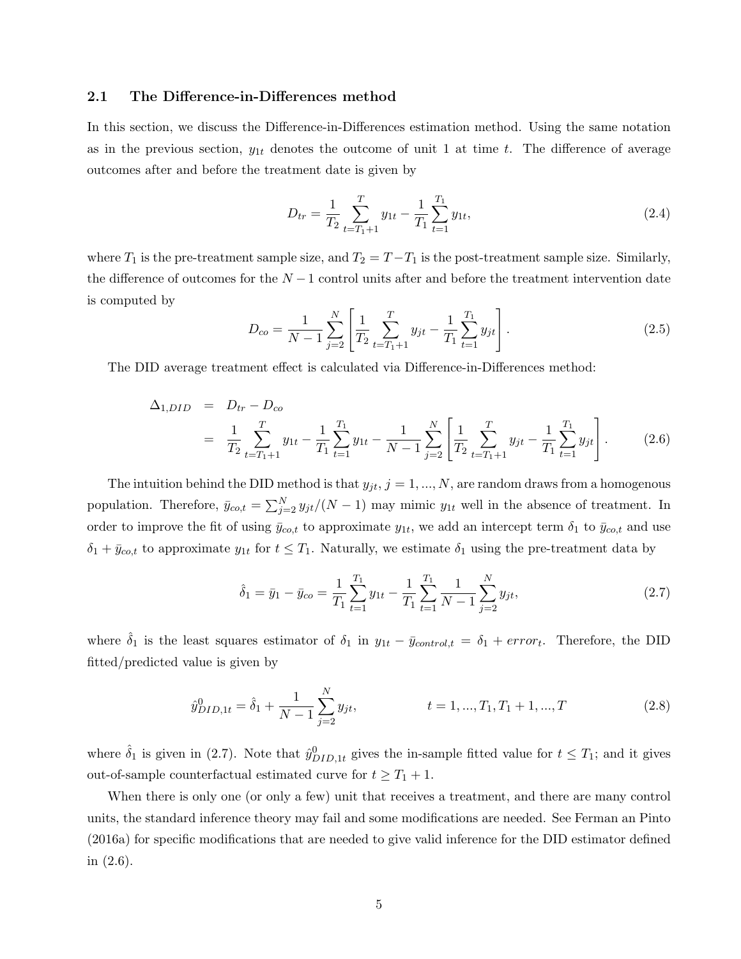#### 2.1 The Difference-in-Differences method

In this section, we discuss the Difference-in-Differences estimation method. Using the same notation as in the previous section,  $y_{1t}$  denotes the outcome of unit 1 at time t. The difference of average outcomes after and before the treatment date is given by

$$
D_{tr} = \frac{1}{T_2} \sum_{t=T_1+1}^{T} y_{1t} - \frac{1}{T_1} \sum_{t=1}^{T_1} y_{1t},
$$
\n(2.4)

where  $T_1$  is the pre-treatment sample size, and  $T_2 = T - T_1$  is the post-treatment sample size. Similarly, the difference of outcomes for the  $N-1$  control units after and before the treatment intervention date is computed by

$$
D_{co} = \frac{1}{N-1} \sum_{j=2}^{N} \left[ \frac{1}{T_2} \sum_{t=T_1+1}^{T} y_{jt} - \frac{1}{T_1} \sum_{t=1}^{T_1} y_{jt} \right].
$$
 (2.5)

The DID average treatment effect is calculated via Difference-in-Differences method:

$$
\Delta_{1,DID} = D_{tr} - D_{co}
$$
\n
$$
= \frac{1}{T_2} \sum_{t=T_1+1}^{T} y_{1t} - \frac{1}{T_1} \sum_{t=1}^{T_1} y_{1t} - \frac{1}{N-1} \sum_{j=2}^{N} \left[ \frac{1}{T_2} \sum_{t=T_1+1}^{T} y_{jt} - \frac{1}{T_1} \sum_{t=1}^{T_1} y_{jt} \right].
$$
\n(2.6)

The intuition behind the DID method is that  $y_{jt}$ ,  $j = 1, ..., N$ , are random draws from a homogenous population. Therefore,  $\bar{y}_{co,t} = \sum_{j=2}^{N} y_{jt}/(N-1)$  may mimic  $y_{1t}$  well in the absence of treatment. In order to improve the fit of using  $\bar{y}_{co,t}$  to approximate  $y_{1t}$ , we add an intercept term  $\delta_1$  to  $\bar{y}_{co,t}$  and use  $\delta_1 + \bar{y}_{\text{co},t}$  to approximate  $y_{1t}$  for  $t \leq T_1$ . Naturally, we estimate  $\delta_1$  using the pre-treatment data by

$$
\hat{\delta}_1 = \bar{y}_1 - \bar{y}_{co} = \frac{1}{T_1} \sum_{t=1}^{T_1} y_{1t} - \frac{1}{T_1} \sum_{t=1}^{T_1} \frac{1}{N-1} \sum_{j=2}^{N} y_{jt},\tag{2.7}
$$

where  $\hat{\delta}_1$  is the least squares estimator of  $\delta_1$  in  $y_{1t} - \bar{y}_{control,t} = \delta_1 + error_t$ . Therefore, the DID fitted/predicted value is given by

$$
\hat{y}_{DID,1t}^{0} = \hat{\delta}_{1} + \frac{1}{N-1} \sum_{j=2}^{N} y_{jt}, \qquad t = 1, ..., T_{1}, T_{1} + 1, ..., T
$$
\n(2.8)

where  $\hat{\delta}_1$  is given in (2.7). Note that  $\hat{y}_{DID,1t}^0$  gives the in-sample fitted value for  $t \leq T_1$ ; and it gives out-of-sample counterfactual estimated curve for  $t \geq T_1 + 1$ .

When there is only one (or only a few) unit that receives a treatment, and there are many control units, the standard inference theory may fail and some modifications are needed. See Ferman an Pinto (2016a) for specific modifications that are needed to give valid inference for the DID estimator defined in (2.6).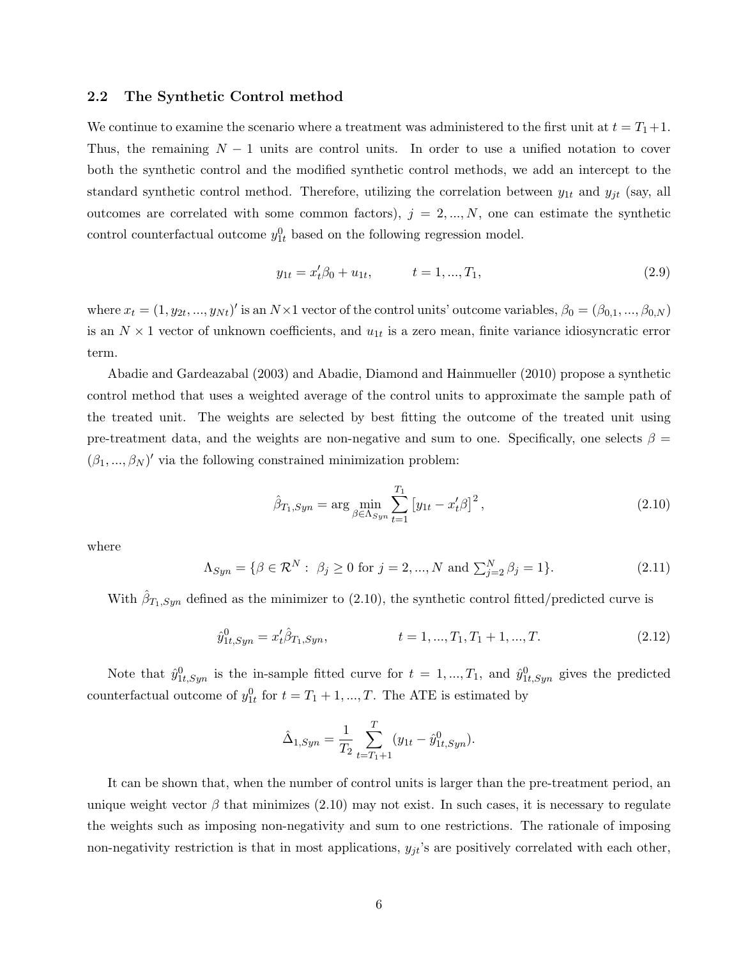#### 2.2 The Synthetic Control method

We continue to examine the scenario where a treatment was administered to the first unit at  $t = T_1 + 1$ . Thus, the remaining  $N-1$  units are control units. In order to use a unified notation to cover both the synthetic control and the modified synthetic control methods, we add an intercept to the standard synthetic control method. Therefore, utilizing the correlation between  $y_{1t}$  and  $y_{jt}$  (say, all outcomes are correlated with some common factors),  $j = 2, ..., N$ , one can estimate the synthetic control counterfactual outcome  $y_{1t}^0$  based on the following regression model.

$$
y_{1t} = x_t'\beta_0 + u_{1t}, \qquad t = 1, ..., T_1,
$$
\n(2.9)

where  $x_t = (1, y_{2t}, ..., y_{Nt})'$  is an  $N \times 1$  vector of the control units' outcome variables,  $\beta_0 = (\beta_{0,1}, ..., \beta_{0,N})$ is an  $N \times 1$  vector of unknown coefficients, and  $u_{1t}$  is a zero mean, finite variance idiosyncratic error term.

Abadie and Gardeazabal (2003) and Abadie, Diamond and Hainmueller (2010) propose a synthetic control method that uses a weighted average of the control units to approximate the sample path of the treated unit. The weights are selected by best fitting the outcome of the treated unit using pre-treatment data, and the weights are non-negative and sum to one. Specifically, one selects  $\beta =$  $(\beta_1, ..., \beta_N)'$  via the following constrained minimization problem:

$$
\hat{\beta}_{T_1, Sym} = \arg \min_{\beta \in \Lambda_{Syn}} \sum_{t=1}^{T_1} \left[ y_{1t} - x_t' \beta \right]^2, \tag{2.10}
$$

where

$$
\Lambda_{Syn} = \{ \beta \in \mathcal{R}^N : \ \beta_j \ge 0 \text{ for } j = 2, ..., N \text{ and } \sum_{j=2}^N \beta_j = 1 \}. \tag{2.11}
$$

With  $\hat{\beta}_{T_1, Sym}$  defined as the minimizer to (2.10), the synthetic control fitted/predicted curve is

$$
\hat{y}_{1t,Syn}^0 = x_t'\hat{\beta}_{T_1,Syn}, \qquad t = 1, ..., T_1, T_1 + 1, ..., T.
$$
\n(2.12)

Note that  $\hat{y}_{1t,Syn}^0$  is the in-sample fitted curve for  $t = 1, ..., T_1$ , and  $\hat{y}_{1t,Syn}^0$  gives the predicted counterfactual outcome of  $y_{1t}^0$  for  $t = T_1 + 1, ..., T$ . The ATE is estimated by

$$
\hat{\Delta}_{1,Syn} = \frac{1}{T_2} \sum_{t=T_1+1}^{T} (y_{1t} - \hat{y}_{1t,Syn}^0).
$$

It can be shown that, when the number of control units is larger than the pre-treatment period, an unique weight vector  $\beta$  that minimizes (2.10) may not exist. In such cases, it is necessary to regulate the weights such as imposing non-negativity and sum to one restrictions. The rationale of imposing non-negativity restriction is that in most applications,  $y_{jt}$ 's are positively correlated with each other,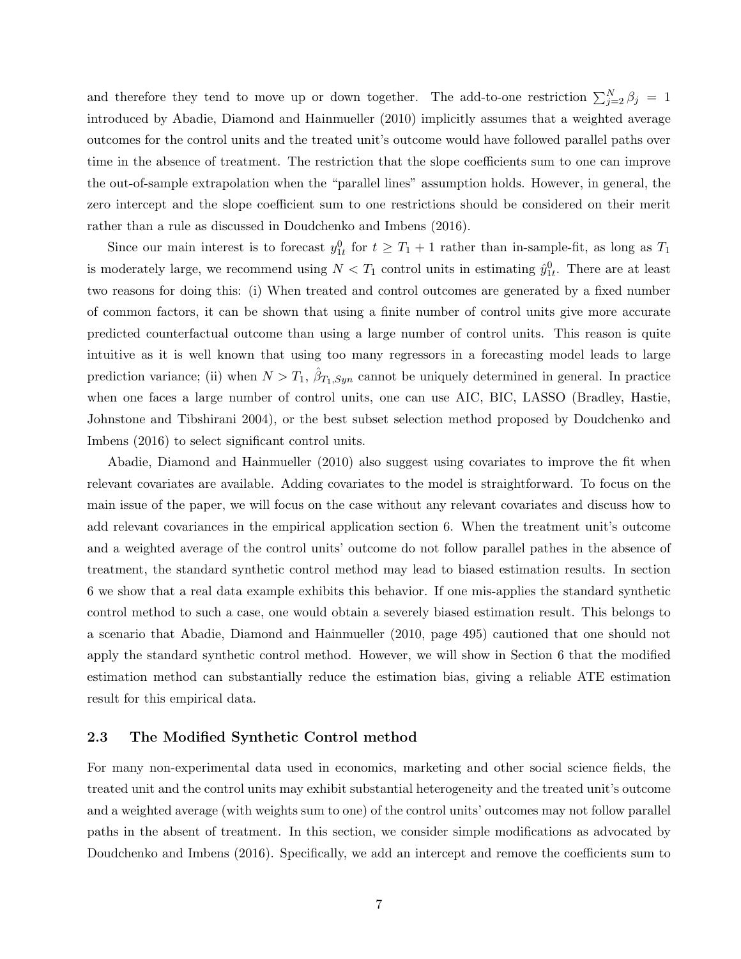and therefore they tend to move up or down together. The add-to-one restriction  $\sum_{j=2}^{N} \beta_j = 1$ introduced by Abadie, Diamond and Hainmueller (2010) implicitly assumes that a weighted average outcomes for the control units and the treated unit's outcome would have followed parallel paths over time in the absence of treatment. The restriction that the slope coefficients sum to one can improve the out-of-sample extrapolation when the "parallel lines" assumption holds. However, in general, the zero intercept and the slope coefficient sum to one restrictions should be considered on their merit rather than a rule as discussed in Doudchenko and Imbens (2016).

Since our main interest is to forecast  $y_{1t}^0$  for  $t \geq T_1 + 1$  rather than in-sample-fit, as long as  $T_1$ is moderately large, we recommend using  $N < T_1$  control units in estimating  $\hat{y}_{1t}^0$ . There are at least two reasons for doing this: (i) When treated and control outcomes are generated by a fixed number of common factors, it can be shown that using a finite number of control units give more accurate predicted counterfactual outcome than using a large number of control units. This reason is quite intuitive as it is well known that using too many regressors in a forecasting model leads to large prediction variance; (ii) when  $N > T_1$ ,  $\hat{\beta}_{T_1, Sym}$  cannot be uniquely determined in general. In practice when one faces a large number of control units, one can use AIC, BIC, LASSO (Bradley, Hastie, Johnstone and Tibshirani 2004), or the best subset selection method proposed by Doudchenko and Imbens (2016) to select significant control units.

Abadie, Diamond and Hainmueller (2010) also suggest using covariates to improve the fit when relevant covariates are available. Adding covariates to the model is straightforward. To focus on the main issue of the paper, we will focus on the case without any relevant covariates and discuss how to add relevant covariances in the empirical application section 6. When the treatment unit's outcome and a weighted average of the control units' outcome do not follow parallel pathes in the absence of treatment, the standard synthetic control method may lead to biased estimation results. In section 6 we show that a real data example exhibits this behavior. If one mis-applies the standard synthetic control method to such a case, one would obtain a severely biased estimation result. This belongs to a scenario that Abadie, Diamond and Hainmueller (2010, page 495) cautioned that one should not apply the standard synthetic control method. However, we will show in Section 6 that the modified estimation method can substantially reduce the estimation bias, giving a reliable ATE estimation result for this empirical data.

#### 2.3 The Modified Synthetic Control method

For many non-experimental data used in economics, marketing and other social science fields, the treated unit and the control units may exhibit substantial heterogeneity and the treated unit's outcome and a weighted average (with weights sum to one) of the control units' outcomes may not follow parallel paths in the absent of treatment. In this section, we consider simple modifications as advocated by Doudchenko and Imbens (2016). Specifically, we add an intercept and remove the coefficients sum to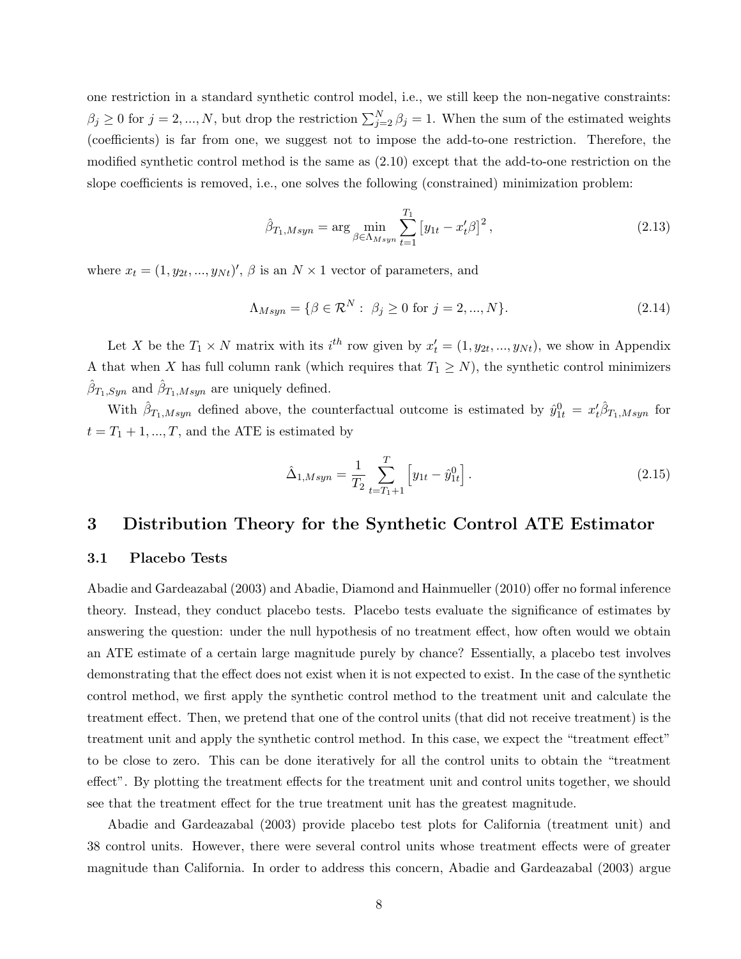one restriction in a standard synthetic control model, i.e., we still keep the non-negative constraints:  $\beta_j \geq 0$  for  $j = 2, ..., N$ , but drop the restriction  $\sum_{j=2}^{N} \beta_j = 1$ . When the sum of the estimated weights (coefficients) is far from one, we suggest not to impose the add-to-one restriction. Therefore, the modified synthetic control method is the same as (2.10) except that the add-to-one restriction on the slope coefficients is removed, i.e., one solves the following (constrained) minimization problem:

$$
\hat{\beta}_{T_1, Msyn} = \arg \min_{\beta \in \Lambda_{Msyn}} \sum_{t=1}^{T_1} \left[ y_{1t} - x_t^{\prime} \beta \right]^2,\tag{2.13}
$$

where  $x_t = (1, y_{2t}, ..., y_{Nt})'$ ,  $\beta$  is an  $N \times 1$  vector of parameters, and

$$
\Lambda_{Msyn} = \{ \beta \in \mathcal{R}^N : \ \beta_j \ge 0 \text{ for } j = 2, ..., N \}. \tag{2.14}
$$

Let X be the  $T_1 \times N$  matrix with its  $i^{th}$  row given by  $x'_t = (1, y_{2t}, ..., y_{Nt})$ , we show in Appendix A that when X has full column rank (which requires that  $T_1 \geq N$ ), the synthetic control minimizers  $\hat{\beta}_{T_1,Syn}$  and  $\hat{\beta}_{T_1, Msyn}$  are uniquely defined.

With  $\hat{\beta}_{T_1,Msyn}$  defined above, the counterfactual outcome is estimated by  $\hat{y}_{1t}^0 = x_t \hat{\beta}_{T_1,Msyn}$  for  $t = T_1 + 1, ..., T$ , and the ATE is estimated by

$$
\hat{\Delta}_{1,Msyn} = \frac{1}{T_2} \sum_{t=T_1+1}^{T} \left[ y_{1t} - \hat{y}_{1t}^0 \right].
$$
\n(2.15)

### 3 Distribution Theory for the Synthetic Control ATE Estimator

#### 3.1 Placebo Tests

Abadie and Gardeazabal (2003) and Abadie, Diamond and Hainmueller (2010) offer no formal inference theory. Instead, they conduct placebo tests. Placebo tests evaluate the significance of estimates by answering the question: under the null hypothesis of no treatment effect, how often would we obtain an ATE estimate of a certain large magnitude purely by chance? Essentially, a placebo test involves demonstrating that the effect does not exist when it is not expected to exist. In the case of the synthetic control method, we first apply the synthetic control method to the treatment unit and calculate the treatment effect. Then, we pretend that one of the control units (that did not receive treatment) is the treatment unit and apply the synthetic control method. In this case, we expect the "treatment effect" to be close to zero. This can be done iteratively for all the control units to obtain the "treatment effect". By plotting the treatment effects for the treatment unit and control units together, we should see that the treatment effect for the true treatment unit has the greatest magnitude.

Abadie and Gardeazabal (2003) provide placebo test plots for California (treatment unit) and 38 control units. However, there were several control units whose treatment effects were of greater magnitude than California. In order to address this concern, Abadie and Gardeazabal (2003) argue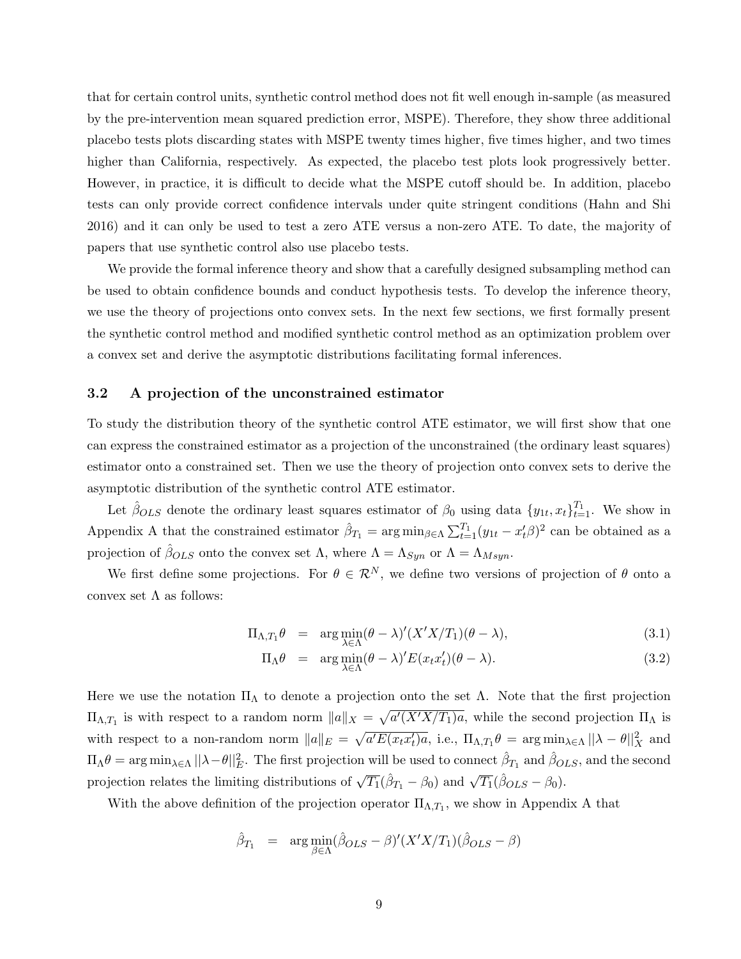that for certain control units, synthetic control method does not fit well enough in-sample (as measured by the pre-intervention mean squared prediction error, MSPE). Therefore, they show three additional placebo tests plots discarding states with MSPE twenty times higher, five times higher, and two times higher than California, respectively. As expected, the placebo test plots look progressively better. However, in practice, it is difficult to decide what the MSPE cutoff should be. In addition, placebo tests can only provide correct confidence intervals under quite stringent conditions (Hahn and Shi 2016) and it can only be used to test a zero ATE versus a non-zero ATE. To date, the majority of papers that use synthetic control also use placebo tests.

We provide the formal inference theory and show that a carefully designed subsampling method can be used to obtain confidence bounds and conduct hypothesis tests. To develop the inference theory, we use the theory of projections onto convex sets. In the next few sections, we first formally present the synthetic control method and modified synthetic control method as an optimization problem over a convex set and derive the asymptotic distributions facilitating formal inferences.

#### 3.2 A projection of the unconstrained estimator

To study the distribution theory of the synthetic control ATE estimator, we will first show that one can express the constrained estimator as a projection of the unconstrained (the ordinary least squares) estimator onto a constrained set. Then we use the theory of projection onto convex sets to derive the asymptotic distribution of the synthetic control ATE estimator.

Let  $\hat{\beta}_{OLS}$  denote the ordinary least squares estimator of  $\beta_0$  using data  $\{y_{1t}, x_t\}_{t=1}^{T_1}$ . We show in Appendix A that the constrained estimator  $\hat{\beta}_{T_1} = \arg \min_{\beta \in \Lambda} \sum_{t=1}^{T_1} (y_{1t} - x_t^{\prime} \beta)^2$  can be obtained as a projection of  $\hat{\beta}_{OLS}$  onto the convex set  $\Lambda$ , where  $\Lambda = \Lambda_{Sym}$  or  $\Lambda = \Lambda_{Msyn}$ .

We first define some projections. For  $\theta \in \mathcal{R}^N$ , we define two versions of projection of  $\theta$  onto a convex set  $\Lambda$  as follows:

$$
\Pi_{\Lambda, T_1} \theta = \arg \min_{\lambda \in \Lambda} (\theta - \lambda)' (X' X / T_1) (\theta - \lambda), \tag{3.1}
$$

$$
\Pi_{\Lambda}\theta = \arg\min_{\lambda \in \Lambda} (\theta - \lambda)' E(x_t x_t') (\theta - \lambda). \tag{3.2}
$$

Here we use the notation  $\Pi_{\Lambda}$  to denote a projection onto the set  $\Lambda$ . Note that the first projection  $\Pi_{\Lambda,T_1}$  is with respect to a random norm  $||a||_X = \sqrt{a'(X'X/T_1)a}$ , while the second projection  $\Pi_{\Lambda}$  is with respect to a non-random norm  $||a||_E = \sqrt{a'E(x_tx_t')a}$ , i.e.,  $\Pi_{\Lambda,T_1}\theta = \arg \min_{\lambda \in \Lambda} ||\lambda - \theta||_X^2$  and  $\Pi_\Lambda \theta = \arg \min_{\lambda \in \Lambda} ||\lambda - \theta||_E^2$ . The first projection will be used to connect  $\hat{\beta}_{T_1}$  and  $\hat{\beta}_{OLS}$ , and the second projection relates the limiting distributions of  $\sqrt{T_1}(\hat{\beta}_{T_1} - \beta_0)$  and  $\sqrt{T_1}(\hat{\beta}_{OLS} - \beta_0)$ .

With the above definition of the projection operator  $\Pi_{\Lambda,T_1}$ , we show in Appendix A that

$$
\hat{\beta}_{T_1} = \arg\min_{\beta \in \Lambda} (\hat{\beta}_{OLS} - \beta)'(X'X/T_1)(\hat{\beta}_{OLS} - \beta)
$$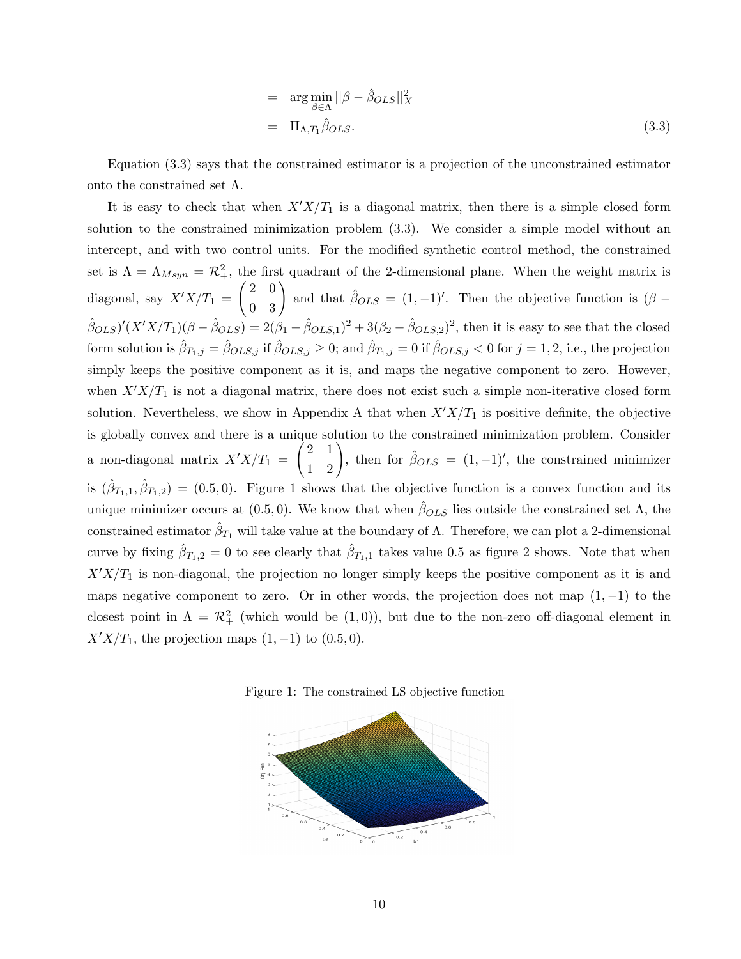$$
= \arg\min_{\beta \in \Lambda} ||\beta - \hat{\beta}_{OLS}||_{X}^{2}
$$

$$
= \Pi_{\Lambda, T_1} \hat{\beta}_{OLS}.
$$
(3.3)

Equation (3.3) says that the constrained estimator is a projection of the unconstrained estimator onto the constrained set Λ.

It is easy to check that when  $X'X/T_1$  is a diagonal matrix, then there is a simple closed form solution to the constrained minimization problem (3.3). We consider a simple model without an intercept, and with two control units. For the modified synthetic control method, the constrained set is  $\Lambda = \Lambda_{Msyn} = \mathcal{R}^2_+$ , the first quadrant of the 2-dimensional plane. When the weight matrix is diagonal, say  $X'X/T_1 = \begin{pmatrix} 2 & 0 \\ 0 & 3 \end{pmatrix}$  and that  $\hat{\beta}_{OLS} = (1, -1)'$ . Then the objective function is  $(\beta (\hat{\beta}_{OLS})'(X'X/T_1)(\beta - \hat{\beta}_{OLS}) = 2(\beta_1 - \hat{\beta}_{OLS,1})^2 + 3(\beta_2 - \hat{\beta}_{OLS,2})^2$ , then it is easy to see that the closed form solution is  $\hat{\beta}_{T_1,j} = \hat{\beta}_{OLS,j}$  if  $\hat{\beta}_{OLS,j} \geq 0$ ; and  $\hat{\beta}_{T_1,j} = 0$  if  $\hat{\beta}_{OLS,j} < 0$  for  $j = 1, 2$ , i.e., the projection simply keeps the positive component as it is, and maps the negative component to zero. However, when  $X'X/T_1$  is not a diagonal matrix, there does not exist such a simple non-iterative closed form solution. Nevertheless, we show in Appendix A that when  $X'X/T_1$  is positive definite, the objective is globally convex and there is a unique solution to the constrained minimization problem. Consider a non-diagonal matrix  $X'X/T_1 = \begin{pmatrix} 2 & 1 \\ 1 & 2 \end{pmatrix}$ , then for  $\hat{\beta}_{OLS} = (1, -1)'$ , the constrained minimizer is  $(\hat{\beta}_{T_1,1}, \hat{\beta}_{T_1,2}) = (0.5, 0)$ . Figure 1 shows that the objective function is a convex function and its unique minimizer occurs at  $(0.5, 0)$ . We know that when  $\beta_{OLS}$  lies outside the constrained set  $\Lambda$ , the constrained estimator  $\hat{\beta}_{T_1}$  will take value at the boundary of  $\Lambda$ . Therefore, we can plot a 2-dimensional curve by fixing  $\hat{\beta}_{T_1,2} = 0$  to see clearly that  $\hat{\beta}_{T_1,1}$  takes value 0.5 as figure 2 shows. Note that when  $X'X/T_1$  is non-diagonal, the projection no longer simply keeps the positive component as it is and maps negative component to zero. Or in other words, the projection does not map  $(1, -1)$  to the closest point in  $\Lambda = \mathcal{R}_+^2$  (which would be  $(1,0)$ ), but due to the non-zero off-diagonal element in  $X'X/T_1$ , the projection maps  $(1, -1)$  to  $(0.5, 0)$ .

Figure 1: The constrained LS objective function

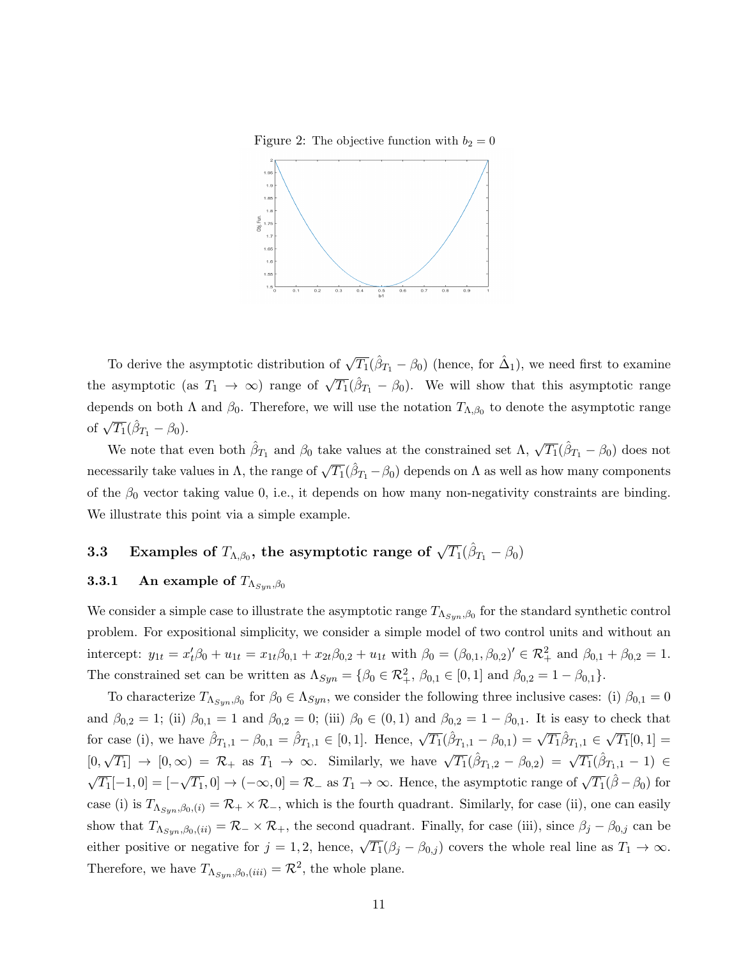Figure 2: The objective function with  $b_2 = 0$ 



To derive the asymptotic distribution of  $\sqrt{T_1}(\hat{\beta}_{T_1} - \beta_0)$  (hence, for  $\hat{\Delta}_1$ ), we need first to examine the asymptotic (as  $T_1 \rightarrow \infty$ ) range of  $\sqrt{T_1}(\hat{\beta}_{T_1} - \beta_0)$ . We will show that this asymptotic range depends on both  $\Lambda$  and  $\beta_0$ . Therefore, we will use the notation  $T_{\Lambda,\beta_0}$  to denote the asymptotic range of  $\sqrt{T_1}(\hat{\beta}_{T_1} - \beta_0)$ .

We note that even both  $\hat{\beta}_{T_1}$  and  $\beta_0$  take values at the constrained set  $\Lambda$ ,  $\sqrt{T_1}(\hat{\beta}_{T_1} - \beta_0)$  does not necessarily take values in  $\Lambda$ , the range of  $\sqrt{T_1}(\hat{\beta}_{T_1} - \beta_0)$  depends on  $\Lambda$  as well as how many components of the  $\beta_0$  vector taking value 0, i.e., it depends on how many non-negativity constraints are binding. We illustrate this point via a simple example.

# 3.3 Examples of  $T_{\Lambda,\beta_0},$  the asymptotic range of  $\sqrt{T_1}(\hat{\beta}_{T_1}-\beta_0)$

## **3.3.1** An example of  $T_{\Lambda_{Sun},\beta_0}$

We consider a simple case to illustrate the asymptotic range  $T_{\Lambda_{Syn},\beta_0}$  for the standard synthetic control problem. For expositional simplicity, we consider a simple model of two control units and without an intercept:  $y_{1t} = x'_t \beta_0 + u_{1t} = x_{1t} \beta_{0,1} + x_{2t} \beta_{0,2} + u_{1t}$  with  $\beta_0 = (\beta_{0,1}, \beta_{0,2})' \in \mathcal{R}_+^2$  and  $\beta_{0,1} + \beta_{0,2} = 1$ . The constrained set can be written as  $\Lambda_{Syn} = \{\beta_0 \in \mathcal{R}_+^2, \beta_{0,1} \in [0,1] \text{ and } \beta_{0,2} = 1 - \beta_{0,1}\}.$ 

To characterize  $T_{\Lambda_{syn},\beta_0}$  for  $\beta_0 \in \Lambda_{Syn}$ , we consider the following three inclusive cases: (i)  $\beta_{0,1} = 0$ and  $\beta_{0,2} = 1$ ; (ii)  $\beta_{0,1} = 1$  and  $\beta_{0,2} = 0$ ; (iii)  $\beta_0 \in (0,1)$  and  $\beta_{0,2} = 1 - \beta_{0,1}$ . It is easy to check that for case (i), we have  $\hat{\beta}_{T_1,1} - \beta_{0,1} = \hat{\beta}_{T_1,1} \in [0,1]$ . Hence,  $\sqrt{T_1}(\hat{\beta}_{T_1,1} - \beta_{0,1}) = \sqrt{T_1} \hat{\beta}_{T_1,1} \in$ √  $\overline{T_1}[0,1] =$ [0,  $\sqrt{T_1}$   $\to$   $[0, \infty)$  =  $\mathcal{R}_+$  as  $T_1 \to \infty$ . Similarly, we have  $\sqrt{T_1}(\hat{\beta}_{T_1,2} - \beta_{0,2}) = \sqrt{T_1}(\hat{\beta}_{T_1,1} - 1)$   $\in$ √  $\overline{T_1}[-1,0] = [ \sqrt{T_1}$ , 0]  $\rightarrow$   $(-\infty, 0] = \mathcal{R}_-$  as  $T_1 \rightarrow \infty$ . Hence, the asymptotic range of  $\sqrt{T_1}(\hat{\beta} - \beta_0)$  for case (i) is  $T_{\Lambda_{Syn},\beta_0,(i)} = \mathcal{R}_+ \times \mathcal{R}_-$ , which is the fourth quadrant. Similarly, for case (ii), one can easily show that  $T_{\Lambda_{Sun},\beta_0, (ii)} = \mathcal{R}_-\times\mathcal{R}_+$ , the second quadrant. Finally, for case (iii), since  $\beta_j - \beta_{0,j}$  can be either positive or negative for  $j = 1, 2$ , hence,  $\sqrt{T_1}(\beta_j - \beta_{0,j})$  covers the whole real line as  $T_1 \to \infty$ . Therefore, we have  $T_{\Lambda_{syn},\beta_0, (iii)} = \mathcal{R}^2$ , the whole plane.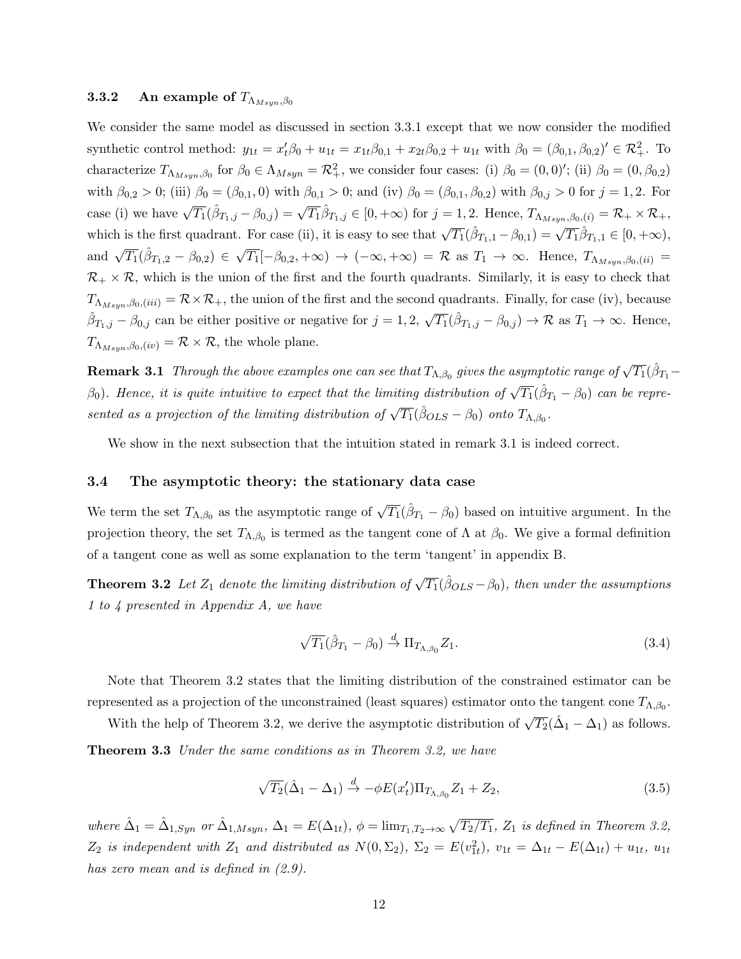#### **3.3.2** An example of  $T_{\Lambda_{Msum},\beta_0}$

We consider the same model as discussed in section 3.3.1 except that we now consider the modified synthetic control method:  $y_{1t} = x'_t \beta_0 + u_{1t} = x_{1t} \beta_{0,1} + x_{2t} \beta_{0,2} + u_{1t}$  with  $\beta_0 = (\beta_{0,1}, \beta_{0,2})' \in \mathcal{R}_+^2$ . To characterize  $T_{\Lambda_{Msyn},\beta_0}$  for  $\beta_0 \in \Lambda_{Msyn} = \mathcal{R}_+^2$ , we consider four cases: (i)  $\beta_0 = (0,0)'$ ; (ii)  $\beta_0 = (0,\beta_{0,2})$ with  $\beta_{0,2} > 0$ ; (iii)  $\beta_0 = (\beta_{0,1}, 0)$  with  $\beta_{0,1} > 0$ ; and (iv)  $\beta_0 = (\beta_{0,1}, \beta_{0,2})$  with  $\beta_{0,j} > 0$  for  $j = 1, 2$ . For case (i) we have  $\sqrt{T_1}(\hat{\beta}_{T_1,j} - \beta_{0,j}) = \sqrt{T_1}\hat{\beta}_{T_1,j} \in [0, +\infty)$  for  $j = 1, 2$ . Hence,  $T_{\Lambda_{Msyn},\beta_0,(i)} = \mathcal{R}_+ \times \mathcal{R}_+$ , which is the first quadrant. For case (ii), it is easy to see that  $\sqrt{T_1}(\hat{\beta}_{T_1,1} - \beta_{0,1}) = \sqrt{T_1}\hat{\beta}_{T_1,1} \in [0, +\infty)$ , and  $\sqrt{T_1}(\hat{\beta}_{T_1,2} - \beta_{0,2}) \in$ √  $\overline{T_1}[-\beta_{0,2}, +\infty) \rightarrow (-\infty, +\infty) = \mathcal{R} \text{ as } T_1 \rightarrow \infty. \text{ Hence, } T_{\Lambda_{Msyn},\beta_0, (ii)} =$  $\mathcal{R}_+ \times \mathcal{R}$ , which is the union of the first and the fourth quadrants. Similarly, it is easy to check that  $T_{\Lambda_{Msum},\beta_0, (iii)} = \mathcal{R} \times \mathcal{R}_+$ , the union of the first and the second quadrants. Finally, for case (iv), because  $\hat{\beta}_{T_1,j} - \beta_{0,j}$  can be either positive or negative for  $j = 1, 2, \sqrt{T_1}(\hat{\beta}_{T_1,j} - \beta_{0,j}) \to \mathcal{R}$  as  $T_1 \to \infty$ . Hence,  $T_{\Lambda_{Msum},\beta_0,(iv)} = \mathcal{R} \times \mathcal{R}$ , the whole plane.

**Remark 3.1** Through the above examples one can see that  $T_{\Lambda,\beta_0}$  gives the asymptotic range of  $\sqrt{T_1}(\hat{\beta}_{T_1} \beta_0$ ). Hence, it is quite intuitive to expect that the limiting distribution of  $\sqrt{T_1}(\hat{\beta}_{T_1} - \beta_0)$  can be represented as a projection of the limiting distribution of  $\sqrt{T_1}(\hat{\beta}_{OLS} - \beta_0)$  onto  $T_{\Lambda,\beta_0}$ .

We show in the next subsection that the intuition stated in remark 3.1 is indeed correct.

#### 3.4 The asymptotic theory: the stationary data case

We term the set  $T_{\Lambda,\beta_0}$  as the asymptotic range of  $\sqrt{T_1}(\hat{\beta}_{T_1} - \beta_0)$  based on intuitive argument. In the projection theory, the set  $T_{\Lambda,\beta_0}$  is termed as the tangent cone of  $\Lambda$  at  $\beta_0$ . We give a formal definition of a tangent cone as well as some explanation to the term 'tangent' in appendix B.

**Theorem 3.2** Let  $Z_1$  denote the limiting distribution of  $\sqrt{T_1}(\hat{\beta}_{OLS} - \beta_0)$ , then under the assumptions 1 to 4 presented in Appendix A, we have

$$
\sqrt{T_1}(\hat{\beta}_{T_1} - \beta_0) \stackrel{d}{\rightarrow} \Pi_{T_{\Lambda,\beta_0}} Z_1.
$$
\n(3.4)

Note that Theorem 3.2 states that the limiting distribution of the constrained estimator can be represented as a projection of the unconstrained (least squares) estimator onto the tangent cone  $T_{\Lambda,\beta_0}$ .

With the help of Theorem 3.2, we derive the asymptotic distribution of  $\sqrt{T_2}(\hat{\Delta}_1 - \Delta_1)$  as follows.

**Theorem 3.3** Under the same conditions as in Theorem 3.2, we have

$$
\sqrt{T_2}(\hat{\Delta}_1 - \Delta_1) \stackrel{d}{\rightarrow} -\phi E(x'_t) \Pi_{T_{\Lambda, \beta_0}} Z_1 + Z_2, \tag{3.5}
$$

where  $\hat{\Delta}_1 = \hat{\Delta}_{1, Sym}$  or  $\hat{\Delta}_{1, Msyn}$ ,  $\Delta_1 = E(\Delta_{1t})$ ,  $\phi = \lim_{T_1, T_2 \to \infty} \sqrt{T_2/T_1}$ ,  $Z_1$  is defined in Theorem 3.2,  $Z_2$  is independent with  $Z_1$  and distributed as  $N(0, \Sigma_2)$ ,  $\Sigma_2 = E(v_{1t}^2)$ ,  $v_{1t} = \Delta_{1t} - E(\Delta_{1t}) + u_{1t}$ ,  $u_{1t}$ has zero mean and is defined in  $(2.9)$ .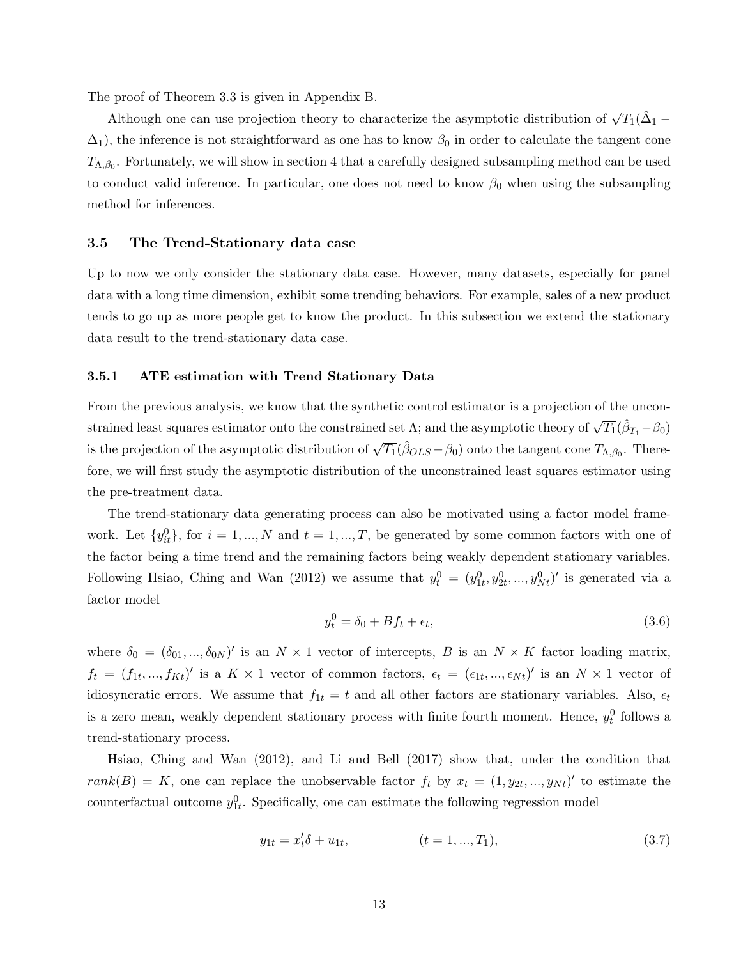The proof of Theorem 3.3 is given in Appendix B.

Although one can use projection theory to characterize the asymptotic distribution of  $\sqrt{T_1}(\hat{\Delta}_1 \Delta_1$ ), the inference is not straightforward as one has to know  $\beta_0$  in order to calculate the tangent cone  $T_{\Lambda,\beta_0}$ . Fortunately, we will show in section 4 that a carefully designed subsampling method can be used to conduct valid inference. In particular, one does not need to know  $\beta_0$  when using the subsampling method for inferences.

#### 3.5 The Trend-Stationary data case

Up to now we only consider the stationary data case. However, many datasets, especially for panel data with a long time dimension, exhibit some trending behaviors. For example, sales of a new product tends to go up as more people get to know the product. In this subsection we extend the stationary data result to the trend-stationary data case.

#### 3.5.1 ATE estimation with Trend Stationary Data

From the previous analysis, we know that the synthetic control estimator is a projection of the unconstrained least squares estimator onto the constrained set Λ; and the asymptotic theory of  $\sqrt{T_1}(\hat{\beta}_{T_1}-\beta_0)$ is the projection of the asymptotic distribution of  $\sqrt{T_1}(\hat{\beta}_{OLS} - \beta_0)$  onto the tangent cone  $T_{\Lambda,\beta_0}$ . Therefore, we will first study the asymptotic distribution of the unconstrained least squares estimator using the pre-treatment data.

The trend-stationary data generating process can also be motivated using a factor model framework. Let  $\{y_{it}^0\}$ , for  $i = 1, ..., N$  and  $t = 1, ..., T$ , be generated by some common factors with one of the factor being a time trend and the remaining factors being weakly dependent stationary variables. Following Hsiao, Ching and Wan (2012) we assume that  $y_t^0 = (y_{1t}^0, y_{2t}^0, ..., y_{Nt}^0)'$  is generated via a factor model

$$
y_t^0 = \delta_0 + Bf_t + \epsilon_t,\tag{3.6}
$$

where  $\delta_0 = (\delta_{01}, ..., \delta_{0N})'$  is an  $N \times 1$  vector of intercepts, B is an  $N \times K$  factor loading matrix,  $f_t = (f_{1t},...,f_{Kt})'$  is a  $K \times 1$  vector of common factors,  $\epsilon_t = (\epsilon_{1t},...,\epsilon_{Nt})'$  is an  $N \times 1$  vector of idiosyncratic errors. We assume that  $f_{1t} = t$  and all other factors are stationary variables. Also,  $\epsilon_t$ is a zero mean, weakly dependent stationary process with finite fourth moment. Hence,  $y_t^0$  follows a trend-stationary process.

Hsiao, Ching and Wan (2012), and Li and Bell (2017) show that, under the condition that  $rank(B) = K$ , one can replace the unobservable factor  $f_t$  by  $x_t = (1, y_{2t}, ..., y_{Nt})'$  to estimate the counterfactual outcome  $y_{1t}^0$ . Specifically, one can estimate the following regression model

$$
y_{1t} = x_t' \delta + u_{1t}, \qquad (t = 1, ..., T_1), \qquad (3.7)
$$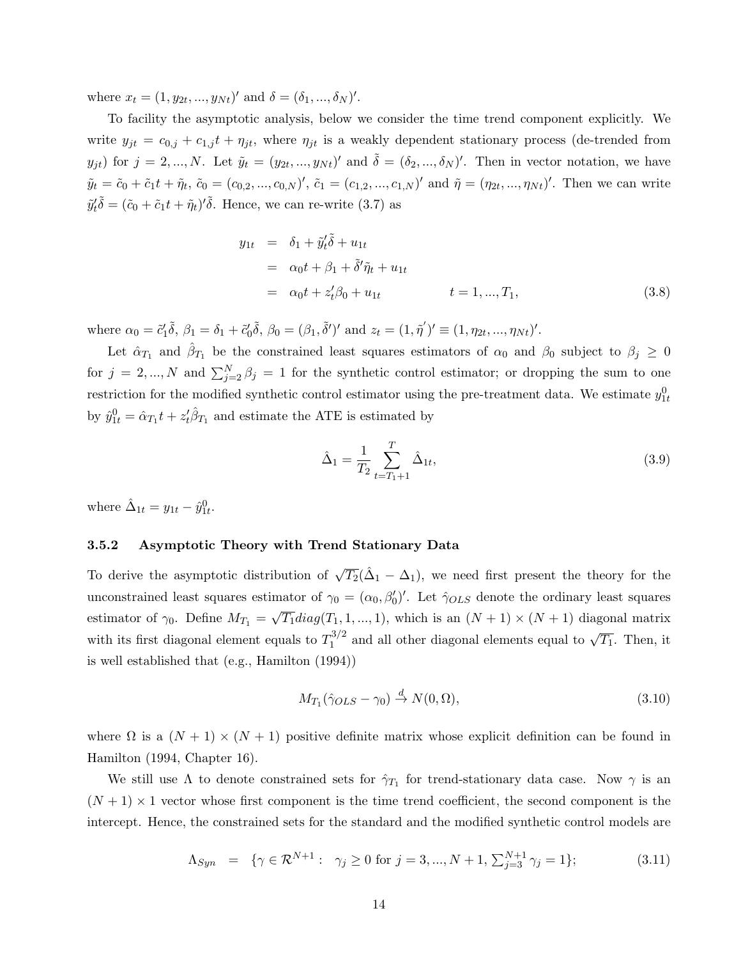where  $x_t = (1, y_{2t}, ..., y_{Nt})'$  and  $\delta = (\delta_1, ..., \delta_N)'$ .

To facility the asymptotic analysis, below we consider the time trend component explicitly. We write  $y_{jt} = c_{0,j} + c_{1,j}t + \eta_{jt}$ , where  $\eta_{jt}$  is a weakly dependent stationary process (de-trended from  $y_{jt}$  for  $j = 2, ..., N$ . Let  $\tilde{y}_t = (y_{2t}, ..., y_{Nt})'$  and  $\tilde{\delta} = (\delta_2, ..., \delta_N)'$ . Then in vector notation, we have  $\tilde{y}_t = \tilde{c}_0 + \tilde{c}_1 t + \tilde{\eta}_t$ ,  $\tilde{c}_0 = (c_{0,2}, ..., c_{0,N})'$ ,  $\tilde{c}_1 = (c_{1,2}, ..., c_{1,N})'$  and  $\tilde{\eta} = (\eta_{2t}, ..., \eta_{Nt})'$ . Then we can write  $\tilde{y}'_t \tilde{\delta} = (\tilde{c}_0 + \tilde{c}_1 t + \tilde{\eta}_t)' \tilde{\delta}$ . Hence, we can re-write (3.7) as

$$
y_{1t} = \delta_1 + \tilde{y}'_t \tilde{\delta} + u_{1t}
$$
  
=  $\alpha_0 t + \beta_1 + \tilde{\delta}' \tilde{\eta}_t + u_{1t}$   
=  $\alpha_0 t + z'_t \beta_0 + u_{1t}$   $t = 1, ..., T_1,$  (3.8)

where  $\alpha_0 = \tilde{c}_1 \tilde{\delta}$ ,  $\beta_1 = \delta_1 + \tilde{c}_0 \tilde{\delta}$ ,  $\beta_0 = (\beta_1, \tilde{\delta}')'$  and  $z_t = (1, \tilde{\eta}')' \equiv (1, \eta_{2t}, \dots, \eta_{Nt})'$ .

Let  $\hat{\alpha}_{T_1}$  and  $\hat{\beta}_{T_1}$  be the constrained least squares estimators of  $\alpha_0$  and  $\beta_0$  subject to  $\beta_j \geq 0$ for  $j = 2, ..., N$  and  $\sum_{j=2}^{N} \beta_j = 1$  for the synthetic control estimator; or dropping the sum to one restriction for the modified synthetic control estimator using the pre-treatment data. We estimate  $y_{1t}^0$ by  $\hat{y}_{1t}^0 = \hat{\alpha}_{T_1} t + z_t' \hat{\beta}_{T_1}$  and estimate the ATE is estimated by

$$
\hat{\Delta}_1 = \frac{1}{T_2} \sum_{t=T_1+1}^T \hat{\Delta}_{1t},\tag{3.9}
$$

where  $\hat{\Delta}_{1t} = y_{1t} - \hat{y}_{1t}^0$ .

#### 3.5.2 Asymptotic Theory with Trend Stationary Data

To derive the asymptotic distribution of  $\sqrt{T_2}(\hat{\Delta}_1 - \Delta_1)$ , we need first present the theory for the unconstrained least squares estimator of  $\gamma_0 = (\alpha_0, \beta'_0)'$ . Let  $\hat{\gamma}_{OLS}$  denote the ordinary least squares estimator of  $\gamma_0$ . Define  $M_{T_1} =$ √  $\overline{T_1}diag(T_1, 1, ..., 1)$ , which is an  $(N + 1) \times (N + 1)$  diagonal matrix with its first diagonal element equals to  $T_1^{3/2}$  $\frac{1}{2}$  and all other diagonal elements equal to  $\sqrt{T_1}$ . Then, it is well established that (e.g., Hamilton (1994))

$$
M_{T_1}(\hat{\gamma}_{OLS} - \gamma_0) \stackrel{d}{\to} N(0, \Omega),\tag{3.10}
$$

where  $\Omega$  is a  $(N + 1) \times (N + 1)$  positive definite matrix whose explicit definition can be found in Hamilton (1994, Chapter 16).

We still use  $\Lambda$  to denote constrained sets for  $\hat{\gamma}_{T_1}$  for trend-stationary data case. Now  $\gamma$  is an  $(N+1) \times 1$  vector whose first component is the time trend coefficient, the second component is the intercept. Hence, the constrained sets for the standard and the modified synthetic control models are

$$
\Lambda_{Syn} = \{ \gamma \in \mathcal{R}^{N+1} : \gamma_j \ge 0 \text{ for } j = 3, ..., N+1, \sum_{j=3}^{N+1} \gamma_j = 1 \};
$$
\n(3.11)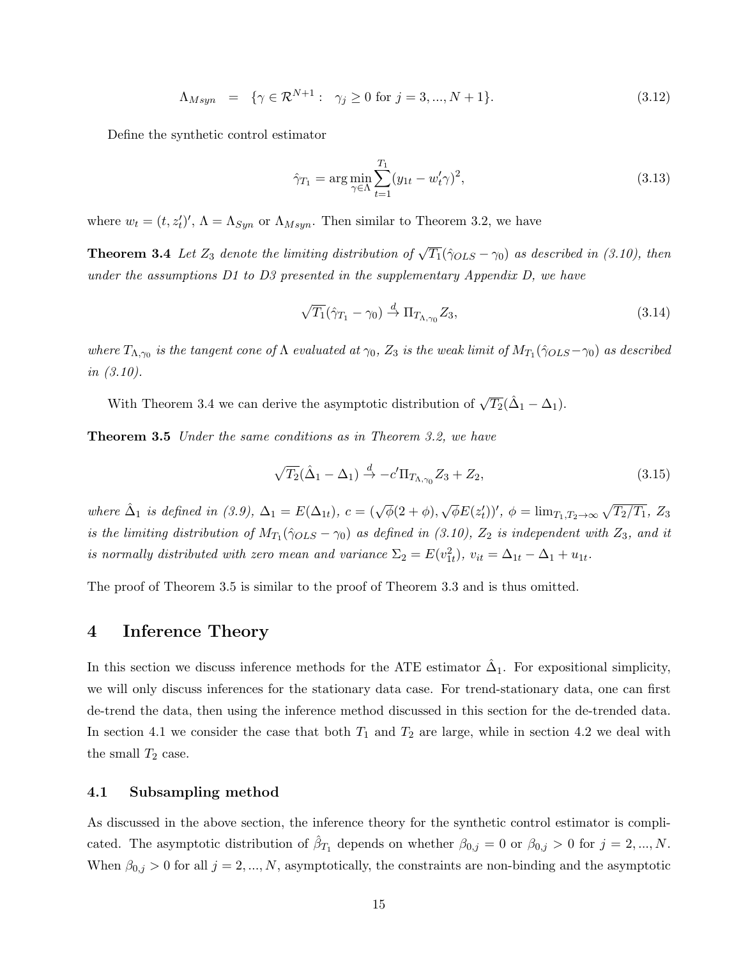$$
\Lambda_{Msyn} = \{ \gamma \in \mathcal{R}^{N+1} : \gamma_j \ge 0 \text{ for } j = 3, ..., N+1 \}. \tag{3.12}
$$

Define the synthetic control estimator

$$
\hat{\gamma}_{T_1} = \arg\min_{\gamma \in \Lambda} \sum_{t=1}^{T_1} (y_{1t} - w'_t \gamma)^2,
$$
\n(3.13)

where  $w_t = (t, z'_t)'$ ,  $\Lambda = \Lambda_{Syn}$  or  $\Lambda_{Msyn}$ . Then similar to Theorem 3.2, we have

**Theorem 3.4** Let  $Z_3$  denote the limiting distribution of  $\sqrt{T_1}(\hat{\gamma}_{OLS} - \gamma_0)$  as described in (3.10), then under the assumptions D1 to D3 presented in the supplementary Appendix D, we have

$$
\sqrt{T_1}(\hat{\gamma}_{T_1} - \gamma_0) \stackrel{d}{\rightarrow} \Pi_{T_{\Lambda,\gamma_0}} Z_3,\tag{3.14}
$$

where  $T_{\Lambda,\gamma_0}$  is the tangent cone of  $\Lambda$  evaluated at  $\gamma_0$ ,  $Z_3$  is the weak limit of  $M_{T_1}(\hat{\gamma}_{OLS}-\gamma_0)$  as described in (3.10).

With Theorem 3.4 we can derive the asymptotic distribution of  $\sqrt{T_2}(\hat{\Delta}_1 - \Delta_1)$ .

Theorem 3.5 Under the same conditions as in Theorem 3.2, we have

$$
\sqrt{T_2}(\hat{\Delta}_1 - \Delta_1) \stackrel{d}{\rightarrow} -c'\Pi_{T_{\Lambda,\gamma_0}} Z_3 + Z_2, \tag{3.15}
$$

where  $\hat{\Delta}_1$  is defined in (3.9),  $\Delta_1 = E(\Delta_{1t}), c = (\sqrt{\phi}(2+\phi)),$ √  $\overline{\phi}E(z'_t)$ ',  $\phi = \lim_{T_1, T_2 \to \infty} \sqrt{T_2/T_1}$ , Z<sub>3</sub> is the limiting distribution of  $M_{T_1}(\hat{\gamma}_{OLS}-\gamma_0)$  as defined in (3.10),  $Z_2$  is independent with  $Z_3$ , and it is normally distributed with zero mean and variance  $\Sigma_2 = E(v_{1t}^2)$ ,  $v_{it} = \Delta_{1t} - \Delta_1 + u_{1t}$ .

The proof of Theorem 3.5 is similar to the proof of Theorem 3.3 and is thus omitted.

### 4 Inference Theory

In this section we discuss inference methods for the ATE estimator  $\hat{\Delta}_1$ . For expositional simplicity, we will only discuss inferences for the stationary data case. For trend-stationary data, one can first de-trend the data, then using the inference method discussed in this section for the de-trended data. In section 4.1 we consider the case that both  $T_1$  and  $T_2$  are large, while in section 4.2 we deal with the small  $T_2$  case.

#### 4.1 Subsampling method

As discussed in the above section, the inference theory for the synthetic control estimator is complicated. The asymptotic distribution of  $\hat{\beta}_{T_1}$  depends on whether  $\beta_{0,j} = 0$  or  $\beta_{0,j} > 0$  for  $j = 2, ..., N$ . When  $\beta_{0,j} > 0$  for all  $j = 2, ..., N$ , asymptotically, the constraints are non-binding and the asymptotic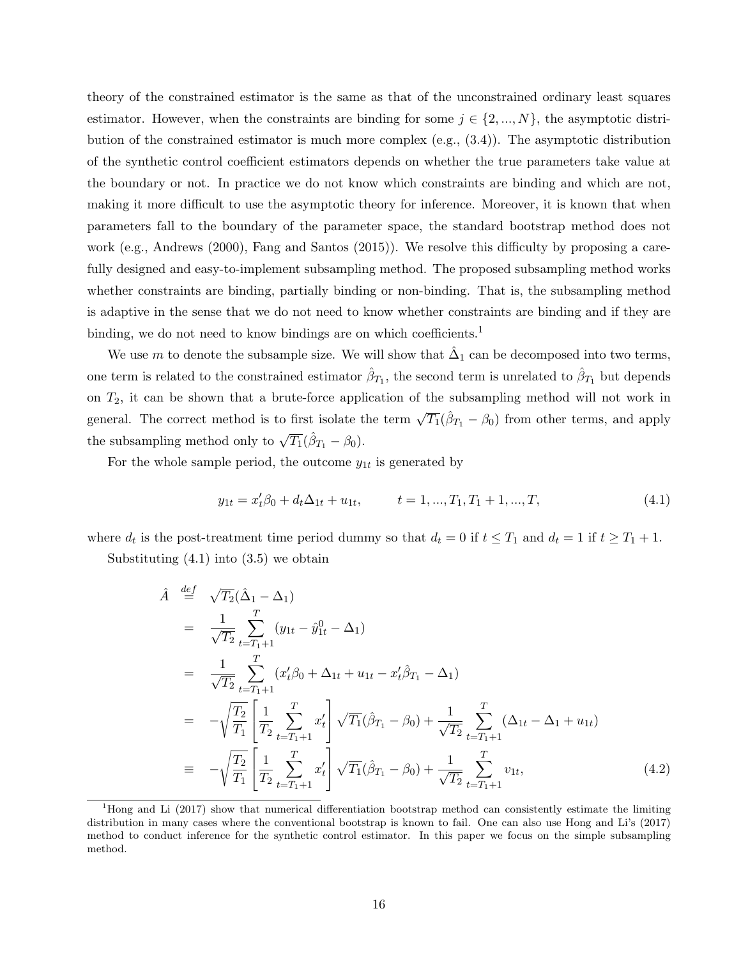theory of the constrained estimator is the same as that of the unconstrained ordinary least squares estimator. However, when the constraints are binding for some  $j \in \{2, ..., N\}$ , the asymptotic distribution of the constrained estimator is much more complex (e.g., (3.4)). The asymptotic distribution of the synthetic control coefficient estimators depends on whether the true parameters take value at the boundary or not. In practice we do not know which constraints are binding and which are not, making it more difficult to use the asymptotic theory for inference. Moreover, it is known that when parameters fall to the boundary of the parameter space, the standard bootstrap method does not work (e.g., Andrews (2000), Fang and Santos (2015)). We resolve this difficulty by proposing a carefully designed and easy-to-implement subsampling method. The proposed subsampling method works whether constraints are binding, partially binding or non-binding. That is, the subsampling method is adaptive in the sense that we do not need to know whether constraints are binding and if they are binding, we do not need to know bindings are on which coefficients.<sup>1</sup>

We use m to denote the subsample size. We will show that  $\hat{\Delta}_1$  can be decomposed into two terms, one term is related to the constrained estimator  $\hat{\beta}_{T_1}$ , the second term is unrelated to  $\hat{\beta}_{T_1}$  but depends on  $T_2$ , it can be shown that a brute-force application of the subsampling method will not work in general. The correct method is to first isolate the term  $\sqrt{T_1}(\hat{\beta}_{T_1} - \beta_0)$  from other terms, and apply the subsampling method only to  $\sqrt{T_1}(\hat{\beta}_{T_1} - \beta_0)$ .

For the whole sample period, the outcome  $y_{1t}$  is generated by

$$
y_{1t} = x_t^{\prime} \beta_0 + d_t \Delta_{1t} + u_{1t}, \qquad t = 1, ..., T_1, T_1 + 1, ..., T,
$$
\n
$$
(4.1)
$$

where  $d_t$  is the post-treatment time period dummy so that  $d_t = 0$  if  $t \leq T_1$  and  $d_t = 1$  if  $t \geq T_1 + 1$ .

Substituting  $(4.1)$  into  $(3.5)$  we obtain

$$
\hat{A} \stackrel{def}{=} \sqrt{T_2} (\hat{\Delta}_1 - \Delta_1)
$$
\n
$$
= \frac{1}{\sqrt{T_2}} \sum_{t=T_1+1}^T (y_{1t} - \hat{y}_{1t}^0 - \Delta_1)
$$
\n
$$
= \frac{1}{\sqrt{T_2}} \sum_{t=T_1+1}^T (x_t'\beta_0 + \Delta_{1t} + u_{1t} - x_t'\hat{\beta}_{T_1} - \Delta_1)
$$
\n
$$
= -\sqrt{\frac{T_2}{T_1}} \left[ \frac{1}{T_2} \sum_{t=T_1+1}^T x_t' \right] \sqrt{T_1} (\hat{\beta}_{T_1} - \beta_0) + \frac{1}{\sqrt{T_2}} \sum_{t=T_1+1}^T (\Delta_{1t} - \Delta_1 + u_{1t})
$$
\n
$$
= -\sqrt{\frac{T_2}{T_1}} \left[ \frac{1}{T_2} \sum_{t=T_1+1}^T x_t' \right] \sqrt{T_1} (\hat{\beta}_{T_1} - \beta_0) + \frac{1}{\sqrt{T_2}} \sum_{t=T_1+1}^T v_{1t}, \tag{4.2}
$$

<sup>1</sup>Hong and Li (2017) show that numerical differentiation bootstrap method can consistently estimate the limiting distribution in many cases where the conventional bootstrap is known to fail. One can also use Hong and Li's (2017) method to conduct inference for the synthetic control estimator. In this paper we focus on the simple subsampling method.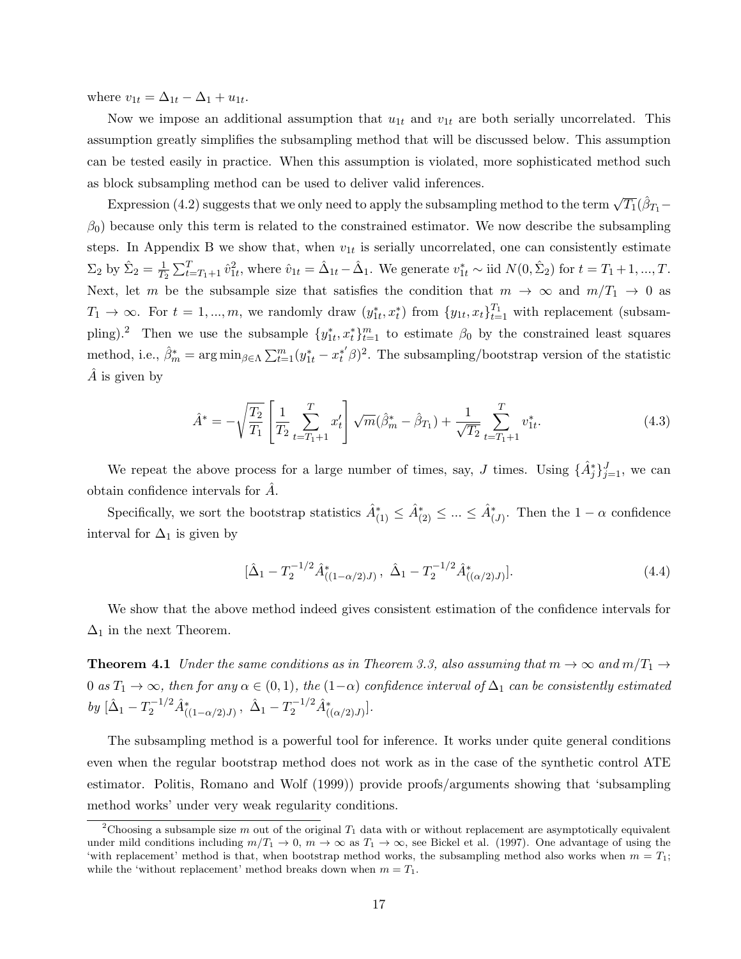where  $v_{1t} = \Delta_{1t} - \Delta_1 + u_{1t}$ .

Now we impose an additional assumption that  $u_{1t}$  and  $v_{1t}$  are both serially uncorrelated. This assumption greatly simplifies the subsampling method that will be discussed below. This assumption can be tested easily in practice. When this assumption is violated, more sophisticated method such as block subsampling method can be used to deliver valid inferences.

Expression (4.2) suggests that we only need to apply the subsampling method to the term  $\sqrt{T_1}(\hat{\beta}_{T_1} \beta_0$ ) because only this term is related to the constrained estimator. We now describe the subsampling steps. In Appendix B we show that, when  $v_{1t}$  is serially uncorrelated, one can consistently estimate  $\Sigma_2$  by  $\hat{\Sigma}_2 = \frac{1}{T^2}$  $\frac{1}{T_2} \sum_{t=T_1+1}^{T} \hat{v}_{1t}^2$ , where  $\hat{v}_{1t} = \hat{\Delta}_{1t} - \hat{\Delta}_{1}$ . We generate  $v_{1t}^* \sim$  iid  $N(0, \hat{\Sigma}_2)$  for  $t = T_1 + 1, ..., T$ . Next, let m be the subsample size that satisfies the condition that  $m \to \infty$  and  $m/T_1 \to 0$  as  $T_1 \to \infty$ . For  $t = 1, ..., m$ , we randomly draw  $(y_{1t}^*, x_t^*)$  from  $\{y_{1t}, x_t\}_{t=1}^{T_1}$  with replacement (subsampling).<sup>2</sup> Then we use the subsample  $\{y_{1t}^*, x_t^*\}_{t=1}^m$  to estimate  $\beta_0$  by the constrained least squares method, i.e.,  $\hat{\beta}_m^* = \arg \min_{\beta \in \Lambda} \sum_{t=1}^m (y_{1t}^* - x_t^{*'} \beta)^2$ . The subsampling/bootstrap version of the statistic  $\overline{A}$  is given by

$$
\hat{A}^* = -\sqrt{\frac{T_2}{T_1}} \left[ \frac{1}{T_2} \sum_{t=T_1+1}^T x_t' \right] \sqrt{m} (\hat{\beta}_m^* - \hat{\beta}_{T_1}) + \frac{1}{\sqrt{T_2}} \sum_{t=T_1+1}^T v_{1t}^*.
$$
\n(4.3)

We repeat the above process for a large number of times, say, J times. Using  $\{\hat{A}_{j}^{*}\}_{j=1}^{J}$ , we can obtain confidence intervals for A.

Specifically, we sort the bootstrap statistics  $\hat{A}^*_{(1)} \leq \hat{A}^*_{(2)} \leq ... \leq \hat{A}^*_{(J)}$ . Then the  $1 - \alpha$  confidence interval for  $\Delta_1$  is given by

$$
[\hat{\Delta}_1 - T_2^{-1/2} \hat{A}_{((1-\alpha/2)J)}^* , \ \hat{\Delta}_1 - T_2^{-1/2} \hat{A}_{((\alpha/2)J)}^* ]. \tag{4.4}
$$

We show that the above method indeed gives consistent estimation of the confidence intervals for  $\Delta_1$  in the next Theorem.

**Theorem 4.1** Under the same conditions as in Theorem 3.3, also assuming that  $m \to \infty$  and  $m/T_1 \to$ 0 as  $T_1 \to \infty$ , then for any  $\alpha \in (0,1)$ , the  $(1-\alpha)$  confidence interval of  $\Delta_1$  can be consistently estimated  $by \, [\hat{\Delta}_1 - T_2^{-1/2} \hat{A}^*_{((1-\alpha/2)J)} , \, \, \hat{\Delta}_1 - T_2^{-1/2} \hat{A}^*_{((\alpha/2)J)}].$ 

The subsampling method is a powerful tool for inference. It works under quite general conditions even when the regular bootstrap method does not work as in the case of the synthetic control ATE estimator. Politis, Romano and Wolf (1999)) provide proofs/arguments showing that 'subsampling method works' under very weak regularity conditions.

<sup>&</sup>lt;sup>2</sup>Choosing a subsample size m out of the original  $T_1$  data with or without replacement are asymptotically equivalent under mild conditions including  $m/T_1 \to 0$ ,  $m \to \infty$  as  $T_1 \to \infty$ , see Bickel et al. (1997). One advantage of using the 'with replacement' method is that, when bootstrap method works, the subsampling method also works when  $m = T_1$ ; while the 'without replacement' method breaks down when  $m = T_1$ .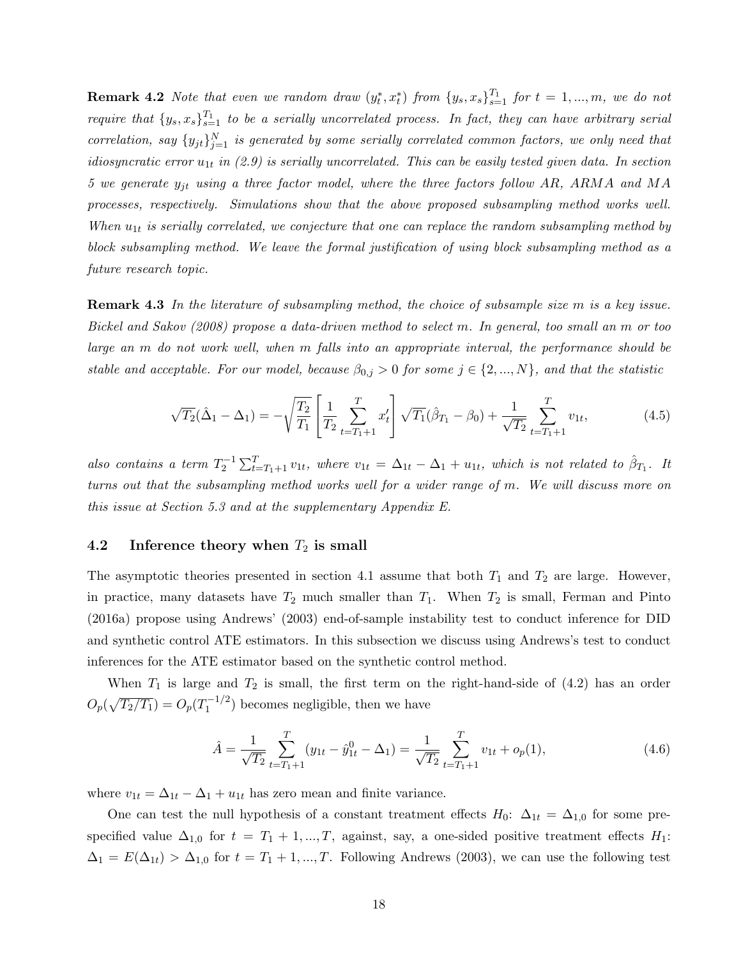**Remark 4.2** Note that even we random draw  $(y_t^*, x_t^*)$  from  $\{y_s, x_s\}_{s=1}^{T_1}$  for  $t = 1, ..., m$ , we do not require that  $\{y_s, x_s\}_{s=1}^{T_1}$  to be a serially uncorrelated process. In fact, they can have arbitrary serial correlation, say  $\{y_{jt}\}_{j=1}^N$  is generated by some serially correlated common factors, we only need that idiosyncratic error  $u_{1t}$  in (2.9) is serially uncorrelated. This can be easily tested given data. In section 5 we generate  $y_{jt}$  using a three factor model, where the three factors follow AR, ARMA and MA processes, respectively. Simulations show that the above proposed subsampling method works well. When  $u_{1t}$  is serially correlated, we conjecture that one can replace the random subsampling method by block subsampling method. We leave the formal justification of using block subsampling method as a future research topic.

Remark 4.3 In the literature of subsampling method, the choice of subsample size m is a key issue. Bickel and Sakov (2008) propose a data-driven method to select m. In general, too small an m or too large an m do not work well, when m falls into an appropriate interval, the performance should be stable and acceptable. For our model, because  $\beta_{0,j} > 0$  for some  $j \in \{2, ..., N\}$ , and that the statistic

$$
\sqrt{T_2}(\hat{\Delta}_1 - \Delta_1) = -\sqrt{\frac{T_2}{T_1}} \left[ \frac{1}{T_2} \sum_{t=T_1+1}^T x_t' \right] \sqrt{T_1}(\hat{\beta}_{T_1} - \beta_0) + \frac{1}{\sqrt{T_2}} \sum_{t=T_1+1}^T v_{1t},\tag{4.5}
$$

also contains a term  $T_2^{-1} \sum_{t=T_1+1}^{T} v_{1t}$ , where  $v_{1t} = \Delta_{1t} - \Delta_1 + u_{1t}$ , which is not related to  $\hat{\beta}_{T_1}$ . It turns out that the subsampling method works well for a wider range of m. We will discuss more on this issue at Section 5.3 and at the supplementary Appendix E.

#### 4.2 Inference theory when  $T_2$  is small

The asymptotic theories presented in section 4.1 assume that both  $T_1$  and  $T_2$  are large. However, in practice, many datasets have  $T_2$  much smaller than  $T_1$ . When  $T_2$  is small, Ferman and Pinto (2016a) propose using Andrews' (2003) end-of-sample instability test to conduct inference for DID and synthetic control ATE estimators. In this subsection we discuss using Andrews's test to conduct inferences for the ATE estimator based on the synthetic control method.

When  $T_1$  is large and  $T_2$  is small, the first term on the right-hand-side of  $(4.2)$  has an order  $O_p(\sqrt{T_2/T_1}) = O_p(T_1^{-1/2})$  $\binom{-1/2}{1}$  becomes negligible, then we have

$$
\hat{A} = \frac{1}{\sqrt{T_2}} \sum_{t=T_1+1}^{T} (y_{1t} - \hat{y}_{1t}^0 - \Delta_1) = \frac{1}{\sqrt{T_2}} \sum_{t=T_1+1}^{T} v_{1t} + o_p(1),
$$
\n(4.6)

where  $v_{1t} = \Delta_{1t} - \Delta_1 + u_{1t}$  has zero mean and finite variance.

One can test the null hypothesis of a constant treatment effects  $H_0$ :  $\Delta_{1t} = \Delta_{1,0}$  for some prespecified value  $\Delta_{1,0}$  for  $t = T_1 + 1, ..., T$ , against, say, a one-sided positive treatment effects  $H_1$ :  $\Delta_1 = E(\Delta_{1t}) > \Delta_{1,0}$  for  $t = T_1 + 1, ..., T$ . Following Andrews (2003), we can use the following test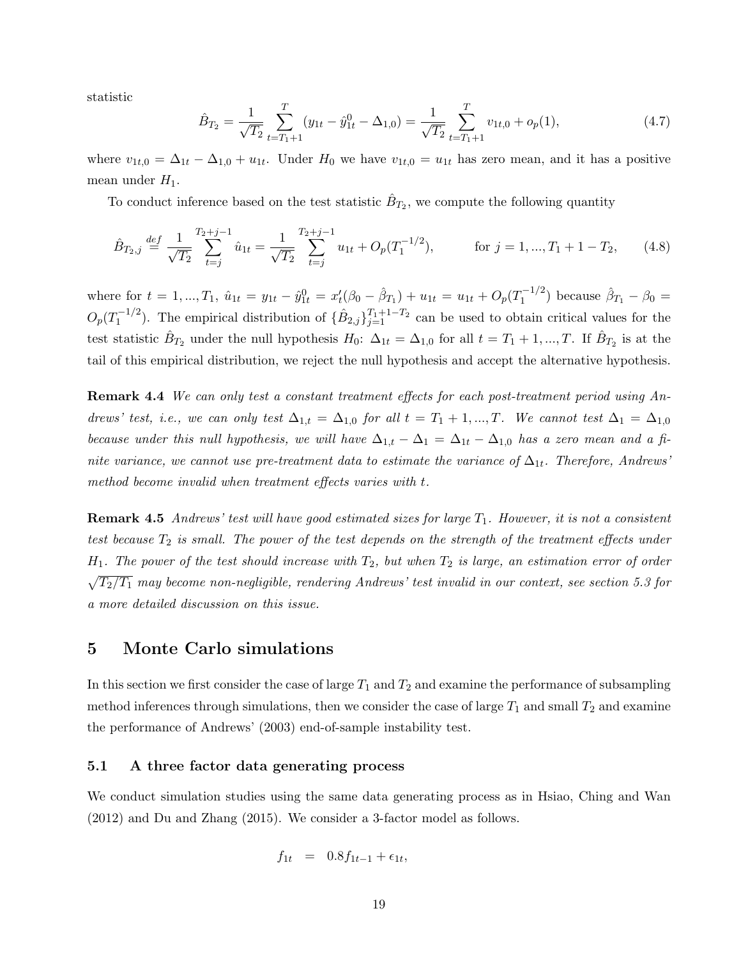statistic

$$
\hat{B}_{T_2} = \frac{1}{\sqrt{T_2}} \sum_{t=T_1+1}^{T} (y_{1t} - \hat{y}_{1t}^0 - \Delta_{1,0}) = \frac{1}{\sqrt{T_2}} \sum_{t=T_1+1}^{T} v_{1t,0} + o_p(1),
$$
\n(4.7)

where  $v_{1t,0} = \Delta_{1t} - \Delta_{1,0} + u_{1t}$ . Under  $H_0$  we have  $v_{1t,0} = u_{1t}$  has zero mean, and it has a positive mean under  $H_1$ .

To conduct inference based on the test statistic  $\hat{B}_{T_2}$ , we compute the following quantity

$$
\hat{B}_{T_2,j} \stackrel{def}{=} \frac{1}{\sqrt{T_2}} \sum_{t=j}^{T_2+j-1} \hat{u}_{1t} = \frac{1}{\sqrt{T_2}} \sum_{t=j}^{T_2+j-1} u_{1t} + O_p(T_1^{-1/2}), \qquad \text{for } j = 1, ..., T_1 + 1 - T_2,
$$
 (4.8)

where for  $t = 1, ..., T_1$ ,  $\hat{u}_{1t} = y_{1t} - \hat{y}_{1t}^0 = x'_t(\beta_0 - \hat{\beta}_{T_1}) + u_{1t} = u_{1t} + O_p(T_1^{-1/2})$  $\hat{\beta}_{T_1} - \beta_0 =$  $O_p(T_1^{-1/2}$  $\sum_{1}^{1}$ . The empirical distribution of  $\{\hat{B}_{2,j}\}_{j=1}^{T_1+1-T_2}$  can be used to obtain critical values for the test statistic  $\hat{B}_{T_2}$  under the null hypothesis  $H_0$ :  $\Delta_{1t} = \Delta_{1,0}$  for all  $t = T_1 + 1, ..., T$ . If  $\hat{B}_{T_2}$  is at the tail of this empirical distribution, we reject the null hypothesis and accept the alternative hypothesis.

Remark 4.4 We can only test a constant treatment effects for each post-treatment period using Andrews' test, i.e., we can only test  $\Delta_{1,t} = \Delta_{1,0}$  for all  $t = T_1 + 1, ..., T$ . We cannot test  $\Delta_1 = \Delta_{1,0}$ because under this null hypothesis, we will have  $\Delta_{1,t} - \Delta_1 = \Delta_{1t} - \Delta_{1,0}$  has a zero mean and a finite variance, we cannot use pre-treatment data to estimate the variance of  $\Delta_{1t}$ . Therefore, Andrews' method become invalid when treatment effects varies with t.

**Remark 4.5** Andrews' test will have good estimated sizes for large  $T_1$ . However, it is not a consistent test because  $T_2$  is small. The power of the test depends on the strength of the treatment effects under  $H_1$ . The power of the test should increase with  $T_2$ , but when  $T_2$  is large, an estimation error of order  $\sqrt{T_2/T_1}$  may become non-negligible, rendering Andrews' test invalid in our context, see section 5.3 for a more detailed discussion on this issue.

#### 5 Monte Carlo simulations

In this section we first consider the case of large  $T_1$  and  $T_2$  and examine the performance of subsampling method inferences through simulations, then we consider the case of large  $T_1$  and small  $T_2$  and examine the performance of Andrews' (2003) end-of-sample instability test.

#### 5.1 A three factor data generating process

We conduct simulation studies using the same data generating process as in Hsiao, Ching and Wan (2012) and Du and Zhang (2015). We consider a 3-factor model as follows.

$$
f_{1t} = 0.8f_{1t-1} + \epsilon_{1t},
$$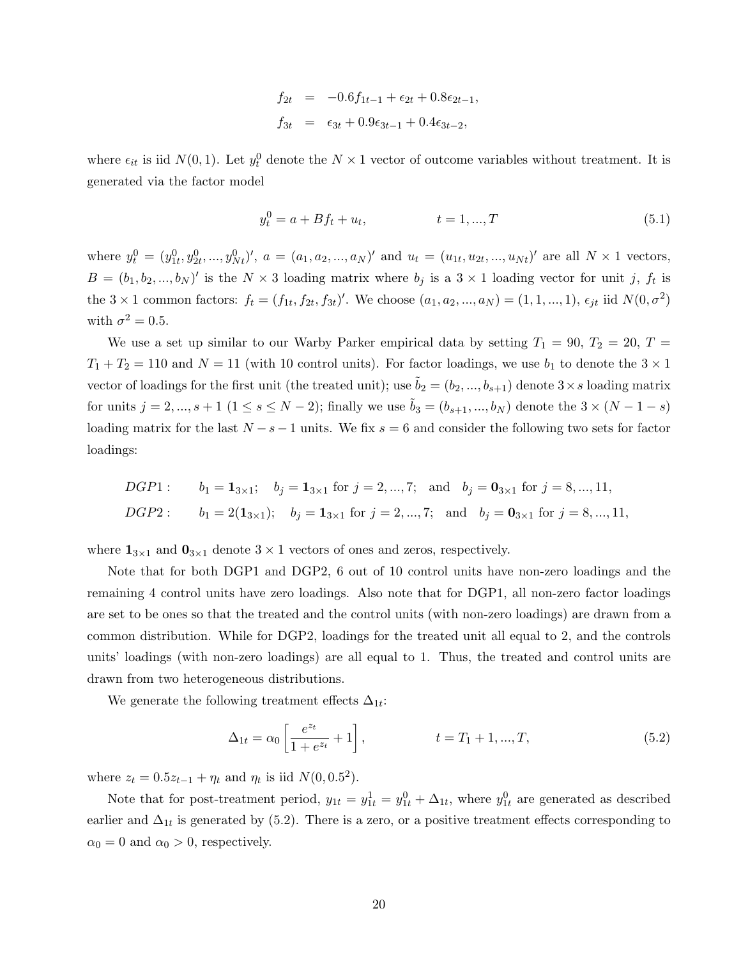$$
f_{2t} = -0.6f_{1t-1} + \epsilon_{2t} + 0.8\epsilon_{2t-1},
$$
  

$$
f_{3t} = \epsilon_{3t} + 0.9\epsilon_{3t-1} + 0.4\epsilon_{3t-2},
$$

where  $\epsilon_{it}$  is iid  $N(0, 1)$ . Let  $y_t^0$  denote the  $N \times 1$  vector of outcome variables without treatment. It is generated via the factor model

$$
y_t^0 = a + Bf_t + u_t, \qquad t = 1, ..., T \qquad (5.1)
$$

where  $y_t^0 = (y_{1t}^0, y_{2t}^0, ..., y_{Nt}^0)$ ',  $a = (a_1, a_2, ..., a_N)$ ' and  $u_t = (u_{1t}, u_{2t}, ..., u_{Nt})$ ' are all  $N \times 1$  vectors,  $B = (b_1, b_2, ..., b_N)'$  is the  $N \times 3$  loading matrix where  $b_j$  is a  $3 \times 1$  loading vector for unit j,  $f_t$  is the 3 × 1 common factors:  $f_t = (f_{1t}, f_{2t}, f_{3t})'$ . We choose  $(a_1, a_2, ..., a_N) = (1, 1, ..., 1), \epsilon_{jt}$  iid  $N(0, \sigma^2)$ with  $\sigma^2 = 0.5$ .

We use a set up similar to our Warby Parker empirical data by setting  $T_1 = 90, T_2 = 20, T =$  $T_1 + T_2 = 110$  and  $N = 11$  (with 10 control units). For factor loadings, we use  $b_1$  to denote the  $3 \times 1$ vector of loadings for the first unit (the treated unit); use  $\tilde{b}_2 = (b_2, ..., b_{s+1})$  denote  $3 \times s$  loading matrix for units  $j = 2, ..., s + 1$   $(1 \le s \le N - 2)$ ; finally we use  $\tilde{b}_3 = (b_{s+1}, ..., b_N)$  denote the  $3 \times (N - 1 - s)$ loading matrix for the last  $N - s - 1$  units. We fix  $s = 6$  and consider the following two sets for factor loadings:

\n
$$
DGP1: \quad b_1 = 1_{3 \times 1}; \quad b_j = 1_{3 \times 1} \text{ for } j = 2, \ldots, 7; \text{ and } b_j = 0_{3 \times 1} \text{ for } j = 8, \ldots, 11,
$$
\n

\n\n $DGP2: \quad b_1 = 2(1_{3 \times 1}); \quad b_j = 1_{3 \times 1} \text{ for } j = 2, \ldots, 7; \text{ and } b_j = 0_{3 \times 1} \text{ for } j = 8, \ldots, 11,$ \n

where  $1_{3\times1}$  and  $0_{3\times1}$  denote  $3\times1$  vectors of ones and zeros, respectively.

Note that for both DGP1 and DGP2, 6 out of 10 control units have non-zero loadings and the remaining 4 control units have zero loadings. Also note that for DGP1, all non-zero factor loadings are set to be ones so that the treated and the control units (with non-zero loadings) are drawn from a common distribution. While for DGP2, loadings for the treated unit all equal to 2, and the controls units' loadings (with non-zero loadings) are all equal to 1. Thus, the treated and control units are drawn from two heterogeneous distributions.

We generate the following treatment effects  $\Delta_{1t}$ :

$$
\Delta_{1t} = \alpha_0 \left[ \frac{e^{z_t}}{1 + e^{z_t}} + 1 \right], \qquad t = T_1 + 1, ..., T,
$$
\n(5.2)

where  $z_t = 0.5z_{t-1} + \eta_t$  and  $\eta_t$  is iid  $N(0, 0.5^2)$ .

Note that for post-treatment period,  $y_{1t} = y_{1t}^1 = y_{1t}^0 + \Delta_{1t}$ , where  $y_{1t}^0$  are generated as described earlier and  $\Delta_{1t}$  is generated by (5.2). There is a zero, or a positive treatment effects corresponding to  $\alpha_0 = 0$  and  $\alpha_0 > 0$ , respectively.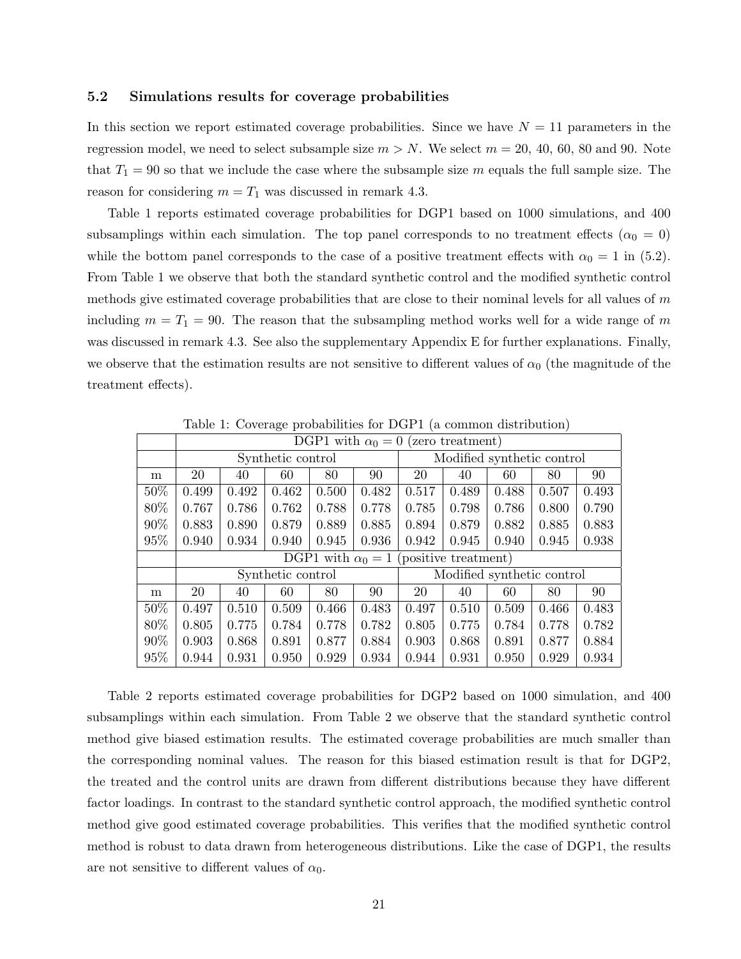#### 5.2 Simulations results for coverage probabilities

In this section we report estimated coverage probabilities. Since we have  $N = 11$  parameters in the regression model, we need to select subsample size  $m > N$ . We select  $m = 20, 40, 60, 80$  and 90. Note that  $T_1 = 90$  so that we include the case where the subsample size m equals the full sample size. The reason for considering  $m = T_1$  was discussed in remark 4.3.

Table 1 reports estimated coverage probabilities for DGP1 based on 1000 simulations, and 400 subsamplings within each simulation. The top panel corresponds to no treatment effects ( $\alpha_0 = 0$ ) while the bottom panel corresponds to the case of a positive treatment effects with  $\alpha_0 = 1$  in (5.2). From Table 1 we observe that both the standard synthetic control and the modified synthetic control methods give estimated coverage probabilities that are close to their nominal levels for all values of  $m$ including  $m = T_1 = 90$ . The reason that the subsampling method works well for a wide range of m was discussed in remark 4.3. See also the supplementary Appendix E for further explanations. Finally, we observe that the estimation results are not sensitive to different values of  $\alpha_0$  (the magnitude of the treatment effects).

|        | DGP1 with $\alpha_0 = 0$ (zero treatment) |       |                   |       |                            |                                               |       |       |       |       |
|--------|-------------------------------------------|-------|-------------------|-------|----------------------------|-----------------------------------------------|-------|-------|-------|-------|
|        | Synthetic control                         |       |                   |       | Modified synthetic control |                                               |       |       |       |       |
| m      | 20                                        | 40    | 60                | 80    | 90                         | 20                                            | 40    | 60    | 80    | 90    |
| 50%    | 0.499                                     | 0.492 | 0.462             | 0.500 | 0.482                      | 0.517                                         | 0.489 | 0.488 | 0.507 | 0.493 |
| 80%    | 0.767                                     | 0.786 | 0.762             | 0.788 | 0.778                      | 0.785                                         | 0.798 | 0.786 | 0.800 | 0.790 |
| $90\%$ | 0.883                                     | 0.890 | 0.879             | 0.889 | 0.885                      | 0.894                                         | 0.879 | 0.882 | 0.885 | 0.883 |
| 95%    | 0.940                                     | 0.934 | 0.940             | 0.945 | 0.936                      | 0.942                                         | 0.945 | 0.940 | 0.945 | 0.938 |
|        |                                           |       |                   |       |                            | DGP1 with $\alpha_0 = 1$ (positive treatment) |       |       |       |       |
|        |                                           |       | Synthetic control |       |                            | Modified synthetic control                    |       |       |       |       |
| m      | 20                                        | 40    | 60                | 80    | 90                         | 20                                            | 40    | 60    | 80    | 90    |
| 50%    | 0.497                                     | 0.510 | 0.509             | 0.466 | 0.483                      | 0.497                                         | 0.510 | 0.509 | 0.466 | 0.483 |
| 80\%   | 0.805                                     | 0.775 | 0.784             | 0.778 | 0.782                      | 0.805                                         | 0.775 | 0.784 | 0.778 | 0.782 |
| 90%    | 0.903                                     | 0.868 | 0.891             | 0.877 | 0.884                      | 0.903                                         | 0.868 | 0.891 | 0.877 | 0.884 |
| 95%    | 0.944                                     | 0.931 | 0.950             | 0.929 | 0.934                      | 0.944                                         | 0.931 | 0.950 | 0.929 | 0.934 |

Table 1: Coverage probabilities for DGP1 (a common distribution)

Table 2 reports estimated coverage probabilities for DGP2 based on 1000 simulation, and 400 subsamplings within each simulation. From Table 2 we observe that the standard synthetic control method give biased estimation results. The estimated coverage probabilities are much smaller than the corresponding nominal values. The reason for this biased estimation result is that for DGP2, the treated and the control units are drawn from different distributions because they have different factor loadings. In contrast to the standard synthetic control approach, the modified synthetic control method give good estimated coverage probabilities. This verifies that the modified synthetic control method is robust to data drawn from heterogeneous distributions. Like the case of DGP1, the results are not sensitive to different values of  $\alpha_0$ .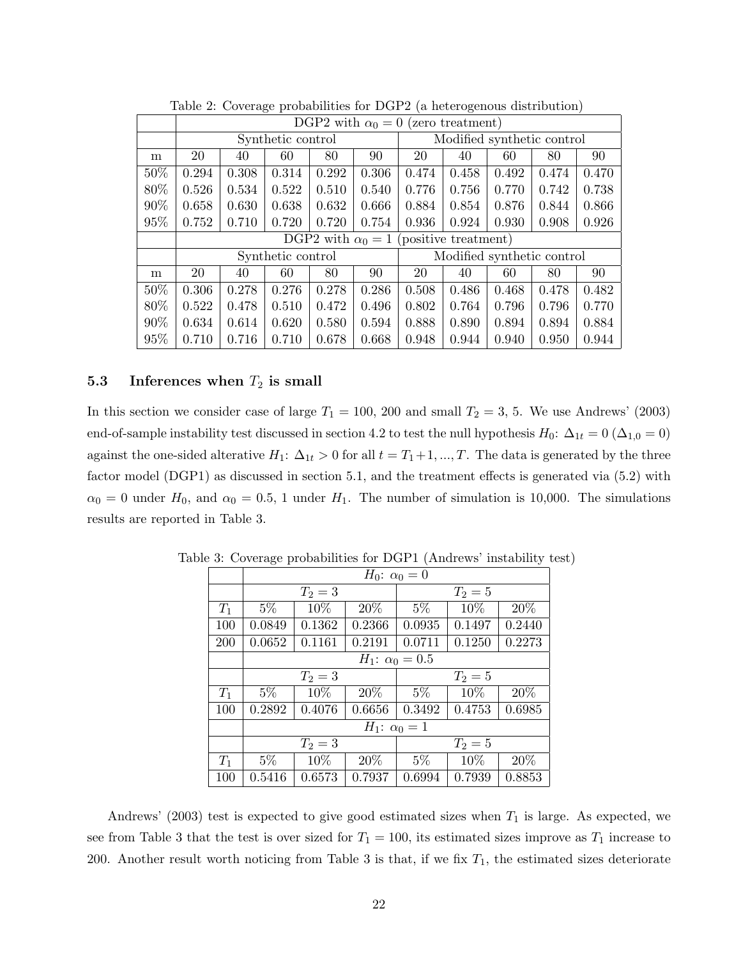|     | DGP2 with $\alpha_0 = 0$ (zero treatment) |       |                   |       |                            |                                               |       |       |       |       |
|-----|-------------------------------------------|-------|-------------------|-------|----------------------------|-----------------------------------------------|-------|-------|-------|-------|
|     | Synthetic control                         |       |                   |       | Modified synthetic control |                                               |       |       |       |       |
| m   | 20                                        | 40    | 60                | 80    | 90                         | 20                                            | 40    | 60    | 80    | 90    |
| 50% | 0.294                                     | 0.308 | 0.314             | 0.292 | 0.306                      | 0.474                                         | 0.458 | 0.492 | 0.474 | 0.470 |
| 80% | 0.526                                     | 0.534 | 0.522             | 0.510 | 0.540                      | 0.776                                         | 0.756 | 0.770 | 0.742 | 0.738 |
| 90% | 0.658                                     | 0.630 | 0.638             | 0.632 | 0.666                      | 0.884                                         | 0.854 | 0.876 | 0.844 | 0.866 |
| 95% | 0.752                                     | 0.710 | 0.720             | 0.720 | 0.754                      | 0.936                                         | 0.924 | 0.930 | 0.908 | 0.926 |
|     |                                           |       |                   |       |                            | DGP2 with $\alpha_0 = 1$ (positive treatment) |       |       |       |       |
|     |                                           |       | Synthetic control |       |                            | Modified synthetic control                    |       |       |       |       |
| m   | 20                                        | 40    | 60                | 80    | 90                         | 20                                            | 40    | 60    | 80    | 90    |
| 50% | 0.306                                     | 0.278 | 0.276             | 0.278 | 0.286                      | 0.508                                         | 0.486 | 0.468 | 0.478 | 0.482 |
| 80% | 0.522                                     | 0.478 | 0.510             | 0.472 | 0.496                      | 0.802                                         | 0.764 | 0.796 | 0.796 | 0.770 |
| 90% | 0.634                                     | 0.614 | 0.620             | 0.580 | 0.594                      | 0.888                                         | 0.890 | 0.894 | 0.894 | 0.884 |
| 95% | 0.710                                     | 0.716 | 0.710             | 0.678 | 0.668                      | 0.948                                         | 0.944 | 0.940 | 0.950 | 0.944 |

Table 2: Coverage probabilities for DGP2 (a heterogenous distribution)

## 5.3 Inferences when  $T_2$  is small

In this section we consider case of large  $T_1 = 100$ , 200 and small  $T_2 = 3$ , 5. We use Andrews' (2003) end-of-sample instability test discussed in section 4.2 to test the null hypothesis  $H_0: \Delta_{1t} = 0 (\Delta_{1,0} = 0)$ against the one-sided alterative  $H_1: \Delta_{1t} > 0$  for all  $t = T_1 + 1, ..., T$ . The data is generated by the three factor model (DGP1) as discussed in section 5.1, and the treatment effects is generated via (5.2) with  $\alpha_0 = 0$  under  $H_0$ , and  $\alpha_0 = 0.5$ , 1 under  $H_1$ . The number of simulation is 10,000. The simulations results are reported in Table 3.

|       | $H_0$ : $\alpha_0 = 0$   |           |        |           |        |        |  |  |  |
|-------|--------------------------|-----------|--------|-----------|--------|--------|--|--|--|
|       |                          | $T_2 = 3$ |        | $T_2 = 5$ |        |        |  |  |  |
| $T_1$ | $5\%$                    | 10%       | 20%    | $5\%$     | 10%    | 20%    |  |  |  |
| 100   | 0.0849                   | 0.1362    | 0.2366 | 0.0935    | 0.1497 | 0.2440 |  |  |  |
| 200   | 0.0652                   | 0.1161    | 0.2191 | 0.0711    | 0.1250 | 0.2273 |  |  |  |
|       | $H_1$ : $\alpha_0 = 0.5$ |           |        |           |        |        |  |  |  |
|       |                          | $T_2 = 3$ |        | $T_2 = 5$ |        |        |  |  |  |
| $T_1$ | $5\%$                    | 10%       | 20%    | $5\%$     | 10%    | 20%    |  |  |  |
| 100   | 0.2892                   | 0.4076    | 0.6656 | 0.3492    | 0.4753 | 0.6985 |  |  |  |
|       | $H_1: \alpha_0 = 1$      |           |        |           |        |        |  |  |  |
|       |                          | $T_2 = 3$ |        | $T_2 = 5$ |        |        |  |  |  |
| $T_1$ | $5\%$                    | 10%       | 20%    | $5\%$     | 10\%   | 20%    |  |  |  |
| 100   | 0.5416                   | 0.6573    | 0.7937 | 0.6994    | 0.7939 | 0.8853 |  |  |  |

Table 3: Coverage probabilities for DGP1 (Andrews' instability test)

Andrews' (2003) test is expected to give good estimated sizes when  $T_1$  is large. As expected, we see from Table 3 that the test is over sized for  $T_1 = 100$ , its estimated sizes improve as  $T_1$  increase to 200. Another result worth noticing from Table 3 is that, if we fix  $T_1$ , the estimated sizes deteriorate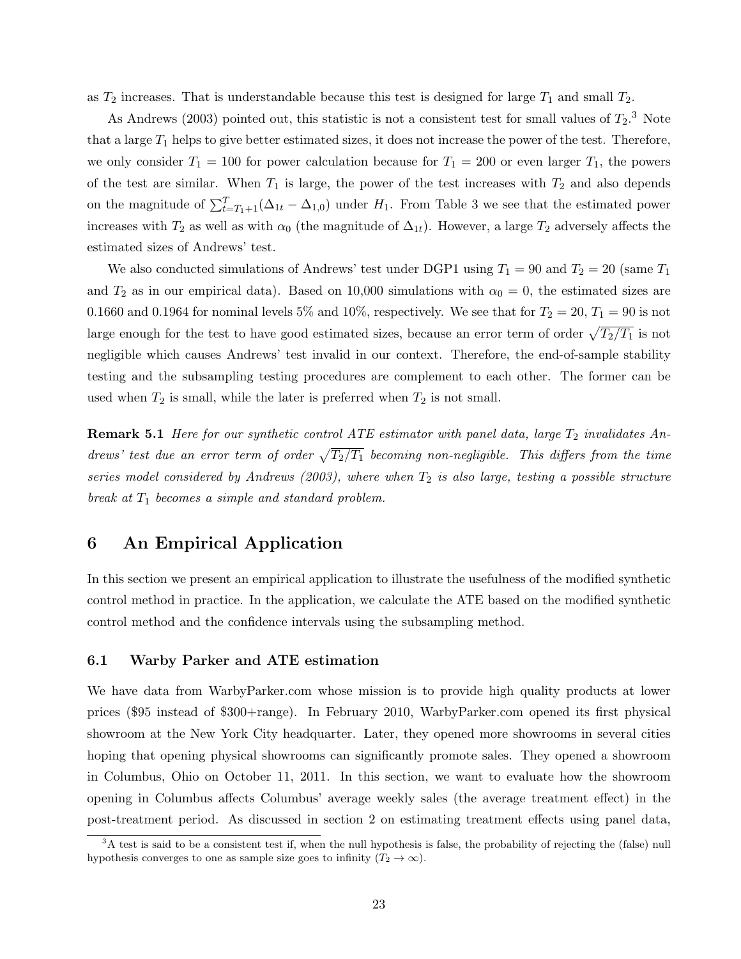as  $T_2$  increases. That is understandable because this test is designed for large  $T_1$  and small  $T_2$ .

As Andrews (2003) pointed out, this statistic is not a consistent test for small values of  $T_2$ .<sup>3</sup> Note that a large  $T_1$  helps to give better estimated sizes, it does not increase the power of the test. Therefore, we only consider  $T_1 = 100$  for power calculation because for  $T_1 = 200$  or even larger  $T_1$ , the powers of the test are similar. When  $T_1$  is large, the power of the test increases with  $T_2$  and also depends on the magnitude of  $\sum_{t=T_1+1}^{T}(\Delta_{1t} - \Delta_{1,0})$  under  $H_1$ . From Table 3 we see that the estimated power increases with  $T_2$  as well as with  $\alpha_0$  (the magnitude of  $\Delta_{1t}$ ). However, a large  $T_2$  adversely affects the estimated sizes of Andrews' test.

We also conducted simulations of Andrews' test under DGP1 using  $T_1 = 90$  and  $T_2 = 20$  (same  $T_1$ ) and  $T_2$  as in our empirical data). Based on 10,000 simulations with  $\alpha_0 = 0$ , the estimated sizes are 0.1660 and 0.1964 for nominal levels 5% and 10%, respectively. We see that for  $T_2 = 20, T_1 = 90$  is not large enough for the test to have good estimated sizes, because an error term of order  $\sqrt{T_2/T_1}$  is not negligible which causes Andrews' test invalid in our context. Therefore, the end-of-sample stability testing and the subsampling testing procedures are complement to each other. The former can be used when  $T_2$  is small, while the later is preferred when  $T_2$  is not small.

**Remark 5.1** Here for our synthetic control ATE estimator with panel data, large  $T_2$  invalidates Andrews' test due an error term of order  $\sqrt{T_2/T_1}$  becoming non-negligible. This differs from the time series model considered by Andrews (2003), where when  $T_2$  is also large, testing a possible structure break at  $T_1$  becomes a simple and standard problem.

## 6 An Empirical Application

In this section we present an empirical application to illustrate the usefulness of the modified synthetic control method in practice. In the application, we calculate the ATE based on the modified synthetic control method and the confidence intervals using the subsampling method.

#### 6.1 Warby Parker and ATE estimation

We have data from WarbyParker.com whose mission is to provide high quality products at lower prices (\$95 instead of \$300+range). In February 2010, WarbyParker.com opened its first physical showroom at the New York City headquarter. Later, they opened more showrooms in several cities hoping that opening physical showrooms can significantly promote sales. They opened a showroom in Columbus, Ohio on October 11, 2011. In this section, we want to evaluate how the showroom opening in Columbus affects Columbus' average weekly sales (the average treatment effect) in the post-treatment period. As discussed in section 2 on estimating treatment effects using panel data,

<sup>&</sup>lt;sup>3</sup>A test is said to be a consistent test if, when the null hypothesis is false, the probability of rejecting the (false) null hypothesis converges to one as sample size goes to infinity  $(T_2 \to \infty)$ .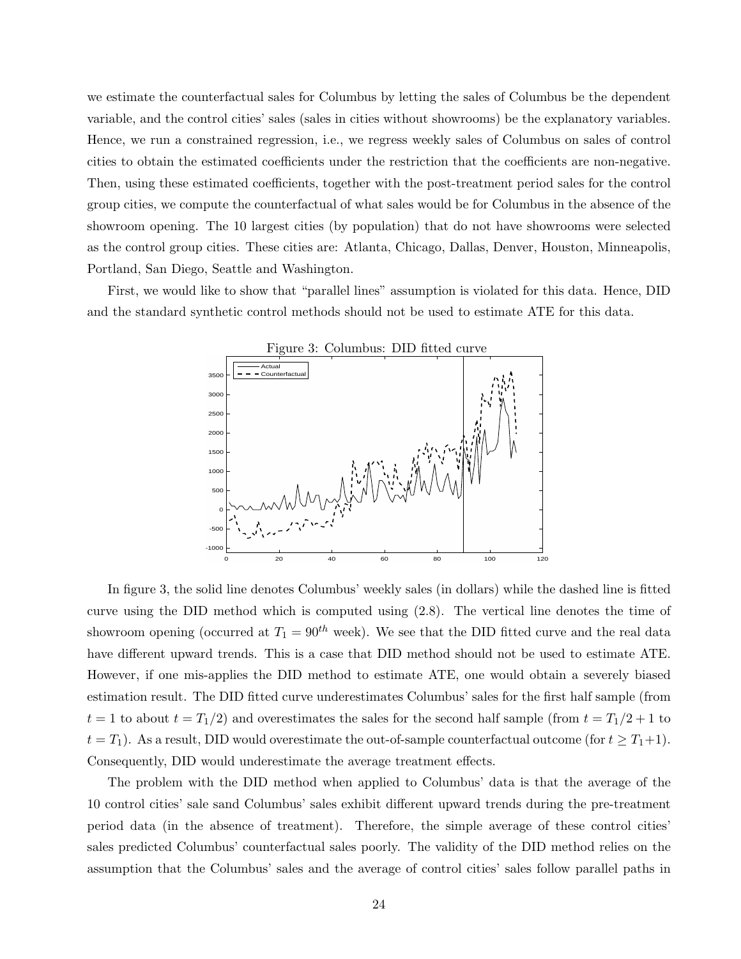we estimate the counterfactual sales for Columbus by letting the sales of Columbus be the dependent variable, and the control cities' sales (sales in cities without showrooms) be the explanatory variables. Hence, we run a constrained regression, i.e., we regress weekly sales of Columbus on sales of control cities to obtain the estimated coefficients under the restriction that the coefficients are non-negative. Then, using these estimated coefficients, together with the post-treatment period sales for the control group cities, we compute the counterfactual of what sales would be for Columbus in the absence of the showroom opening. The 10 largest cities (by population) that do not have showrooms were selected as the control group cities. These cities are: Atlanta, Chicago, Dallas, Denver, Houston, Minneapolis, Portland, San Diego, Seattle and Washington.

First, we would like to show that "parallel lines" assumption is violated for this data. Hence, DID and the standard synthetic control methods should not be used to estimate ATE for this data.



In figure 3, the solid line denotes Columbus' weekly sales (in dollars) while the dashed line is fitted curve using the DID method which is computed using (2.8). The vertical line denotes the time of showroom opening (occurred at  $T_1 = 90^{th}$  week). We see that the DID fitted curve and the real data have different upward trends. This is a case that DID method should not be used to estimate ATE. However, if one mis-applies the DID method to estimate ATE, one would obtain a severely biased estimation result. The DID fitted curve underestimates Columbus' sales for the first half sample (from  $t = 1$  to about  $t = T_1/2$ ) and overestimates the sales for the second half sample (from  $t = T_1/2 + 1$  to  $t = T_1$ ). As a result, DID would overestimate the out-of-sample counterfactual outcome (for  $t \geq T_1+1$ ). Consequently, DID would underestimate the average treatment effects.

The problem with the DID method when applied to Columbus' data is that the average of the 10 control cities' sale sand Columbus' sales exhibit different upward trends during the pre-treatment period data (in the absence of treatment). Therefore, the simple average of these control cities' sales predicted Columbus' counterfactual sales poorly. The validity of the DID method relies on the assumption that the Columbus' sales and the average of control cities' sales follow parallel paths in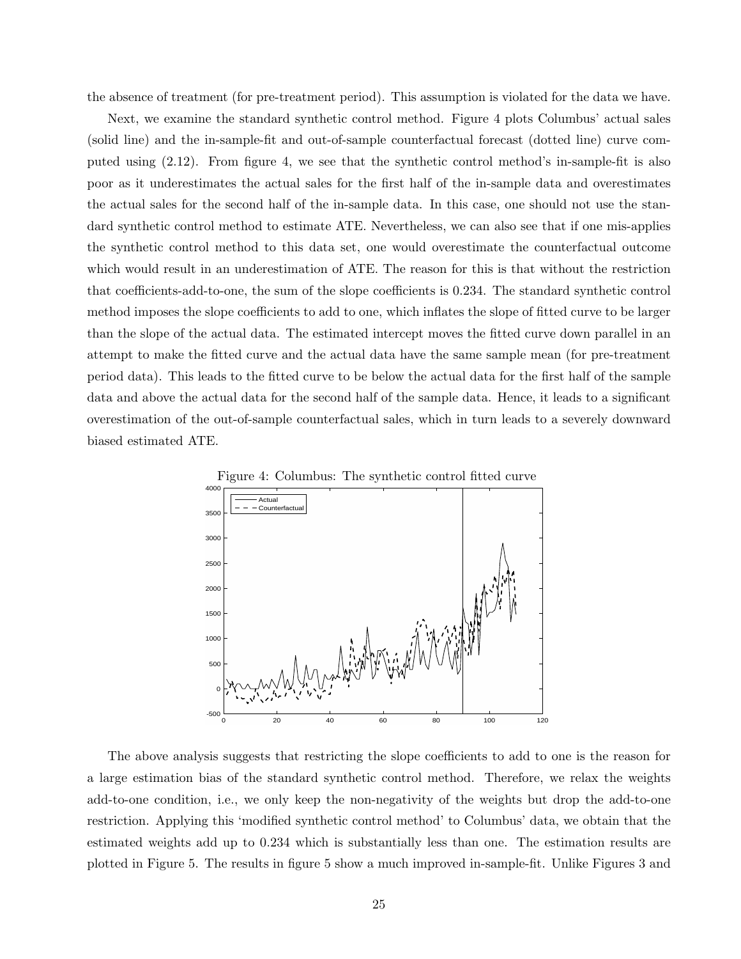the absence of treatment (for pre-treatment period). This assumption is violated for the data we have.

Next, we examine the standard synthetic control method. Figure 4 plots Columbus' actual sales (solid line) and the in-sample-fit and out-of-sample counterfactual forecast (dotted line) curve computed using (2.12). From figure 4, we see that the synthetic control method's in-sample-fit is also poor as it underestimates the actual sales for the first half of the in-sample data and overestimates the actual sales for the second half of the in-sample data. In this case, one should not use the standard synthetic control method to estimate ATE. Nevertheless, we can also see that if one mis-applies the synthetic control method to this data set, one would overestimate the counterfactual outcome which would result in an underestimation of ATE. The reason for this is that without the restriction that coefficients-add-to-one, the sum of the slope coefficients is 0.234. The standard synthetic control method imposes the slope coefficients to add to one, which inflates the slope of fitted curve to be larger than the slope of the actual data. The estimated intercept moves the fitted curve down parallel in an attempt to make the fitted curve and the actual data have the same sample mean (for pre-treatment period data). This leads to the fitted curve to be below the actual data for the first half of the sample data and above the actual data for the second half of the sample data. Hence, it leads to a significant overestimation of the out-of-sample counterfactual sales, which in turn leads to a severely downward biased estimated ATE.



The above analysis suggests that restricting the slope coefficients to add to one is the reason for a large estimation bias of the standard synthetic control method. Therefore, we relax the weights add-to-one condition, i.e., we only keep the non-negativity of the weights but drop the add-to-one restriction. Applying this 'modified synthetic control method' to Columbus' data, we obtain that the estimated weights add up to 0.234 which is substantially less than one. The estimation results are plotted in Figure 5. The results in figure 5 show a much improved in-sample-fit. Unlike Figures 3 and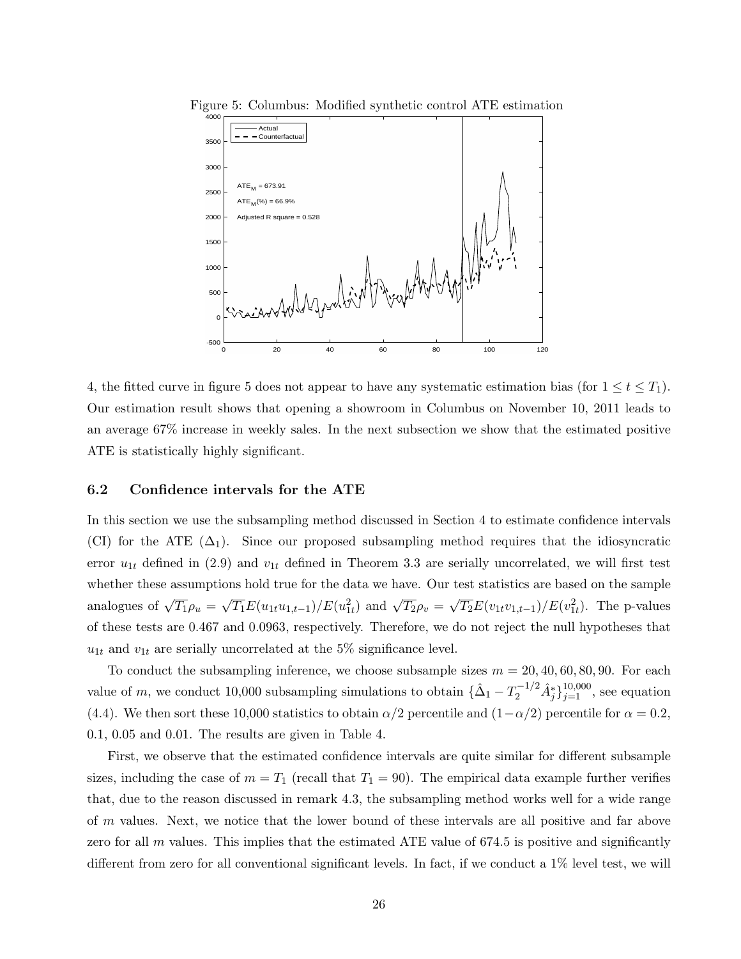

Figure 5: Columbus: Modified synthetic control ATE estimation

4, the fitted curve in figure 5 does not appear to have any systematic estimation bias (for  $1 \le t \le T_1$ ). Our estimation result shows that opening a showroom in Columbus on November 10, 2011 leads to an average 67% increase in weekly sales. In the next subsection we show that the estimated positive ATE is statistically highly significant.

#### 6.2 Confidence intervals for the ATE

In this section we use the subsampling method discussed in Section 4 to estimate confidence intervals (CI) for the ATE  $(\Delta_1)$ . Since our proposed subsampling method requires that the idiosyncratic error  $u_{1t}$  defined in (2.9) and  $v_{1t}$  defined in Theorem 3.3 are serially uncorrelated, we will first test whether these assumptions hold true for the data we have. Our test statistics are based on the sample analogues of  $\sqrt{T_1} \rho_u =$ √  $\overline{T_1}E(u_{1t}u_{1,t-1})/E(u_{1t}^2)$  and  $\sqrt{T_2}\rho_v =$ √  $\overline{T_2}E(v_{1t}v_{1,t-1})/E(v_{1t}^2)$ . The p-values of these tests are 0.467 and 0.0963, respectively. Therefore, we do not reject the null hypotheses that  $u_{1t}$  and  $v_{1t}$  are serially uncorrelated at the 5% significance level.

To conduct the subsampling inference, we choose subsample sizes  $m = 20, 40, 60, 80, 90$ . For each value of m, we conduct 10,000 subsampling simulations to obtain  $\{\hat{\Delta}_1 - T_2^{-1/2} \hat{A}_j^*\}_{j=1}^{10,000}$ , see equation (4.4). We then sort these 10,000 statistics to obtain  $\alpha/2$  percentile and  $(1-\alpha/2)$  percentile for  $\alpha = 0.2$ , 0.1, 0.05 and 0.01. The results are given in Table 4.

First, we observe that the estimated confidence intervals are quite similar for different subsample sizes, including the case of  $m = T_1$  (recall that  $T_1 = 90$ ). The empirical data example further verifies that, due to the reason discussed in remark 4.3, the subsampling method works well for a wide range of m values. Next, we notice that the lower bound of these intervals are all positive and far above zero for all  $m$  values. This implies that the estimated ATE value of 674.5 is positive and significantly different from zero for all conventional significant levels. In fact, if we conduct a 1% level test, we will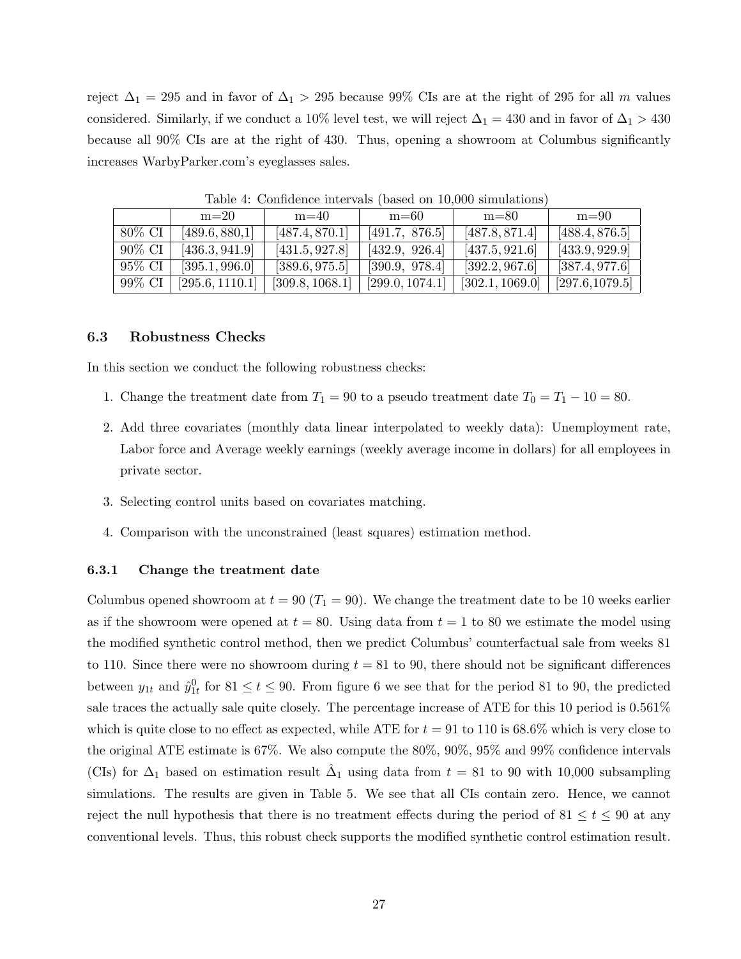reject  $\Delta_1 = 295$  and in favor of  $\Delta_1 > 295$  because 99% CIs are at the right of 295 for all m values considered. Similarly, if we conduct a 10% level test, we will reject  $\Delta_1 = 430$  and in favor of  $\Delta_1 > 430$ because all 90% CIs are at the right of 430. Thus, opening a showroom at Columbus significantly increases WarbyParker.com's eyeglasses sales.

|        | $m=20$          | $m=40$          | $m=60$          | $m=80$          | $m=90$          |
|--------|-----------------|-----------------|-----------------|-----------------|-----------------|
| 80% CI | [489.6, 880, 1] | [487.4, 870.1]  | [491.7, 876.5]  | [487.8, 871.4]  | [488.4, 876.5]  |
| 90% CI | [436.3, 941.9]  | [431.5, 927.8]  | [432.9, 926.4]  | [437.5, 921.6]  | [433.9, 929.9]  |
| 95% CI | [395.1, 996.0]  | [389.6, 975.5]  | [390.9, 978.4]  | [392.2, 967.6]  | [387.4, 977.6]  |
| 99% CI | [295.6, 1110.1] | [309.8, 1068.1] | [299.0, 1074.1] | [302.1, 1069.0] | [297.6, 1079.5] |

Table 4: Confidence intervals (based on 10,000 simulations)

#### 6.3 Robustness Checks

In this section we conduct the following robustness checks:

- 1. Change the treatment date from  $T_1 = 90$  to a pseudo treatment date  $T_0 = T_1 10 = 80$ .
- 2. Add three covariates (monthly data linear interpolated to weekly data): Unemployment rate, Labor force and Average weekly earnings (weekly average income in dollars) for all employees in private sector.
- 3. Selecting control units based on covariates matching.
- 4. Comparison with the unconstrained (least squares) estimation method.

#### 6.3.1 Change the treatment date

Columbus opened showroom at  $t = 90 (T_1 = 90)$ . We change the treatment date to be 10 weeks earlier as if the showroom were opened at  $t = 80$ . Using data from  $t = 1$  to 80 we estimate the model using the modified synthetic control method, then we predict Columbus' counterfactual sale from weeks 81 to 110. Since there were no showroom during  $t = 81$  to 90, there should not be significant differences between  $y_{1t}$  and  $\hat{y}_{1t}^0$  for  $81 \le t \le 90$ . From figure 6 we see that for the period 81 to 90, the predicted sale traces the actually sale quite closely. The percentage increase of ATE for this 10 period is 0.561% which is quite close to no effect as expected, while ATE for  $t = 91$  to 110 is 68.6% which is very close to the original ATE estimate is 67%. We also compute the 80%, 90%, 95% and 99% confidence intervals (CIs) for  $\Delta_1$  based on estimation result  $\hat{\Delta}_1$  using data from  $t = 81$  to 90 with 10,000 subsampling simulations. The results are given in Table 5. We see that all CIs contain zero. Hence, we cannot reject the null hypothesis that there is no treatment effects during the period of 81  $\leq t \leq 90$  at any conventional levels. Thus, this robust check supports the modified synthetic control estimation result.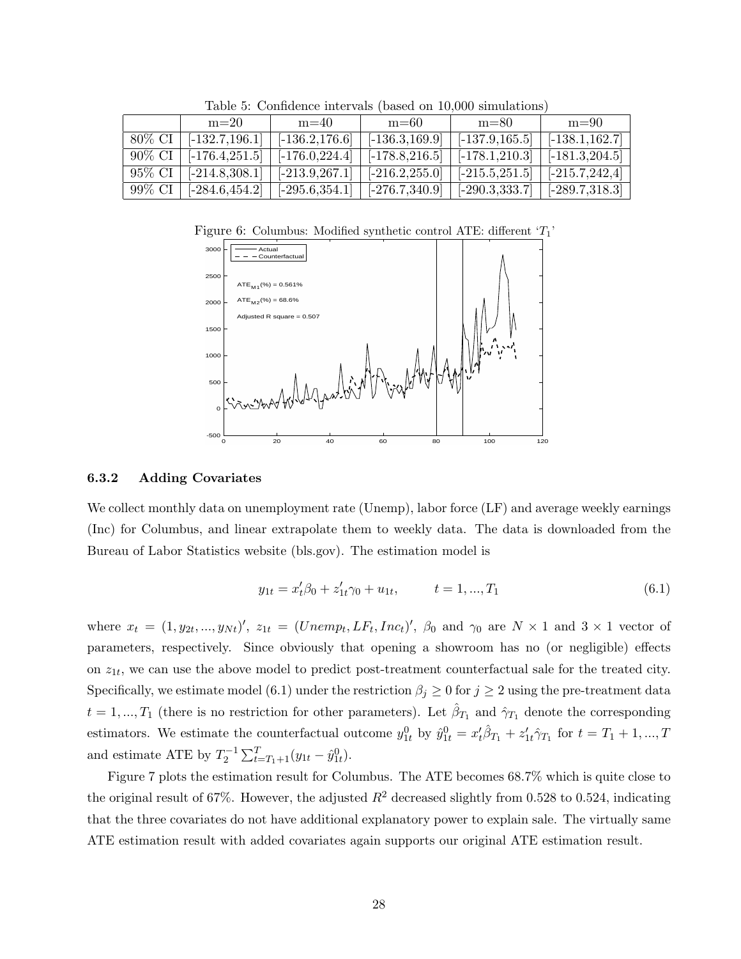|        | $m=20$            | $m=40$            | $m=60$            | $m=80$                                | $m=90$                 |  |  |  |  |  |
|--------|-------------------|-------------------|-------------------|---------------------------------------|------------------------|--|--|--|--|--|
| 80% CI | $[-132.7, 196.1]$ | $[-136.2, 176.6]$ | $[-136.3, 169.9]$ | $[-137.9, 165.5]$                     | $[-138.1, 162.7]$      |  |  |  |  |  |
| 90% CI | $[-176.4, 251.5]$ | $[-176.0, 224.4]$ | $[-178.8, 216.5]$ | $[-178.1, 210.3]$   $[-181.3, 204.5]$ |                        |  |  |  |  |  |
| 95% CI | $[-214.8, 308.1]$ | $[-213.9, 267.1]$ | $[-216.2, 255.0]$ | $[-215.5, 251.5]$   $[-215.7, 242.4]$ |                        |  |  |  |  |  |
| 99% CI | $[-284.6, 454.2]$ | $[-295.6, 354.1]$ | $[-276.7,340.9]$  | $[-290.3, 333.7]$                     | $\vert$ [-289.7,318.3] |  |  |  |  |  |

Table 5: Confidence intervals (based on 10,000 simulations)

Figure 6: Columbus: Modified synthetic control ATE: different  $T_1$ 



#### 6.3.2 Adding Covariates

We collect monthly data on unemployment rate (Unemp), labor force (LF) and average weekly earnings (Inc) for Columbus, and linear extrapolate them to weekly data. The data is downloaded from the Bureau of Labor Statistics website (bls.gov). The estimation model is

$$
y_{1t} = x_t^{\prime} \beta_0 + z_{1t}^{\prime} \gamma_0 + u_{1t}, \qquad t = 1, ..., T_1
$$
\n(6.1)

where  $x_t = (1, y_{2t}, ..., y_{Nt})'$ ,  $z_{1t} = (Unemp_t, LF_t, Inc_t)'$ ,  $\beta_0$  and  $\gamma_0$  are  $N \times 1$  and  $3 \times 1$  vector of parameters, respectively. Since obviously that opening a showroom has no (or negligible) effects on  $z_{1t}$ , we can use the above model to predict post-treatment counterfactual sale for the treated city. Specifically, we estimate model (6.1) under the restriction  $\beta_j \geq 0$  for  $j \geq 2$  using the pre-treatment data  $t = 1, ..., T_1$  (there is no restriction for other parameters). Let  $\hat{\beta}_{T_1}$  and  $\hat{\gamma}_{T_1}$  denote the corresponding estimators. We estimate the counterfactual outcome  $y_{1t}^0$  by  $\hat{y}_{1t}^0 = x_t'\hat{\beta}_{T_1} + z_{1t}'\hat{\gamma}_{T_1}$  for  $t = T_1 + 1, ..., T_t$ and estimate ATE by  $T_2^{-1} \sum_{t=T_1+1}^{T} (y_{1t} - \hat{y}_{1t}^0)$ .

Figure 7 plots the estimation result for Columbus. The ATE becomes 68.7% which is quite close to the original result of 67%. However, the adjusted  $R^2$  decreased slightly from 0.528 to 0.524, indicating that the three covariates do not have additional explanatory power to explain sale. The virtually same ATE estimation result with added covariates again supports our original ATE estimation result.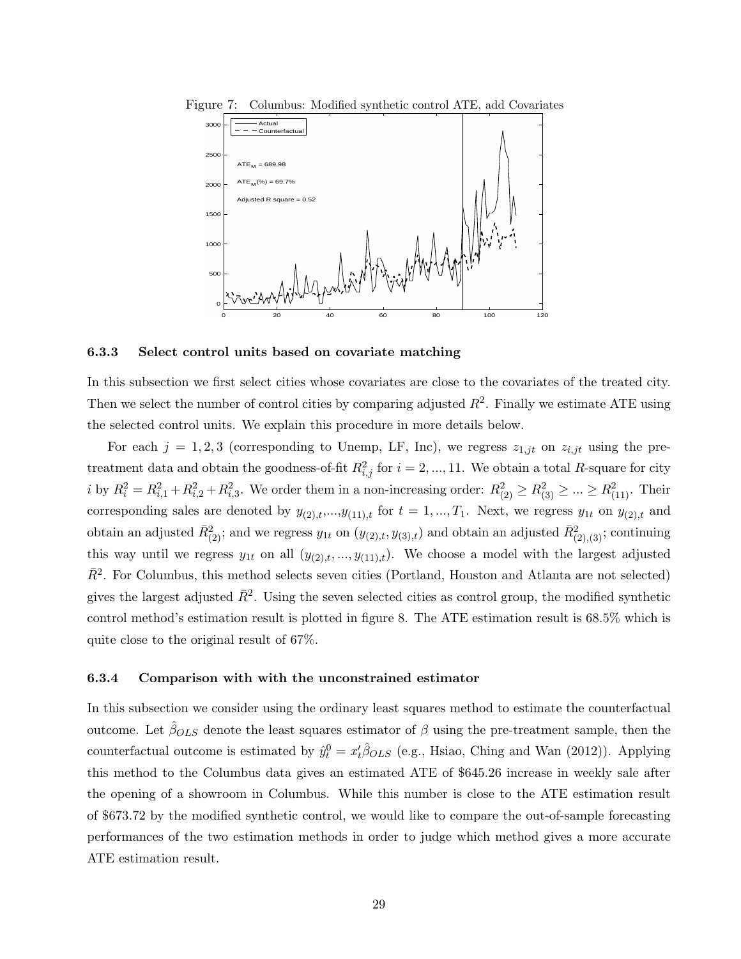

Figure 7: Columbus: Modified synthetic control ATE, add Covariates

#### 6.3.3 Select control units based on covariate matching

In this subsection we first select cities whose covariates are close to the covariates of the treated city. Then we select the number of control cities by comparing adjusted  $R^2$ . Finally we estimate ATE using the selected control units. We explain this procedure in more details below.

For each  $j = 1, 2, 3$  (corresponding to Unemp, LF, Inc), we regress  $z_{1,jt}$  on  $z_{i,jt}$  using the pretreatment data and obtain the goodness-of-fit  $R_{i,j}^2$  for  $i = 2, ..., 11$ . We obtain a total R-square for city i by  $R_i^2 = R_{i,1}^2 + R_{i,2}^2 + R_{i,3}^2$ . We order them in a non-increasing order:  $R_{(2)}^2 \ge R_{(3)}^2 \ge ... \ge R_{(11)}^2$ . Their corresponding sales are denoted by  $y_{(2),t},...,y_{(11),t}$  for  $t = 1,...,T_1$ . Next, we regress  $y_{1t}$  on  $y_{(2),t}$  and obtain an adjusted  $\bar{R}_{(2)}^2$ ; and we regress  $y_{1t}$  on  $(y_{(2),t}, y_{(3),t})$  and obtain an adjusted  $\bar{R}_{(2),(3)}^2$ ; continuing this way until we regress  $y_{1t}$  on all  $(y_{(2),t},...,y_{(11),t})$ . We choose a model with the largest adjusted  $\bar{R}^2$ . For Columbus, this method selects seven cities (Portland, Houston and Atlanta are not selected) gives the largest adjusted  $\bar{R}^2$ . Using the seven selected cities as control group, the modified synthetic control method's estimation result is plotted in figure 8. The ATE estimation result is 68.5% which is quite close to the original result of 67%.

#### 6.3.4 Comparison with with the unconstrained estimator

In this subsection we consider using the ordinary least squares method to estimate the counterfactual outcome. Let  $\hat{\beta}_{OLS}$  denote the least squares estimator of  $\beta$  using the pre-treatment sample, then the counterfactual outcome is estimated by  $\hat{y}_t^0 = x_t' \hat{\beta}_{OLS}$  (e.g., Hsiao, Ching and Wan (2012)). Applying this method to the Columbus data gives an estimated ATE of \$645.26 increase in weekly sale after the opening of a showroom in Columbus. While this number is close to the ATE estimation result of \$673.72 by the modified synthetic control, we would like to compare the out-of-sample forecasting performances of the two estimation methods in order to judge which method gives a more accurate ATE estimation result.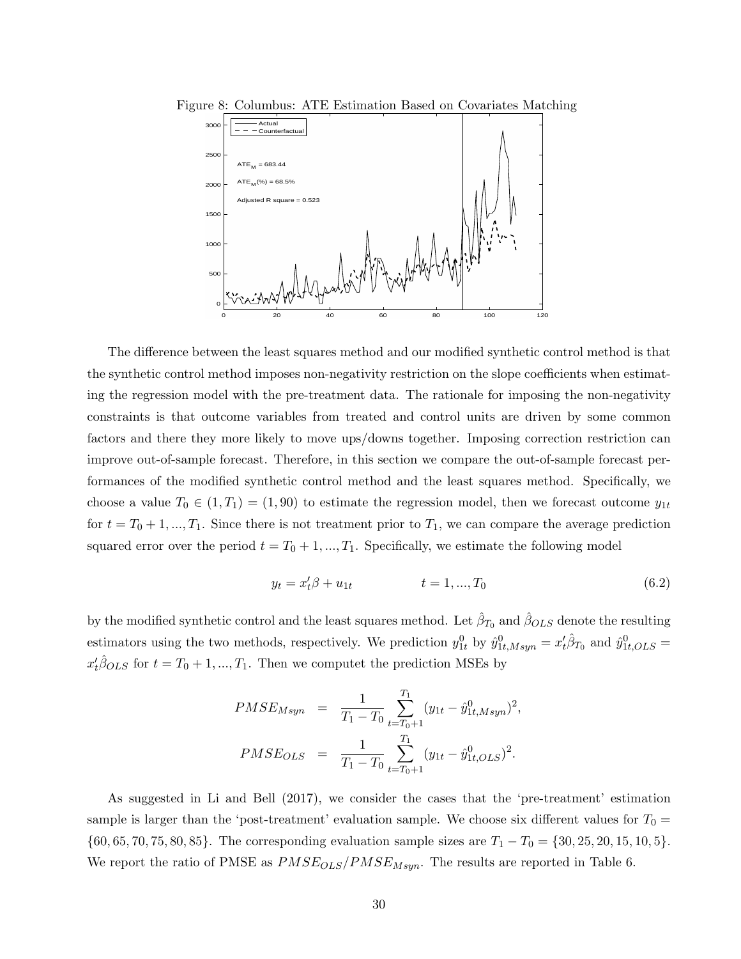



The difference between the least squares method and our modified synthetic control method is that the synthetic control method imposes non-negativity restriction on the slope coefficients when estimating the regression model with the pre-treatment data. The rationale for imposing the non-negativity constraints is that outcome variables from treated and control units are driven by some common factors and there they more likely to move ups/downs together. Imposing correction restriction can improve out-of-sample forecast. Therefore, in this section we compare the out-of-sample forecast performances of the modified synthetic control method and the least squares method. Specifically, we choose a value  $T_0 \in (1, T_1) = (1, 90)$  to estimate the regression model, then we forecast outcome  $y_{1t}$ for  $t = T_0 + 1, ..., T_1$ . Since there is not treatment prior to  $T_1$ , we can compare the average prediction squared error over the period  $t = T_0 + 1, ..., T_1$ . Specifically, we estimate the following model

$$
y_t = x_t' \beta + u_{1t} \qquad \qquad t = 1, ..., T_0 \qquad (6.2)
$$

by the modified synthetic control and the least squares method. Let  $\hat{\beta}_{T_0}$  and  $\hat{\beta}_{OLS}$  denote the resulting estimators using the two methods, respectively. We prediction  $y_{1t}^0$  by  $\hat{y}_{1t,Msyn}^0 = x_t'\hat{\beta}_{T_0}$  and  $\hat{y}_{1t,OLS}^0 =$  $x_t' \hat{\beta}_{OLS}$  for  $t = T_0 + 1, ..., T_1$ . Then we computet the prediction MSEs by

$$
PMSE_{Msyn} = \frac{1}{T_1 - T_0} \sum_{t=T_0+1}^{T_1} (y_{1t} - \hat{y}_{1t, Msyn}^0)^2,
$$
  

$$
PMSE_{OLS} = \frac{1}{T_1 - T_0} \sum_{t=T_0+1}^{T_1} (y_{1t} - \hat{y}_{1t,OLS}^0)^2.
$$

As suggested in Li and Bell (2017), we consider the cases that the 'pre-treatment' estimation sample is larger than the 'post-treatment' evaluation sample. We choose six different values for  $T_0 =$  $\{60, 65, 70, 75, 80, 85\}$ . The corresponding evaluation sample sizes are  $T_1 - T_0 = \{30, 25, 20, 15, 10, 5\}$ . We report the ratio of PMSE as  $PMSE_{OLS}/PMSE_{Msyn}$ . The results are reported in Table 6.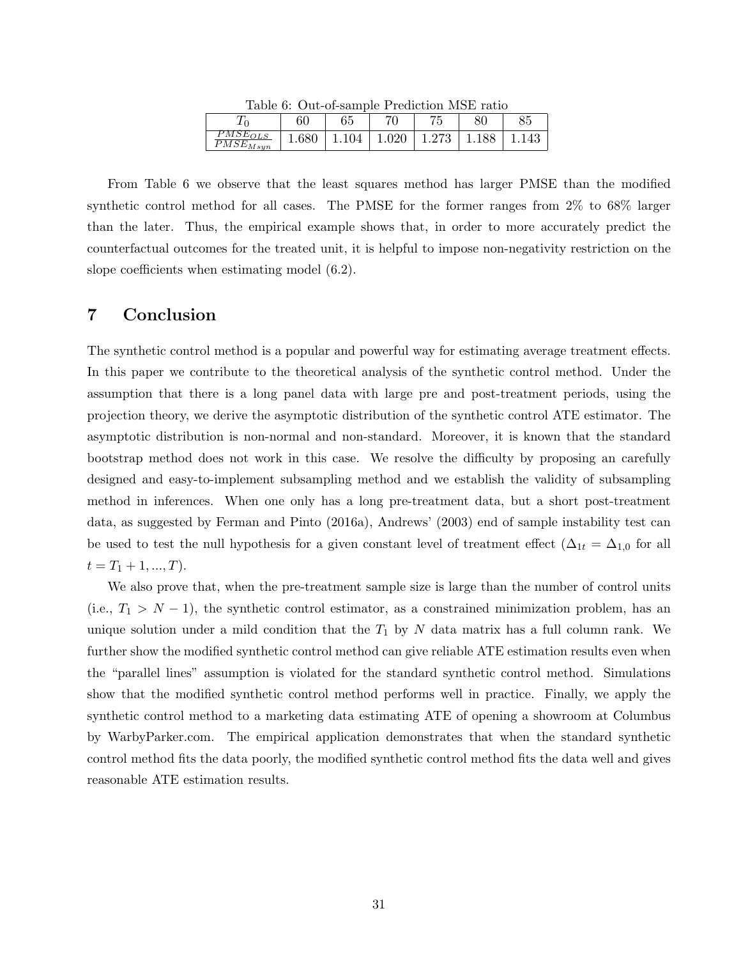| Table 0. Out of sample I featured mold famo |       |              |       |          |     |       |  |  |
|---------------------------------------------|-------|--------------|-------|----------|-----|-------|--|--|
| וו⊾                                         |       | $\sim$<br>b5 | 71    | 75<br>ెల |     | 85    |  |  |
| $PMSE_{OLS}$<br>$PMSE_{Msyn}$               | 1.680 | 1.104        | 1.020 | 1.273    | 188 | 1.143 |  |  |

Table 6: Out-of-sample Prediction MSE ratio

From Table 6 we observe that the least squares method has larger PMSE than the modified synthetic control method for all cases. The PMSE for the former ranges from 2% to 68% larger than the later. Thus, the empirical example shows that, in order to more accurately predict the counterfactual outcomes for the treated unit, it is helpful to impose non-negativity restriction on the slope coefficients when estimating model (6.2).

## 7 Conclusion

The synthetic control method is a popular and powerful way for estimating average treatment effects. In this paper we contribute to the theoretical analysis of the synthetic control method. Under the assumption that there is a long panel data with large pre and post-treatment periods, using the projection theory, we derive the asymptotic distribution of the synthetic control ATE estimator. The asymptotic distribution is non-normal and non-standard. Moreover, it is known that the standard bootstrap method does not work in this case. We resolve the difficulty by proposing an carefully designed and easy-to-implement subsampling method and we establish the validity of subsampling method in inferences. When one only has a long pre-treatment data, but a short post-treatment data, as suggested by Ferman and Pinto (2016a), Andrews' (2003) end of sample instability test can be used to test the null hypothesis for a given constant level of treatment effect ( $\Delta_{1t} = \Delta_{1,0}$  for all  $t = T_1 + 1, ..., T$ .

We also prove that, when the pre-treatment sample size is large than the number of control units (i.e.,  $T_1 > N - 1$ ), the synthetic control estimator, as a constrained minimization problem, has an unique solution under a mild condition that the  $T_1$  by N data matrix has a full column rank. We further show the modified synthetic control method can give reliable ATE estimation results even when the "parallel lines" assumption is violated for the standard synthetic control method. Simulations show that the modified synthetic control method performs well in practice. Finally, we apply the synthetic control method to a marketing data estimating ATE of opening a showroom at Columbus by WarbyParker.com. The empirical application demonstrates that when the standard synthetic control method fits the data poorly, the modified synthetic control method fits the data well and gives reasonable ATE estimation results.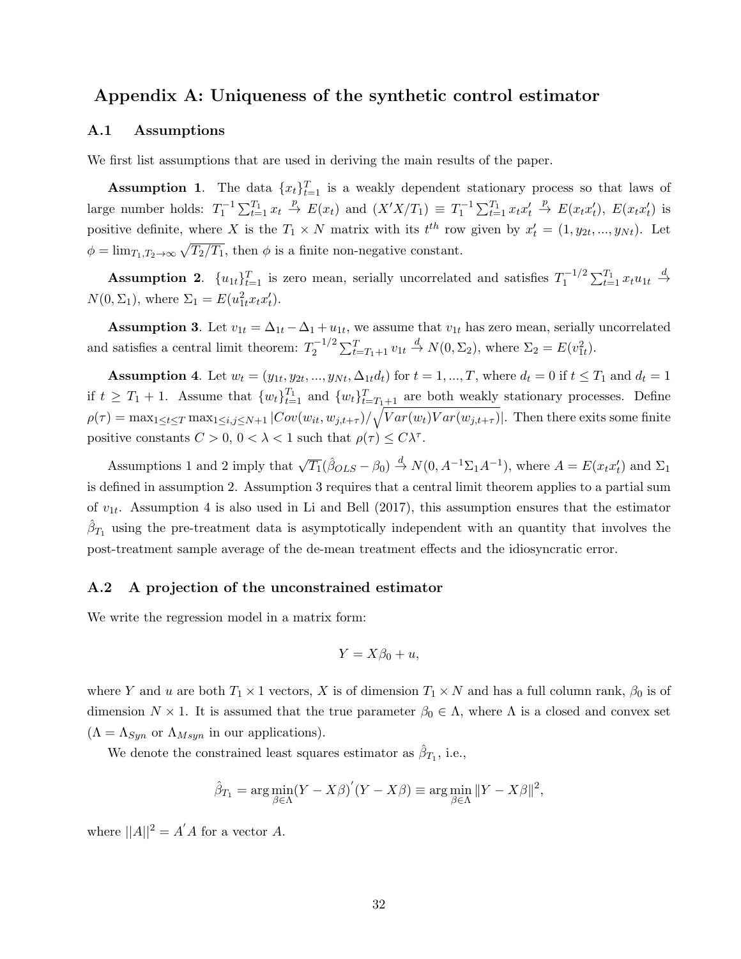## Appendix A: Uniqueness of the synthetic control estimator

#### A.1 Assumptions

We first list assumptions that are used in deriving the main results of the paper.

**Assumption 1.** The data  $\{x_t\}_{t=1}^T$  is a weakly dependent stationary process so that laws of large number holds:  $T_1^{-1} \sum_{t=1}^{T_1} x_t \stackrel{p}{\rightarrow} E(x_t)$  and  $(X'X/T_1) \equiv T_1^{-1} \sum_{t=1}^{T_1} x_t x_t' \stackrel{p}{\rightarrow} E(x_t x_t'), E(x_t x_t')$  is positive definite, where X is the  $T_1 \times N$  matrix with its  $t^{th}$  row given by  $x'_t = (1, y_{2t}, ..., y_{Nt})$ . Let  $\phi = \lim_{T_1, T_2 \to \infty} \sqrt{T_2/T_1}$ , then  $\phi$  is a finite non-negative constant.

**Assumption 2.**  $\{u_{1t}\}_{t=1}^T$  is zero mean, serially uncorrelated and satisfies  $T_1^{-1/2}$  $t_1^{-1/2} \sum_{t=1}^{T_1} x_t u_{1t} \stackrel{d}{\to}$  $N(0, \Sigma_1)$ , where  $\Sigma_1 = E(u_{1t}^2 x_t x_t')$ .

**Assumption 3**. Let  $v_{1t} = \Delta_{1t} - \Delta_1 + u_{1t}$ , we assume that  $v_{1t}$  has zero mean, serially uncorrelated and satisfies a central limit theorem:  $T_2^{-1/2}$  $E_2^{-1/2} \sum_{t=T_1+1}^{T} v_{1t} \stackrel{d}{\to} N(0, \Sigma_2)$ , where  $\Sigma_2 = E(v_{1t}^2)$ .

**Assumption 4.** Let  $w_t = (y_{1t}, y_{2t}, ..., y_{Nt}, \Delta_{1t}d_t)$  for  $t = 1, ..., T$ , where  $d_t = 0$  if  $t \leq T_1$  and  $d_t = 1$ if  $t \geq T_1 + 1$ . Assume that  $\{w_t\}_{t=1}^{T_1}$  and  $\{w_t\}_{t=T_1+1}^{T_1}$  are both weakly stationary processes. Define  $\rho(\tau) = \max_{1 \leq t \leq T} \max_{1 \leq i,j \leq N+1} |Cov(w_{it}, w_{j,t+\tau})| \sqrt{Var(w_t)Var(w_{j,t+\tau})}|$ . Then there exits some finite positive constants  $C > 0$ ,  $0 < \lambda < 1$  such that  $\rho(\tau) \le C\lambda^{\tau}$ .

Assumptions 1 and 2 imply that  $\sqrt{T_1}(\hat{\beta}_{OLS} - \beta_0) \stackrel{d}{\rightarrow} N(0, A^{-1}\Sigma_1 A^{-1})$ , where  $A = E(x_t x_t')$  and  $\Sigma_1$ is defined in assumption 2. Assumption 3 requires that a central limit theorem applies to a partial sum of  $v_{1t}$ . Assumption 4 is also used in Li and Bell (2017), this assumption ensures that the estimator  $\hat{\beta}_{T_1}$  using the pre-treatment data is asymptotically independent with an quantity that involves the post-treatment sample average of the de-mean treatment effects and the idiosyncratic error.

#### A.2 A projection of the unconstrained estimator

We write the regression model in a matrix form:

$$
Y = X\beta_0 + u,
$$

where Y and u are both  $T_1 \times 1$  vectors, X is of dimension  $T_1 \times N$  and has a full column rank,  $\beta_0$  is of dimension  $N \times 1$ . It is assumed that the true parameter  $\beta_0 \in \Lambda$ , where  $\Lambda$  is a closed and convex set  $(\Lambda = \Lambda_{Syn}$  or  $\Lambda_{Msyn}$  in our applications).

We denote the constrained least squares estimator as  $\hat{\beta}_{T_1}$ , i.e.,

$$
\hat{\beta}_{T_1} = \arg\min_{\beta \in \Lambda} (Y - X\beta)'(Y - X\beta) \equiv \arg\min_{\beta \in \Lambda} \|Y - X\beta\|^2,
$$

where  $||A||^2 = A'A$  for a vector A.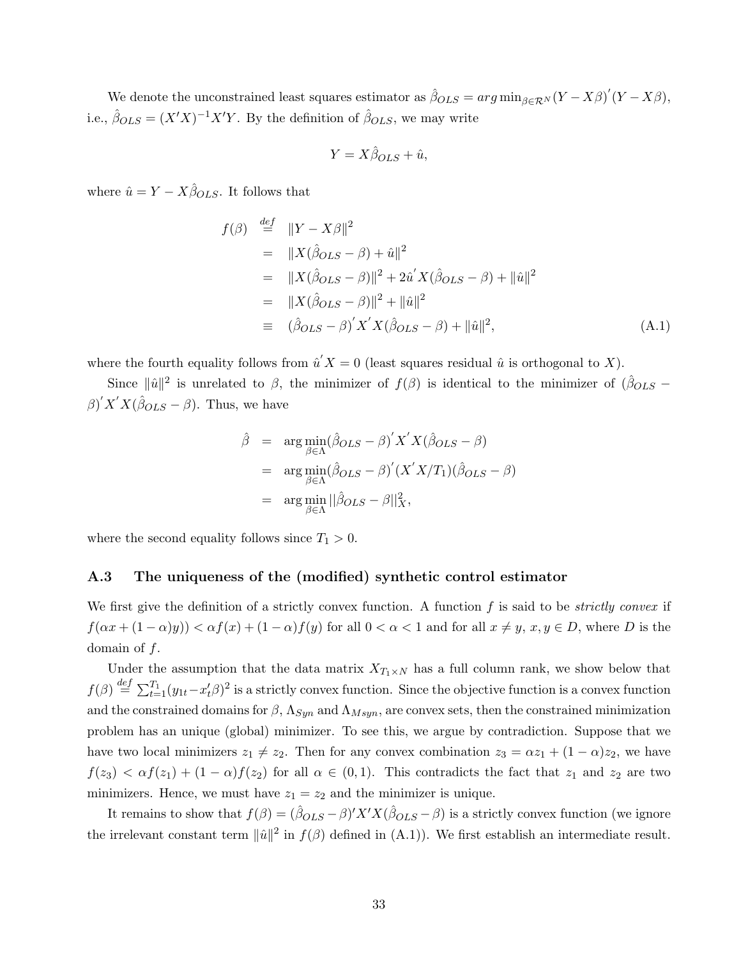We denote the unconstrained least squares estimator as  $\hat{\beta}_{OLS} = arg \min_{\beta \in \mathcal{R}^N} (Y - X\beta)'(Y - X\beta)$ , i.e.,  $\hat{\beta}_{OLS} = (X'X)^{-1}X'Y$ . By the definition of  $\hat{\beta}_{OLS}$ , we may write

$$
Y = X\hat{\beta}_{OLS} + \hat{u},
$$

where  $\hat{u} = Y - X\hat{\beta}_{OLS}$ . It follows that

$$
f(\beta) \stackrel{def}{=} ||Y - X\beta||^2
$$
  
=  $||X(\hat{\beta}_{OLS} - \beta) + \hat{u}||^2$   
=  $||X(\hat{\beta}_{OLS} - \beta)||^2 + 2\hat{u}'X(\hat{\beta}_{OLS} - \beta) + ||\hat{u}||^2$   
=  $||X(\hat{\beta}_{OLS} - \beta)||^2 + ||\hat{u}||^2$   
=  $(\hat{\beta}_{OLS} - \beta)'X'X(\hat{\beta}_{OLS} - \beta) + ||\hat{u}||^2,$  (A.1)

where the fourth equality follows from  $\hat{u}'X = 0$  (least squares residual  $\hat{u}$  is orthogonal to X).

Since  $\|\hat{u}\|^2$  is unrelated to  $\beta$ , the minimizer of  $f(\beta)$  is identical to the minimizer of  $(\hat{\beta}_{OLS}$  –  $\beta)' X' X (\hat{\beta}_{OLS} - \beta)$ . Thus, we have

$$
\hat{\beta} = \arg \min_{\beta \in \Lambda} (\hat{\beta}_{OLS} - \beta)' X' X (\hat{\beta}_{OLS} - \beta)
$$
  
= 
$$
\arg \min_{\beta \in \Lambda} (\hat{\beta}_{OLS} - \beta)' (X' X / T_1) (\hat{\beta}_{OLS} - \beta)
$$
  
= 
$$
\arg \min_{\beta \in \Lambda} ||\hat{\beta}_{OLS} - \beta||_X^2,
$$

where the second equality follows since  $T_1 > 0$ .

#### A.3 The uniqueness of the (modified) synthetic control estimator

We first give the definition of a strictly convex function. A function  $f$  is said to be *strictly convex* if  $f(\alpha x + (1 - \alpha)y) < \alpha f(x) + (1 - \alpha)f(y)$  for all  $0 < \alpha < 1$  and for all  $x \neq y, x, y \in D$ , where D is the domain of f.

Under the assumption that the data matrix  $X_{T_1 \times N}$  has a full column rank, we show below that  $f(\beta) \stackrel{def}{=} \sum_{t=1}^{T_1} (y_{1t}-x'_t\beta)^2$  is a strictly convex function. Since the objective function is a convex function and the constrained domains for  $\beta$ ,  $\Lambda_{Syn}$  and  $\Lambda_{Msyn}$ , are convex sets, then the constrained minimization problem has an unique (global) minimizer. To see this, we argue by contradiction. Suppose that we have two local minimizers  $z_1 \neq z_2$ . Then for any convex combination  $z_3 = \alpha z_1 + (1 - \alpha)z_2$ , we have  $f(z_3) < \alpha f(z_1) + (1 - \alpha)f(z_2)$  for all  $\alpha \in (0, 1)$ . This contradicts the fact that  $z_1$  and  $z_2$  are two minimizers. Hence, we must have  $z_1 = z_2$  and the minimizer is unique.

It remains to show that  $f(\beta) = (\hat{\beta}_{OLS} - \beta)'X'X(\hat{\beta}_{OLS} - \beta)$  is a strictly convex function (we ignore the irrelevant constant term  $\|\hat{u}\|^2$  in  $f(\beta)$  defined in (A.1)). We first establish an intermediate result.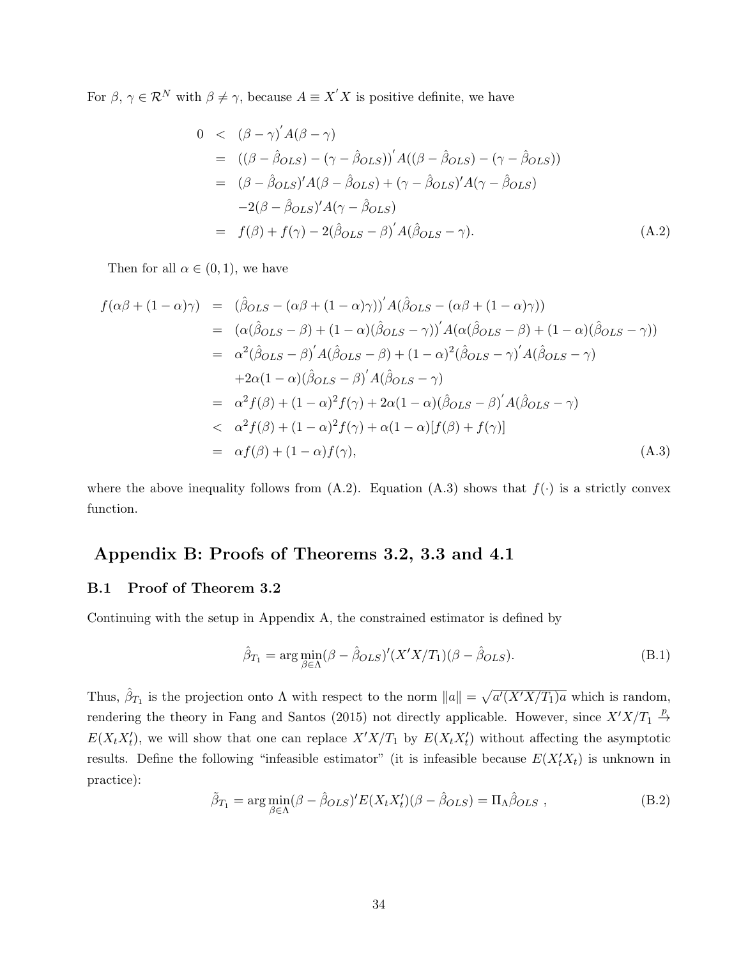For  $\beta, \gamma \in \mathcal{R}^N$  with  $\beta \neq \gamma$ , because  $A \equiv X'X$  is positive definite, we have

$$
0 < (\beta - \gamma)' A(\beta - \gamma)
$$
  
\n
$$
= ((\beta - \hat{\beta}_{OLS}) - (\gamma - \hat{\beta}_{OLS}))' A((\beta - \hat{\beta}_{OLS}) - (\gamma - \hat{\beta}_{OLS}))
$$
  
\n
$$
= (\beta - \hat{\beta}_{OLS})' A(\beta - \hat{\beta}_{OLS}) + (\gamma - \hat{\beta}_{OLS})' A(\gamma - \hat{\beta}_{OLS})
$$
  
\n
$$
-2(\beta - \hat{\beta}_{OLS})' A(\gamma - \hat{\beta}_{OLS})
$$
  
\n
$$
= f(\beta) + f(\gamma) - 2(\hat{\beta}_{OLS} - \beta)' A(\hat{\beta}_{OLS} - \gamma).
$$
 (A.2)

Then for all  $\alpha \in (0,1)$ , we have

$$
f(\alpha\beta + (1 - \alpha)\gamma) = (\hat{\beta}_{OLS} - (\alpha\beta + (1 - \alpha)\gamma))^{'} A(\hat{\beta}_{OLS} - (\alpha\beta + (1 - \alpha)\gamma))
$$
  
\n
$$
= (\alpha(\hat{\beta}_{OLS} - \beta) + (1 - \alpha)(\hat{\beta}_{OLS} - \gamma))^{'} A(\alpha(\hat{\beta}_{OLS} - \beta) + (1 - \alpha)(\hat{\beta}_{OLS} - \gamma))
$$
  
\n
$$
= \alpha^{2}(\hat{\beta}_{OLS} - \beta)^{'} A(\hat{\beta}_{OLS} - \beta) + (1 - \alpha)^{2}(\hat{\beta}_{OLS} - \gamma)^{'} A(\hat{\beta}_{OLS} - \gamma)
$$
  
\n
$$
+ 2\alpha(1 - \alpha)(\hat{\beta}_{OLS} - \beta)^{'} A(\hat{\beta}_{OLS} - \gamma)
$$
  
\n
$$
= \alpha^{2} f(\beta) + (1 - \alpha)^{2} f(\gamma) + 2\alpha(1 - \alpha)(\hat{\beta}_{OLS} - \beta)^{'} A(\hat{\beta}_{OLS} - \gamma)
$$
  
\n
$$
< \alpha^{2} f(\beta) + (1 - \alpha)^{2} f(\gamma) + \alpha(1 - \alpha)[f(\beta) + f(\gamma)]
$$
  
\n
$$
= \alpha f(\beta) + (1 - \alpha)f(\gamma), \qquad (A.3)
$$

where the above inequality follows from  $(A.2)$ . Equation  $(A.3)$  shows that  $f(.)$  is a strictly convex function.

## Appendix B: Proofs of Theorems 3.2, 3.3 and 4.1

#### B.1 Proof of Theorem 3.2

Continuing with the setup in Appendix A, the constrained estimator is defined by

$$
\hat{\beta}_{T_1} = \arg\min_{\beta \in \Lambda} (\beta - \hat{\beta}_{OLS})'(X'X/T_1)(\beta - \hat{\beta}_{OLS}).
$$
\n(B.1)

Thus,  $\hat{\beta}_{T_1}$  is the projection onto  $\Lambda$  with respect to the norm  $||a|| = \sqrt{a'(X'X/T_1)a}$  which is random, rendering the theory in Fang and Santos (2015) not directly applicable. However, since  $X'X/T_1 \stackrel{p}{\rightarrow}$  $E(X_t X_t')$ , we will show that one can replace  $X'X/T_1$  by  $E(X_t X_t')$  without affecting the asymptotic results. Define the following "infeasible estimator" (it is infeasible because  $E(X_t'X_t)$  is unknown in practice):

$$
\tilde{\beta}_{T_1} = \arg \min_{\beta \in \Lambda} (\beta - \hat{\beta}_{OLS})' E(X_t X_t') (\beta - \hat{\beta}_{OLS}) = \Pi_{\Lambda} \hat{\beta}_{OLS} ,
$$
\n(B.2)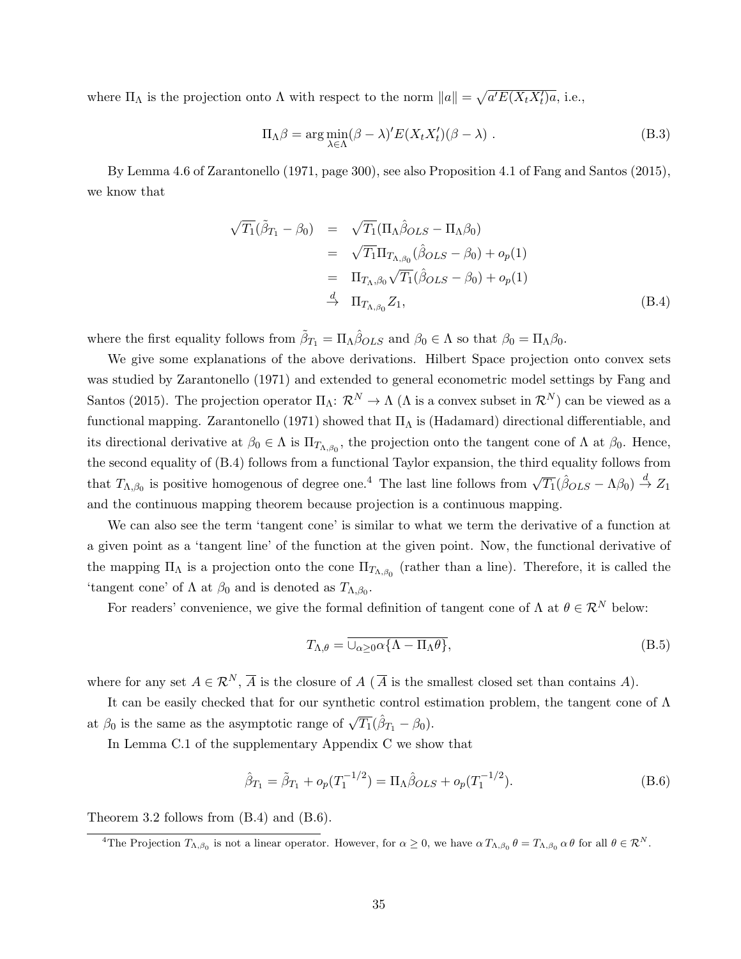where  $\Pi_{\Lambda}$  is the projection onto  $\Lambda$  with respect to the norm  $||a|| = \sqrt{a'E(X_tX_t')a}$ , i.e.,

$$
\Pi_{\Lambda}\beta = \arg\min_{\lambda \in \Lambda} (\beta - \lambda)' E(X_t X_t') (\beta - \lambda) .
$$
 (B.3)

By Lemma 4.6 of Zarantonello (1971, page 300), see also Proposition 4.1 of Fang and Santos (2015), we know that

$$
\sqrt{T_1}(\tilde{\beta}_{T_1} - \beta_0) = \sqrt{T_1}(\Pi_{\Lambda}\hat{\beta}_{OLS} - \Pi_{\Lambda}\beta_0)
$$
  
\n
$$
= \sqrt{T_1}\Pi_{T_{\Lambda,\beta_0}}(\hat{\beta}_{OLS} - \beta_0) + o_p(1)
$$
  
\n
$$
= \Pi_{T_{\Lambda,\beta_0}}\sqrt{T_1}(\hat{\beta}_{OLS} - \beta_0) + o_p(1)
$$
  
\n
$$
\xrightarrow{d} \Pi_{T_{\Lambda,\beta_0}}Z_1, \tag{B.4}
$$

where the first equality follows from  $\tilde{\beta}_{T_1} = \Pi_{\Lambda} \hat{\beta}_{OLS}$  and  $\beta_0 \in \Lambda$  so that  $\beta_0 = \Pi_{\Lambda} \beta_0$ .

We give some explanations of the above derivations. Hilbert Space projection onto convex sets was studied by Zarantonello (1971) and extended to general econometric model settings by Fang and Santos (2015). The projection operator  $\Pi_{\Lambda}: \mathcal{R}^N \to \Lambda$  ( $\Lambda$  is a convex subset in  $\mathcal{R}^N$ ) can be viewed as a functional mapping. Zarantonello (1971) showed that  $\Pi_{\Lambda}$  is (Hadamard) directional differentiable, and its directional derivative at  $\beta_0 \in \Lambda$  is  $\Pi_{T_{\Lambda,\beta_0}}$ , the projection onto the tangent cone of  $\Lambda$  at  $\beta_0$ . Hence, the second equality of (B.4) follows from a functional Taylor expansion, the third equality follows from that  $T_{\Lambda,\beta_0}$  is positive homogenous of degree one.<sup>4</sup> The last line follows from  $\sqrt{T_1}(\hat{\beta}O_{LS} - \Lambda\beta_0) \stackrel{d}{\rightarrow} Z_1$ and the continuous mapping theorem because projection is a continuous mapping.

We can also see the term 'tangent cone' is similar to what we term the derivative of a function at a given point as a 'tangent line' of the function at the given point. Now, the functional derivative of the mapping  $\Pi_{\Lambda}$  is a projection onto the cone  $\Pi_{T_{\Lambda,\beta_0}}$  (rather than a line). Therefore, it is called the 'tangent cone' of  $\Lambda$  at  $\beta_0$  and is denoted as  $T_{\Lambda,\beta_0}$ .

For readers' convenience, we give the formal definition of tangent cone of  $\Lambda$  at  $\theta \in \mathcal{R}^N$  below:

$$
T_{\Lambda,\theta} = \overline{\cup_{\alpha \ge 0} \alpha \{ \Lambda - \Pi_{\Lambda} \theta \}},
$$
\n(B.5)

where for any set  $A \in \mathcal{R}^N$ ,  $\overline{A}$  is the closure of A ( $\overline{A}$  is the smallest closed set than contains A).

It can be easily checked that for our synthetic control estimation problem, the tangent cone of Λ at  $\beta_0$  is the same as the asymptotic range of  $\sqrt{T_1}(\hat{\beta}_{T_1} - \beta_0)$ .

In Lemma C.1 of the supplementary Appendix C we show that

$$
\hat{\beta}_{T_1} = \tilde{\beta}_{T_1} + o_p(T_1^{-1/2}) = \Pi_\Lambda \hat{\beta}_{OLS} + o_p(T_1^{-1/2}).
$$
\n(B.6)

Theorem 3.2 follows from (B.4) and (B.6).

<sup>&</sup>lt;sup>4</sup>The Projection  $T_{\Lambda,\beta_0}$  is not a linear operator. However, for  $\alpha \geq 0$ , we have  $\alpha T_{\Lambda,\beta_0}$   $\theta = T_{\Lambda,\beta_0}$   $\alpha \theta$  for all  $\theta \in \mathcal{R}^N$ .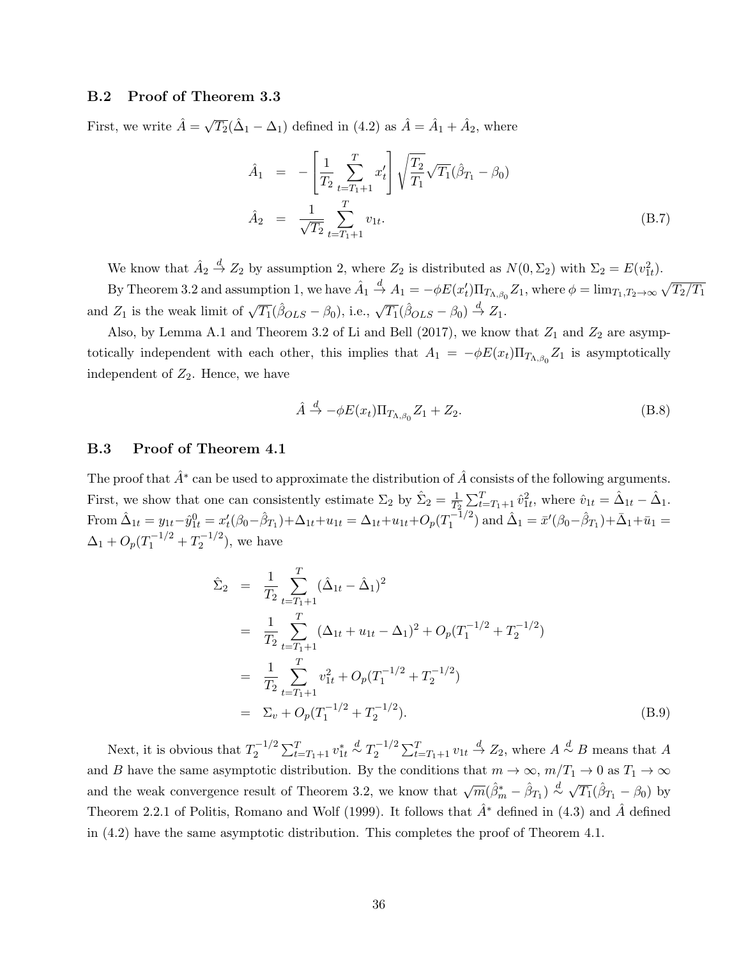#### B.2 Proof of Theorem 3.3

First, we write  $\hat{A} = \sqrt{T_2}(\hat{\Delta}_1 - \Delta_1)$  defined in (4.2) as  $\hat{A} = \hat{A}_1 + \hat{A}_2$ , where

$$
\hat{A}_1 = -\left[\frac{1}{T_2} \sum_{t=T_1+1}^T x_t'\right] \sqrt{\frac{T_2}{T_1}} \sqrt{T_1} (\hat{\beta}_{T_1} - \beta_0)
$$
\n
$$
\hat{A}_2 = \frac{1}{\sqrt{T_2}} \sum_{t=T_1+1}^T v_{1t}.
$$
\n(B.7)

We know that  $\hat{A}_2 \stackrel{d}{\rightarrow} Z_2$  by assumption 2, where  $Z_2$  is distributed as  $N(0, \Sigma_2)$  with  $\Sigma_2 = E(v_{1t}^2)$ .

By Theorem 3.2 and assumption 1, we have  $\hat{A}_1 \stackrel{d}{\to} A_1 = -\phi E(x_t') \Pi_{T_{\Lambda,\beta_0}} Z_1$ , where  $\phi = \lim_{T_1,T_2 \to \infty} \sqrt{T_2/T_1}$ and  $Z_1$  is the weak limit of  $\sqrt{T_1}(\hat{\beta}_{OLS} - \beta_0)$ , i.e.,  $\sqrt{T_1}(\hat{\beta}_{OLS} - \beta_0) \stackrel{d}{\rightarrow} Z_1$ .

Also, by Lemma A.1 and Theorem 3.2 of Li and Bell (2017), we know that  $Z_1$  and  $Z_2$  are asymptotically independent with each other, this implies that  $A_1 = -\phi E(x_t) \Pi_{T_{\Lambda,\beta_0}} Z_1$  is asymptotically independent of  $Z_2$ . Hence, we have

$$
\hat{A} \stackrel{d}{\to} -\phi E(x_t) \Pi_{T_{\Lambda,\beta_0}} Z_1 + Z_2. \tag{B.8}
$$

#### B.3 Proof of Theorem 4.1

The proof that  $\hat{A}^*$  can be used to approximate the distribution of  $\hat{A}$  consists of the following arguments. First, we show that one can consistently estimate  $\Sigma_2$  by  $\hat{\Sigma}_2 = \frac{1}{T}$  $\frac{1}{T_2} \sum_{t=T_1+1}^{T} \hat{v}_{1t}^2$ , where  $\hat{v}_{1t} = \hat{\Delta}_{1t} - \hat{\Delta}_{1}$ . From  $\hat{\Delta}_{1t} = y_{1t} - \hat{y}_{1t}^0 = x_t'(\beta_0 - \hat{\beta}_{T_1}) + \Delta_{1t} + u_{1t} = \Delta_{1t} + u_{1t} + O_p(T_1^{-1/2})$  $\hat{\Lambda}_1^{-1/2}$  and  $\hat{\Delta}_1 = \bar{x}'(\beta_0 - \hat{\beta}_{T_1}) + \bar{\Delta}_1 + \bar{u}_1 =$  $\Delta_1 + O_p(T_1^{-1/2} + T_2^{-1/2})$  $\binom{2}{2}$ , we have

$$
\hat{\Sigma}_2 = \frac{1}{T_2} \sum_{t=T_1+1}^T (\hat{\Delta}_{1t} - \hat{\Delta}_1)^2
$$
\n
$$
= \frac{1}{T_2} \sum_{t=T_1+1}^T (\Delta_{1t} + u_{1t} - \Delta_1)^2 + O_p(T_1^{-1/2} + T_2^{-1/2})
$$
\n
$$
= \frac{1}{T_2} \sum_{t=T_1+1}^T v_{1t}^2 + O_p(T_1^{-1/2} + T_2^{-1/2})
$$
\n
$$
= \Sigma_v + O_p(T_1^{-1/2} + T_2^{-1/2}). \tag{B.9}
$$

Next, it is obvious that  $T_2^{-1/2}$  $v_2^{-1/2} \sum_{t=T_1+1}^{T} v_{1t}^* \stackrel{d}{\sim} T_2^{-1/2}$  $\frac{1}{2} \sum_{t=T_1+1}^{T} v_{1t} \stackrel{d}{\rightarrow} Z_2$ , where  $A \stackrel{d}{\sim} B$  means that A and B have the same asymptotic distribution. By the conditions that  $m \to \infty$ ,  $m/T_1 \to 0$  as  $T_1 \to \infty$ and the weak convergence result of Theorem 3.2, we know that  $\sqrt{m}(\hat{\beta}_m^* - \hat{\beta}_{T_1}) \stackrel{d}{\sim} \sqrt{T_1}(\hat{\beta}_{T_1} - \beta_0)$  by Theorem 2.2.1 of Politis, Romano and Wolf (1999). It follows that  $\hat{A}^*$  defined in (4.3) and  $\hat{A}$  defined in (4.2) have the same asymptotic distribution. This completes the proof of Theorem 4.1.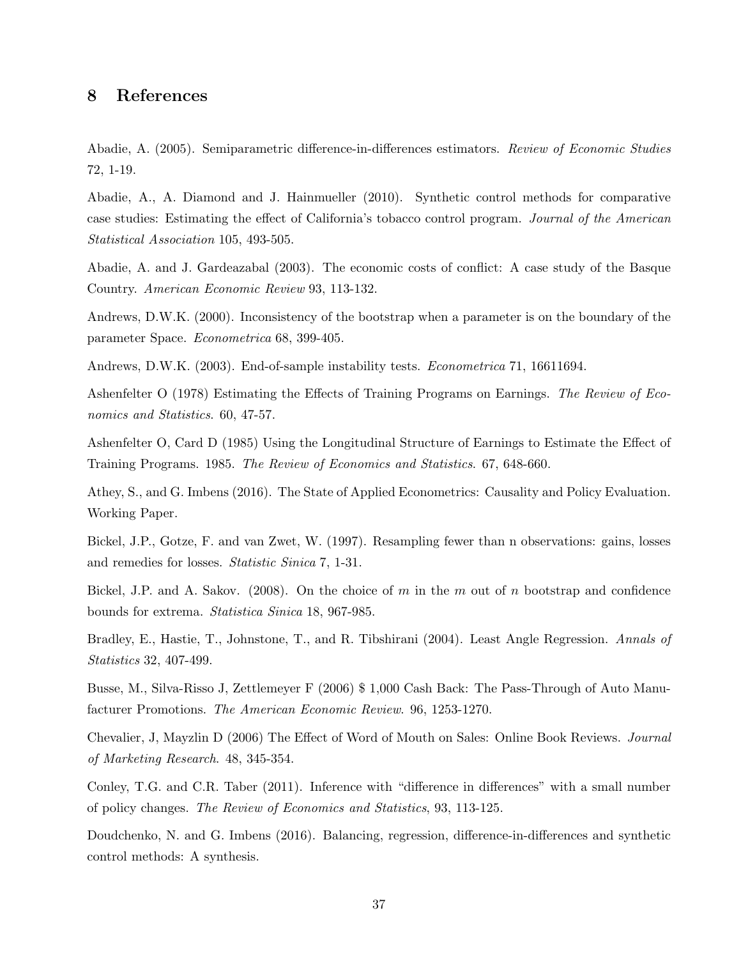## 8 References

Abadie, A. (2005). Semiparametric difference-in-differences estimators. Review of Economic Studies 72, 1-19.

Abadie, A., A. Diamond and J. Hainmueller (2010). Synthetic control methods for comparative case studies: Estimating the effect of California's tobacco control program. Journal of the American Statistical Association 105, 493-505.

Abadie, A. and J. Gardeazabal (2003). The economic costs of conflict: A case study of the Basque Country. American Economic Review 93, 113-132.

Andrews, D.W.K. (2000). Inconsistency of the bootstrap when a parameter is on the boundary of the parameter Space. Econometrica 68, 399-405.

Andrews, D.W.K. (2003). End-of-sample instability tests. Econometrica 71, 16611694.

Ashenfelter O (1978) Estimating the Effects of Training Programs on Earnings. The Review of Economics and Statistics. 60, 47-57.

Ashenfelter O, Card D (1985) Using the Longitudinal Structure of Earnings to Estimate the Effect of Training Programs. 1985. The Review of Economics and Statistics. 67, 648-660.

Athey, S., and G. Imbens (2016). The State of Applied Econometrics: Causality and Policy Evaluation. Working Paper.

Bickel, J.P., Gotze, F. and van Zwet, W. (1997). Resampling fewer than n observations: gains, losses and remedies for losses. Statistic Sinica 7, 1-31.

Bickel, J.P. and A. Sakov. (2008). On the choice of  $m$  in the  $m$  out of  $n$  bootstrap and confidence bounds for extrema. Statistica Sinica 18, 967-985.

Bradley, E., Hastie, T., Johnstone, T., and R. Tibshirani (2004). Least Angle Regression. Annals of Statistics 32, 407-499.

Busse, M., Silva-Risso J, Zettlemeyer F (2006) \$ 1,000 Cash Back: The Pass-Through of Auto Manufacturer Promotions. The American Economic Review. 96, 1253-1270.

Chevalier, J, Mayzlin D (2006) The Effect of Word of Mouth on Sales: Online Book Reviews. Journal of Marketing Research. 48, 345-354.

Conley, T.G. and C.R. Taber (2011). Inference with "difference in differences" with a small number of policy changes. The Review of Economics and Statistics, 93, 113-125.

Doudchenko, N. and G. Imbens (2016). Balancing, regression, difference-in-differences and synthetic control methods: A synthesis.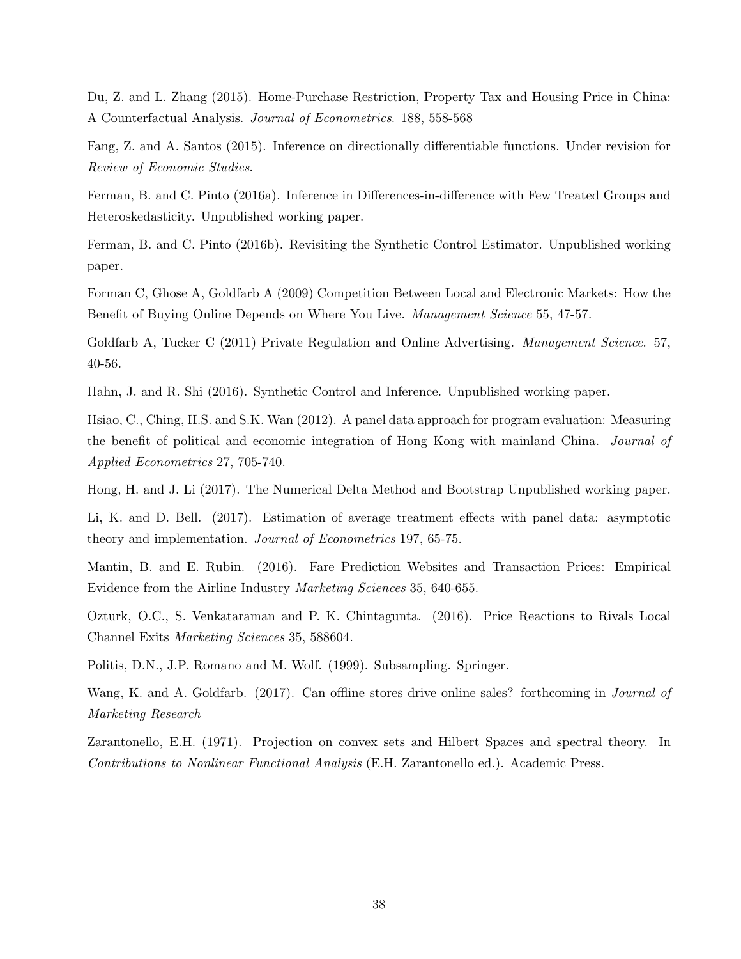Du, Z. and L. Zhang (2015). Home-Purchase Restriction, Property Tax and Housing Price in China: A Counterfactual Analysis. Journal of Econometrics. 188, 558-568

Fang, Z. and A. Santos (2015). Inference on directionally differentiable functions. Under revision for Review of Economic Studies.

Ferman, B. and C. Pinto (2016a). Inference in Differences-in-difference with Few Treated Groups and Heteroskedasticity. Unpublished working paper.

Ferman, B. and C. Pinto (2016b). Revisiting the Synthetic Control Estimator. Unpublished working paper.

Forman C, Ghose A, Goldfarb A (2009) Competition Between Local and Electronic Markets: How the Benefit of Buying Online Depends on Where You Live. Management Science 55, 47-57.

Goldfarb A, Tucker C (2011) Private Regulation and Online Advertising. *Management Science.* 57, 40-56.

Hahn, J. and R. Shi (2016). Synthetic Control and Inference. Unpublished working paper.

Hsiao, C., Ching, H.S. and S.K. Wan (2012). A panel data approach for program evaluation: Measuring the benefit of political and economic integration of Hong Kong with mainland China. Journal of Applied Econometrics 27, 705-740.

Hong, H. and J. Li (2017). The Numerical Delta Method and Bootstrap Unpublished working paper.

Li, K. and D. Bell. (2017). Estimation of average treatment effects with panel data: asymptotic theory and implementation. Journal of Econometrics 197, 65-75.

Mantin, B. and E. Rubin. (2016). Fare Prediction Websites and Transaction Prices: Empirical Evidence from the Airline Industry Marketing Sciences 35, 640-655.

Ozturk, O.C., S. Venkataraman and P. K. Chintagunta. (2016). Price Reactions to Rivals Local Channel Exits Marketing Sciences 35, 588604.

Politis, D.N., J.P. Romano and M. Wolf. (1999). Subsampling. Springer.

Wang, K. and A. Goldfarb. (2017). Can offline stores drive online sales? forthcoming in *Journal of* Marketing Research

Zarantonello, E.H. (1971). Projection on convex sets and Hilbert Spaces and spectral theory. In Contributions to Nonlinear Functional Analysis (E.H. Zarantonello ed.). Academic Press.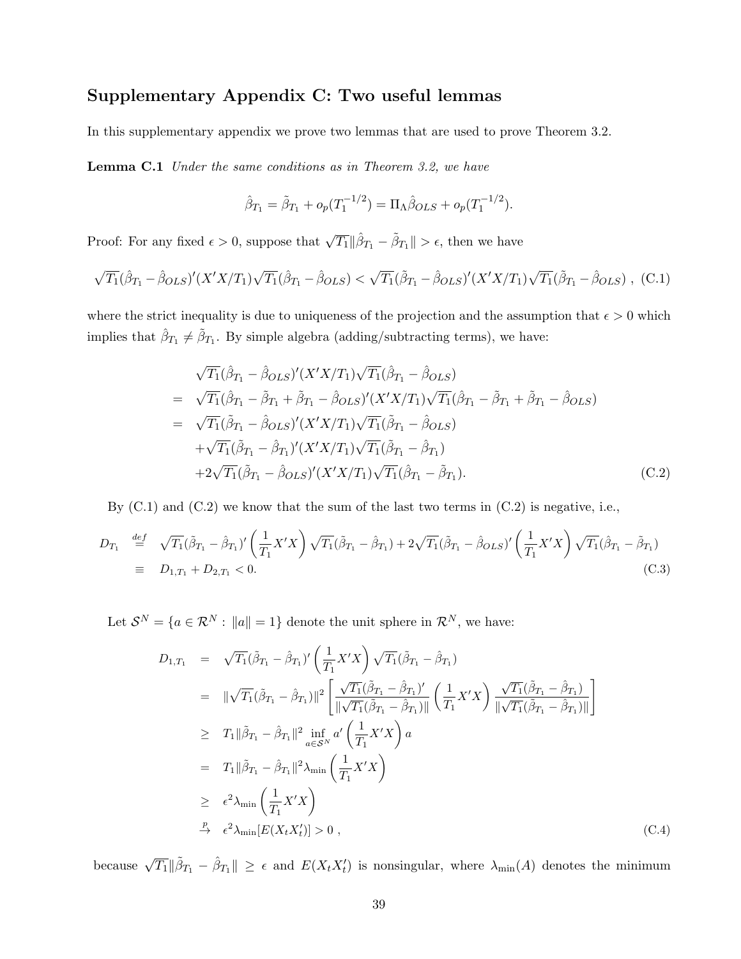## Supplementary Appendix C: Two useful lemmas

In this supplementary appendix we prove two lemmas that are used to prove Theorem 3.2.

**Lemma C.1** Under the same conditions as in Theorem 3.2, we have

$$
\hat{\beta}_{T_1} = \tilde{\beta}_{T_1} + o_p(T_1^{-1/2}) = \Pi_\Lambda \hat{\beta}_{OLS} + o_p(T_1^{-1/2}).
$$

Proof: For any fixed  $\epsilon > 0$ , suppose that  $\sqrt{T_1} \|\hat{\beta}_{T_1} - \tilde{\beta}_{T_1}\| > \epsilon$ , then we have

$$
\sqrt{T_1}(\hat{\beta}_{T_1} - \hat{\beta}_{OLS})'(X'X/T_1)\sqrt{T_1}(\hat{\beta}_{T_1} - \hat{\beta}_{OLS}) < \sqrt{T_1}(\tilde{\beta}_{T_1} - \hat{\beta}_{OLS})'(X'X/T_1)\sqrt{T_1}(\tilde{\beta}_{T_1} - \hat{\beta}_{OLS}), \quad (C.1)
$$

where the strict inequality is due to uniqueness of the projection and the assumption that  $\epsilon > 0$  which implies that  $\hat{\beta}_{T_1} \neq \tilde{\beta}_{T_1}$ . By simple algebra (adding/subtracting terms), we have:

$$
\sqrt{T_1}(\hat{\beta}_{T_1} - \hat{\beta}_{OLS})'(X'X/T_1)\sqrt{T_1}(\hat{\beta}_{T_1} - \hat{\beta}_{OLS})
$$
  
\n
$$
= \sqrt{T_1}(\hat{\beta}_{T_1} - \tilde{\beta}_{T_1} + \tilde{\beta}_{T_1} - \hat{\beta}_{OLS})'(X'X/T_1)\sqrt{T_1}(\hat{\beta}_{T_1} - \tilde{\beta}_{T_1} + \tilde{\beta}_{T_1} - \hat{\beta}_{OLS})
$$
  
\n
$$
= \sqrt{T_1}(\tilde{\beta}_{T_1} - \hat{\beta}_{OLS})'(X'X/T_1)\sqrt{T_1}(\tilde{\beta}_{T_1} - \hat{\beta}_{OLS})
$$
  
\n
$$
+ \sqrt{T_1}(\tilde{\beta}_{T_1} - \hat{\beta}_{T_1})'(X'X/T_1)\sqrt{T_1}(\tilde{\beta}_{T_1} - \hat{\beta}_{T_1})
$$
  
\n
$$
+ 2\sqrt{T_1}(\tilde{\beta}_{T_1} - \hat{\beta}_{OLS})'(X'X/T_1)\sqrt{T_1}(\hat{\beta}_{T_1} - \tilde{\beta}_{T_1}).
$$
 (C.2)

By  $(C.1)$  and  $(C.2)$  we know that the sum of the last two terms in  $(C.2)$  is negative, i.e.,

$$
D_{T_1} \stackrel{\text{def}}{=} \sqrt{T_1} (\tilde{\beta}_{T_1} - \hat{\beta}_{T_1})' \left(\frac{1}{T_1} X' X\right) \sqrt{T_1} (\tilde{\beta}_{T_1} - \hat{\beta}_{T_1}) + 2\sqrt{T_1} (\tilde{\beta}_{T_1} - \hat{\beta}_{OLS})' \left(\frac{1}{T_1} X' X\right) \sqrt{T_1} (\hat{\beta}_{T_1} - \tilde{\beta}_{T_1})
$$
  
\n
$$
\equiv D_{1,T_1} + D_{2,T_1} < 0. \tag{C.3}
$$

Let  $\mathcal{S}^N = \{a \in \mathcal{R}^N : ||a|| = 1\}$  denote the unit sphere in  $\mathcal{R}^N$ , we have:

$$
D_{1,T_1} = \sqrt{T_1}(\tilde{\beta}_{T_1} - \hat{\beta}_{T_1})' \left(\frac{1}{T_1}X'X\right) \sqrt{T_1}(\tilde{\beta}_{T_1} - \hat{\beta}_{T_1})
$$
  
\n
$$
= \|\sqrt{T_1}(\tilde{\beta}_{T_1} - \hat{\beta}_{T_1})\|^2 \left[\frac{\sqrt{T_1}(\tilde{\beta}_{T_1} - \hat{\beta}_{T_1})'}{\|\sqrt{T_1}(\tilde{\beta}_{T_1} - \hat{\beta}_{T_1})\|} \left(\frac{1}{T_1}X'X\right) \frac{\sqrt{T_1}(\tilde{\beta}_{T_1} - \hat{\beta}_{T_1})}{\|\sqrt{T_1}(\tilde{\beta}_{T_1} - \hat{\beta}_{T_1})\|}\right]
$$
  
\n
$$
\geq T_1 \|\tilde{\beta}_{T_1} - \hat{\beta}_{T_1}\|^2 \inf_{a \in \mathcal{S}^N} a' \left(\frac{1}{T_1}X'X\right) a
$$
  
\n
$$
= T_1 \|\tilde{\beta}_{T_1} - \hat{\beta}_{T_1}\|^2 \lambda_{\min} \left(\frac{1}{T_1}X'X\right)
$$
  
\n
$$
\geq \epsilon^2 \lambda_{\min} \left(\frac{1}{T_1}X'X\right)
$$
  
\n
$$
\stackrel{p}{\to} \epsilon^2 \lambda_{\min} [E(X_tX_t')] > 0 , \tag{C.4}
$$

because  $\sqrt{T_1} \|\tilde{\beta}_{T_1} - \hat{\beta}_{T_1}\| \geq \epsilon$  and  $E(X_t X_t')$  is nonsingular, where  $\lambda_{\min}(A)$  denotes the minimum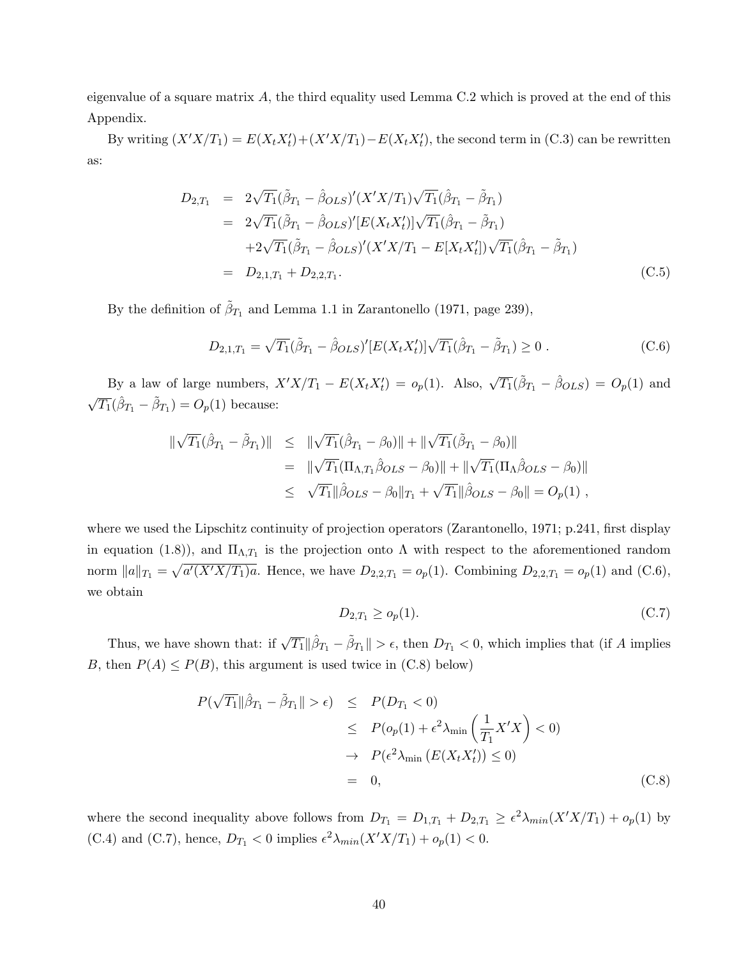eigenvalue of a square matrix  $A$ , the third equality used Lemma C.2 which is proved at the end of this Appendix.

By writing  $(X'X/T_1) = E(X_tX_t') + (X'X/T_1) - E(X_tX_t')$ , the second term in (C.3) can be rewritten as:

$$
D_{2,T_1} = 2\sqrt{T_1}(\tilde{\beta}_{T_1} - \hat{\beta}_{OLS})'(X'X/T_1)\sqrt{T_1}(\hat{\beta}_{T_1} - \tilde{\beta}_{T_1})
$$
  
\n
$$
= 2\sqrt{T_1}(\tilde{\beta}_{T_1} - \hat{\beta}_{OLS})'[E(X_tX_t')]\sqrt{T_1}(\hat{\beta}_{T_1} - \tilde{\beta}_{T_1})
$$
  
\n
$$
+2\sqrt{T_1}(\tilde{\beta}_{T_1} - \hat{\beta}_{OLS})'(X'X/T_1 - E[X_tX_t'])\sqrt{T_1}(\hat{\beta}_{T_1} - \tilde{\beta}_{T_1})
$$
  
\n
$$
= D_{2,1,T_1} + D_{2,2,T_1}. \qquad (C.5)
$$

By the definition of  $\tilde{\beta}_{T_1}$  and Lemma 1.1 in Zarantonello (1971, page 239),

$$
D_{2,1,T_1} = \sqrt{T_1} (\tilde{\beta}_{T_1} - \hat{\beta}_{OLS})' [E(X_t X_t')] \sqrt{T_1} (\hat{\beta}_{T_1} - \tilde{\beta}_{T_1}) \ge 0.
$$
 (C.6)

By a law of large numbers,  $X'X/T_1 - E(X_tX_t') = o_p(1)$ . Also,  $\sqrt{T_1}(\tilde{\beta}_{T_1} - \hat{\beta}_{OLS}) = O_p(1)$  and  $\sqrt{T_1}(\hat{\beta}_{T_1} - \tilde{\beta}_{T_1}) = O_p(1)$  because:

$$
\begin{array}{rcl}\n\|\sqrt{T_1}(\hat{\beta}_{T_1} - \tilde{\beta}_{T_1})\| & \leq & \|\sqrt{T_1}(\hat{\beta}_{T_1} - \beta_0)\| + \|\sqrt{T_1}(\tilde{\beta}_{T_1} - \beta_0)\| \\
& = & \|\sqrt{T_1}(\Pi_{\Lambda, T_1} \hat{\beta}_{OLS} - \beta_0)\| + \|\sqrt{T_1}(\Pi_{\Lambda} \hat{\beta}_{OLS} - \beta_0)\| \\
& \leq & \sqrt{T_1}\|\hat{\beta}_{OLS} - \beta_0\|_{T_1} + \sqrt{T_1}\|\hat{\beta}_{OLS} - \beta_0\| = O_p(1)\n\end{array},
$$

where we used the Lipschitz continuity of projection operators (Zarantonello, 1971; p.241, first display in equation (1.8)), and  $\Pi_{\Lambda,T_1}$  is the projection onto  $\Lambda$  with respect to the aforementioned random norm  $||a||_{T_1} = \sqrt{a'(X'X/T_1)a}$ . Hence, we have  $D_{2,2,T_1} = o_p(1)$ . Combining  $D_{2,2,T_1} = o_p(1)$  and (C.6), we obtain

$$
D_{2,T_1} \ge o_p(1). \tag{C.7}
$$

Thus, we have shown that: if  $\sqrt{T_1} \|\hat{\beta}_{T_1} - \tilde{\beta}_{T_1}\| > \epsilon$ , then  $D_{T_1} < 0$ , which implies that (if A implies B, then  $P(A) \leq P(B)$ , this argument is used twice in (C.8) below)

$$
P(\sqrt{T_1} \|\hat{\beta}_{T_1} - \tilde{\beta}_{T_1}\| > \epsilon) \le P(D_{T_1} < 0)
$$
  
\n
$$
\le P(o_p(1) + \epsilon^2 \lambda_{\min} \left(\frac{1}{T_1} X'X\right) < 0)
$$
  
\n
$$
\to P(\epsilon^2 \lambda_{\min} (E(X_t X_t')) \le 0)
$$
  
\n
$$
= 0,
$$
 (C.8)

where the second inequality above follows from  $D_{T_1} = D_{1,T_1} + D_{2,T_1} \geq \epsilon^2 \lambda_{min}(X'X/T_1) + o_p(1)$  by (C.4) and (C.7), hence,  $D_{T_1} < 0$  implies  $\epsilon^2 \lambda_{min}(X'X/T_1) + o_p(1) < 0$ .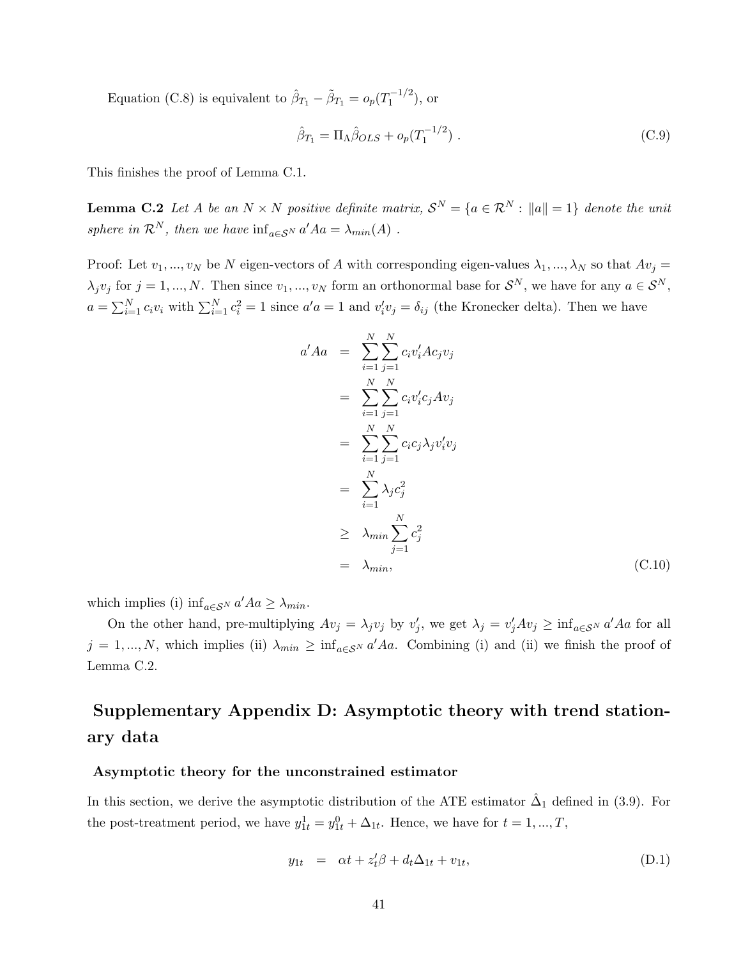Equation (C.8) is equivalent to  $\hat{\beta}_{T_1} - \tilde{\beta}_{T_1} = o_p(T_1^{-1/2})$  $j_1^{-1/2}$ ), or

$$
\hat{\beta}_{T_1} = \Pi_{\Lambda} \hat{\beta}_{OLS} + o_p(T_1^{-1/2}) \ . \tag{C.9}
$$

This finishes the proof of Lemma C.1.

**Lemma C.2** Let A be an  $N \times N$  positive definite matrix,  $\mathcal{S}^N = \{a \in \mathcal{R}^N : ||a|| = 1\}$  denote the unit sphere in  $\mathcal{R}^N$ , then we have  $\inf_{a \in \mathcal{S}^N} a' A a = \lambda_{min}(A)$ .

Proof: Let  $v_1, ..., v_N$  be N eigen-vectors of A with corresponding eigen-values  $\lambda_1, ..., \lambda_N$  so that  $Av_j =$  $\lambda_j v_j$  for  $j = 1, ..., N$ . Then since  $v_1, ..., v_N$  form an orthonormal base for  $S^N$ , we have for any  $a \in S^N$ ,  $a = \sum_{i=1}^{N} c_i v_i$  with  $\sum_{i=1}^{N} c_i^2 = 1$  since  $a'a = 1$  and  $v'_i v_j = \delta_{ij}$  (the Kronecker delta). Then we have

$$
a' A a = \sum_{i=1}^{N} \sum_{j=1}^{N} c_i v_i' A c_j v_j
$$
  
\n
$$
= \sum_{i=1}^{N} \sum_{j=1}^{N} c_i v_i' c_j A v_j
$$
  
\n
$$
= \sum_{i=1}^{N} \sum_{j=1}^{N} c_i c_j \lambda_j v_i' v_j
$$
  
\n
$$
= \sum_{i=1}^{N} \lambda_j c_j^2
$$
  
\n
$$
\geq \lambda_{min} \sum_{j=1}^{N} c_j^2
$$
  
\n
$$
= \lambda_{min}, \qquad (C.10)
$$

which implies (i)  $\inf_{a \in \mathcal{S}^N} a' A a \geq \lambda_{min}$ .

On the other hand, pre-multiplying  $Av_j = \lambda_j v_j$  by  $v'_j$ , we get  $\lambda_j = v'_j Av_j \ge \inf_{a \in \mathcal{S}^N} a' A a$  for all  $j = 1, ..., N$ , which implies (ii)  $\lambda_{min} \ge \inf_{a \in S^N} a' A a$ . Combining (i) and (ii) we finish the proof of Lemma C.2.

## Supplementary Appendix D: Asymptotic theory with trend stationary data

#### Asymptotic theory for the unconstrained estimator

In this section, we derive the asymptotic distribution of the ATE estimator  $\hat{\Delta}_1$  defined in (3.9). For the post-treatment period, we have  $y_{1t}^1 = y_{1t}^0 + \Delta_{1t}$ . Hence, we have for  $t = 1, ..., T$ ,

$$
y_{1t} = \alpha t + z_t' \beta + d_t \Delta_{1t} + v_{1t}, \tag{D.1}
$$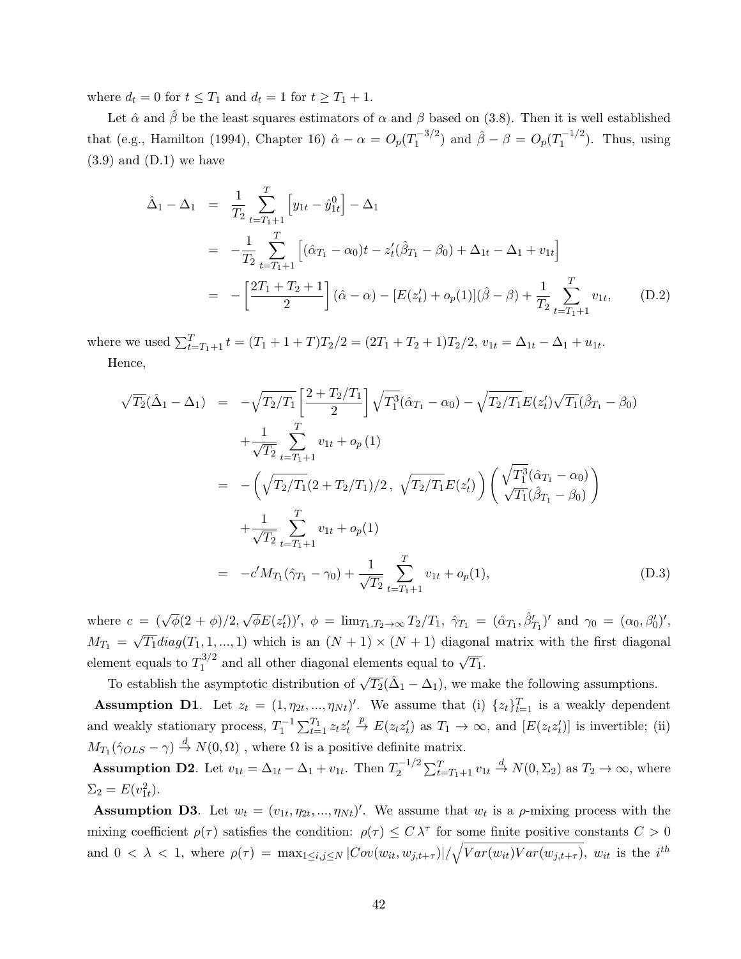where  $d_t = 0$  for  $t \leq T_1$  and  $d_t = 1$  for  $t \geq T_1 + 1$ .

Let  $\hat{\alpha}$  and  $\hat{\beta}$  be the least squares estimators of  $\alpha$  and  $\beta$  based on (3.8). Then it is well established that (e.g., Hamilton (1994), Chapter 16)  $\hat{\alpha} - \alpha = O_p(T_1^{-3/2})$  $\int_{1}^{\pi-3/2}$  and  $\hat{\beta} - \beta = O_p(T_1^{-1/2})$  $\binom{1}{1}$ . Thus, using  $(3.9)$  and  $(D.1)$  we have

$$
\hat{\Delta}_1 - \Delta_1 = \frac{1}{T_2} \sum_{t=T_1+1}^T \left[ y_{1t} - \hat{y}_{1t}^0 \right] - \Delta_1
$$
\n
$$
= -\frac{1}{T_2} \sum_{t=T_1+1}^T \left[ (\hat{\alpha}_{T_1} - \alpha_0)t - z_t'(\hat{\beta}_{T_1} - \beta_0) + \Delta_{1t} - \Delta_1 + v_{1t} \right]
$$
\n
$$
= -\left[ \frac{2T_1 + T_2 + 1}{2} \right] (\hat{\alpha} - \alpha) - \left[ E(z_t') + o_p(1) \right] (\hat{\beta} - \beta) + \frac{1}{T_2} \sum_{t=T_1+1}^T v_{1t}, \qquad (D.2)
$$

where we used  $\sum_{t=T_1+1}^{T} t = (T_1 + 1 + T)T_2/2 = (2T_1 + T_2 + 1)T_2/2$ ,  $v_{1t} = \Delta_{1t} - \Delta_1 + u_{1t}$ . Hence,

$$
\sqrt{T_2}(\hat{\Delta}_1 - \Delta_1) = -\sqrt{T_2/T_1} \left[ \frac{2 + T_2/T_1}{2} \right] \sqrt{T_1^3} (\hat{\alpha}_{T_1} - \alpha_0) - \sqrt{T_2/T_1} E(z_t') \sqrt{T_1} (\hat{\beta}_{T_1} - \beta_0)
$$
  
+ 
$$
\frac{1}{\sqrt{T_2}} \sum_{t=T_1+1}^{T} v_{1t} + o_p(1)
$$
  
= 
$$
- \left( \sqrt{T_2/T_1} (2 + T_2/T_1)/2, \sqrt{T_2/T_1} E(z_t') \right) \left( \frac{\sqrt{T_1^3} (\hat{\alpha}_{T_1} - \alpha_0)}{\sqrt{T_1} (\hat{\beta}_{T_1} - \beta_0)} \right)
$$
  
+ 
$$
\frac{1}{\sqrt{T_2}} \sum_{t=T_1+1}^{T} v_{1t} + o_p(1)
$$
  
= 
$$
-c' M_{T_1} (\hat{\gamma}_{T_1} - \gamma_0) + \frac{1}{\sqrt{T_2}} \sum_{t=T_1+1}^{T} v_{1t} + o_p(1),
$$
 (D.3)

where  $c = (\sqrt{\phi}(2 + \phi)/2,$ √  $\overline{\phi}E(z'_t)$ ',  $\phi = \lim_{T_1, T_2 \to \infty} T_2/T_1$ ,  $\hat{\gamma}_{T_1} = (\hat{\alpha}_{T_1}, \hat{\beta}'_{T_1})'$  and  $\gamma_0 = (\alpha_0, \beta'_0)'$ ,  $M_{T_1} =$ √  $\overline{T_1}diag(T_1,1,...,1)$  which is an  $(N + 1) \times (N + 1)$  diagonal matrix with the first diagonal element equals to  $T_1^{3/2}$  $\frac{1}{2}$ <sup>3/2</sup> and all other diagonal elements equal to  $\sqrt{T_1}$ .

To establish the asymptotic distribution of  $\sqrt{T_2}(\hat{\Delta}_1 - \Delta_1)$ , we make the following assumptions. **Assumption D1**. Let  $z_t = (1, \eta_{2t}, ..., \eta_{Nt})'$ . We assume that (i)  $\{z_t\}_{t=1}^T$  is a weakly dependent and weakly stationary process,  $T_1^{-1} \sum_{t=1}^{T_1} z_t z_t' \stackrel{p}{\to} E(z_t z_t')$  as  $T_1 \to \infty$ , and  $[E(z_t z_t')]$  is invertible; (ii)  $M_{T_1}(\hat{\gamma}_{OLS} - \gamma) \stackrel{d}{\rightarrow} N(0, \Omega)$ , where  $\Omega$  is a positive definite matrix.

**Assumption D2.** Let  $v_{1t} = \Delta_{1t} - \Delta_1 + v_{1t}$ . Then  $T_2^{-1/2}$  $E_2^{-1/2} \sum_{t=T_1+1}^T v_{1t} \stackrel{d}{\rightarrow} N(0, \Sigma_2)$  as  $T_2 \rightarrow \infty$ , where  $\Sigma_2 = E(v_{1t}^2).$ 

**Assumption D3**. Let  $w_t = (v_{1t}, \eta_{2t}, ..., \eta_{Nt})'$ . We assume that  $w_t$  is a  $\rho$ -mixing process with the mixing coefficient  $\rho(\tau)$  satisfies the condition:  $\rho(\tau) \leq C \lambda^{\tau}$  for some finite positive constants  $C > 0$ and  $0 < \lambda < 1$ , where  $\rho(\tau) = \max_{1 \le i,j \le N} |Cov(w_{it}, w_{j,t+\tau})| / \sqrt{Var(w_{it})Var(w_{j,t+\tau})}$ ,  $w_{it}$  is the  $i^{th}$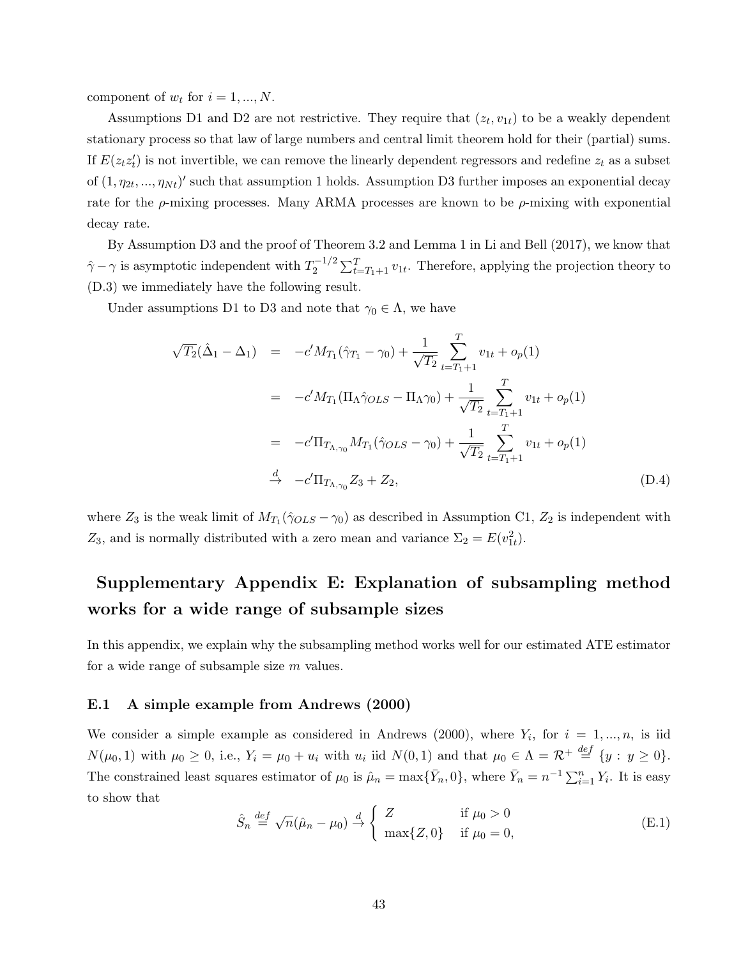component of  $w_t$  for  $i = 1, ..., N$ .

Assumptions D1 and D2 are not restrictive. They require that  $(z_t, v_{1t})$  to be a weakly dependent stationary process so that law of large numbers and central limit theorem hold for their (partial) sums. If  $E(z_t z_t')$  is not invertible, we can remove the linearly dependent regressors and redefine  $z_t$  as a subset of  $(1, \eta_{2t}, ..., \eta_{Nt})'$  such that assumption 1 holds. Assumption D3 further imposes an exponential decay rate for the  $\rho$ -mixing processes. Many ARMA processes are known to be  $\rho$ -mixing with exponential decay rate.

By Assumption D3 and the proof of Theorem 3.2 and Lemma 1 in Li and Bell (2017), we know that  $\hat{\gamma} - \gamma$  is asymptotic independent with  $T_2^{-1/2}$  $\sum_{t=T_1+1}^{T} v_{1t}$ . Therefore, applying the projection theory to (D.3) we immediately have the following result.

Under assumptions D1 to D3 and note that  $\gamma_0 \in \Lambda$ , we have

$$
\sqrt{T_2}(\hat{\Delta}_1 - \Delta_1) = -c'M_{T_1}(\hat{\gamma}_{T_1} - \gamma_0) + \frac{1}{\sqrt{T_2}} \sum_{t=T_1+1}^T v_{1t} + o_p(1)
$$
  
\n
$$
= -c'M_{T_1}(\Pi_{\Lambda}\hat{\gamma}_{OLS} - \Pi_{\Lambda}\gamma_0) + \frac{1}{\sqrt{T_2}} \sum_{t=T_1+1}^T v_{1t} + o_p(1)
$$
  
\n
$$
= -c'\Pi_{T_{\Lambda,\gamma_0}}M_{T_1}(\hat{\gamma}_{OLS} - \gamma_0) + \frac{1}{\sqrt{T_2}} \sum_{t=T_1+1}^T v_{1t} + o_p(1)
$$
  
\n
$$
\stackrel{d}{\to} -c'\Pi_{T_{\Lambda,\gamma_0}}Z_3 + Z_2,
$$
 (D.4)

where  $Z_3$  is the weak limit of  $M_{T_1}(\hat{\gamma}_{OLS} - \gamma_0)$  as described in Assumption C1,  $Z_2$  is independent with  $Z_3$ , and is normally distributed with a zero mean and variance  $\Sigma_2 = E(v_{1t}^2)$ .

## Supplementary Appendix E: Explanation of subsampling method works for a wide range of subsample sizes

In this appendix, we explain why the subsampling method works well for our estimated ATE estimator for a wide range of subsample size m values.

#### E.1 A simple example from Andrews (2000)

We consider a simple example as considered in Andrews (2000), where  $Y_i$ , for  $i = 1, ..., n$ , is iid  $N(\mu_0, 1)$  with  $\mu_0 \geq 0$ , i.e.,  $Y_i = \mu_0 + u_i$  with  $u_i$  iid  $N(0, 1)$  and that  $\mu_0 \in \Lambda = \mathcal{R}^+ \stackrel{def}{=} \{y : y \geq 0\}.$ The constrained least squares estimator of  $\mu_0$  is  $\hat{\mu}_n = \max{\{\bar{Y}_n, 0\}}$ , where  $\bar{Y}_n = n^{-1} \sum_{i=1}^n Y_i$ . It is easy to show that

$$
\hat{S}_n \stackrel{def}{=} \sqrt{n}(\hat{\mu}_n - \mu_0) \stackrel{d}{\rightarrow} \begin{cases} Z & \text{if } \mu_0 > 0 \\ \max\{Z, 0\} & \text{if } \mu_0 = 0, \end{cases}
$$
 (E.1)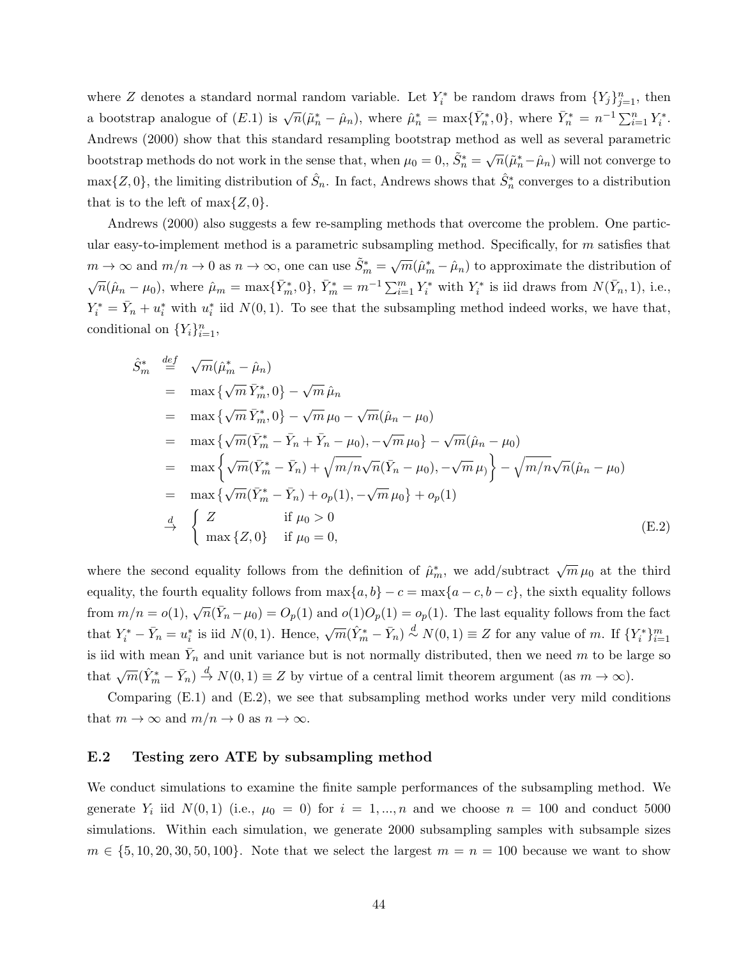where Z denotes a standard normal random variable. Let  $Y_i^*$  be random draws from  $\{Y_j\}_{j=1}^n$ , then a bootstrap analogue of  $(E.1)$  is  $\sqrt{n}(\tilde{\mu}_n^* - \hat{\mu}_n)$ , where  $\tilde{\mu}_n^* = \max{\{\bar{Y}_n^*,0\}}$ , where  $\bar{Y}_n^* = n^{-1}\sum_{i=1}^n Y_i^*$ . Andrews (2000) show that this standard resampling bootstrap method as well as several parametric bootstrap methods do not work in the sense that, when  $\mu_0 = 0,$ ,  $\tilde{S}_n^* = \sqrt{n}(\tilde{\mu}_n^* - \hat{\mu}_n)$  will not converge to  $\max\{Z,0\}$ , the limiting distribution of  $\hat{S}_n$ . In fact, Andrews shows that  $\hat{S}_n^*$  converges to a distribution that is to the left of  $\max\{Z, 0\}$ .

Andrews (2000) also suggests a few re-sampling methods that overcome the problem. One particular easy-to-implement method is a parametric subsampling method. Specifically, for  $m$  satisfies that  $m \to \infty$  and  $m/n \to 0$  as  $n \to \infty$ , one can use  $\tilde{S}_m^* = \sqrt{m}(\hat{\mu}_m^* - \hat{\mu}_n)$  to approximate the distribution of  $\sqrt{n}(\hat{\mu}_n - \mu_0)$ , where  $\hat{\mu}_m = \max{\{\bar{Y}_m^*, 0\}}$ ,  $\bar{Y}_m^* = m^{-1} \sum_{i=1}^m Y_i^*$  with  $Y_i^*$  is iid draws from  $N(\bar{Y}_n, 1)$ , i.e.,  $Y_i^* = \overline{Y}_n + u_i^*$  with  $u_i^*$  iid  $N(0, 1)$ . To see that the subsampling method indeed works, we have that, conditional on  $\{Y_i\}_{i=1}^n$ ,

$$
\hat{S}_{m}^{*} \stackrel{\text{def}}{=} \sqrt{m}(\hat{\mu}_{m}^{*} - \hat{\mu}_{n})
$$
\n
$$
= \max \{ \sqrt{m} \, \bar{Y}_{m}^{*}, 0 \} - \sqrt{m} \, \hat{\mu}_{n}
$$
\n
$$
= \max \{ \sqrt{m} \, \bar{Y}_{m}^{*}, 0 \} - \sqrt{m} \, \mu_{0} - \sqrt{m}(\hat{\mu}_{n} - \mu_{0})
$$
\n
$$
= \max \{ \sqrt{m}(\bar{Y}_{m}^{*} - \bar{Y}_{n} + \bar{Y}_{n} - \mu_{0}), -\sqrt{m} \, \mu_{0} \} - \sqrt{m}(\hat{\mu}_{n} - \mu_{0})
$$
\n
$$
= \max \{ \sqrt{m}(\bar{Y}_{m}^{*} - \bar{Y}_{n}) + \sqrt{m/n} \sqrt{n}(\bar{Y}_{n} - \mu_{0}), -\sqrt{m} \, \mu_{0} \} - \sqrt{m/n} \sqrt{n}(\hat{\mu}_{n} - \mu_{0})
$$
\n
$$
= \max \{ \sqrt{m}(\bar{Y}_{m}^{*} - \bar{Y}_{n}) + o_{p}(1), -\sqrt{m} \, \mu_{0} \} + o_{p}(1)
$$
\n
$$
\stackrel{d}{\rightarrow} \begin{cases} Z & \text{if } \mu_{0} > 0 \\ \max \{ Z, 0 \} & \text{if } \mu_{0} = 0, \end{cases} (E.2)
$$

where the second equality follows from the definition of  $\hat{\mu}_m^*$ , we add/subtract  $\sqrt{m}\mu_0$  at the third equality, the fourth equality follows from  $\max\{a, b\} - c = \max\{a - c, b - c\}$ , the sixth equality follows from  $m/n = o(1)$ ,  $\sqrt{n}(\bar{Y}_n - \mu_0) = O_p(1)$  and  $o(1)O_p(1) = o_p(1)$ . The last equality follows from the fact that  $Y_i^* - \bar{Y}_n = u_i^*$  is iid  $N(0, 1)$ . Hence,  $\sqrt{m}(\hat{Y}_m^* - \bar{Y}_n) \stackrel{d}{\sim} N(0, 1) \equiv Z$  for any value of m. If  $\{Y_i^*\}_{i=1}^m$ is iid with mean  $\bar{Y}_n$  and unit variance but is not normally distributed, then we need m to be large so that  $\sqrt{m}(\hat{Y}_m^* - \bar{Y}_n) \stackrel{d}{\rightarrow} N(0, 1) \equiv Z$  by virtue of a central limit theorem argument (as  $m \to \infty$ ).

Comparing (E.1) and (E.2), we see that subsampling method works under very mild conditions that  $m \to \infty$  and  $m/n \to 0$  as  $n \to \infty$ .

#### E.2 Testing zero ATE by subsampling method

We conduct simulations to examine the finite sample performances of the subsampling method. We generate  $Y_i$  iid  $N(0,1)$  (i.e.,  $\mu_0 = 0$ ) for  $i = 1, ..., n$  and we choose  $n = 100$  and conduct 5000 simulations. Within each simulation, we generate 2000 subsampling samples with subsample sizes  $m \in \{5, 10, 20, 30, 50, 100\}$ . Note that we select the largest  $m = n = 100$  because we want to show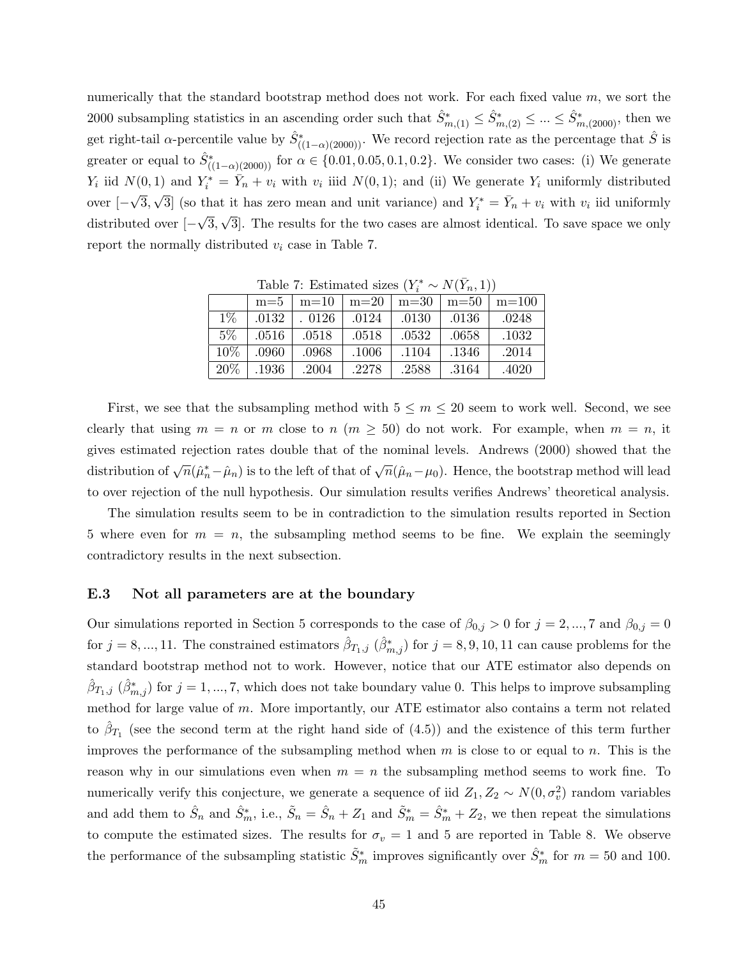numerically that the standard bootstrap method does not work. For each fixed value  $m$ , we sort the 2000 subsampling statistics in an ascending order such that  $\hat{S}_{m,(1)}^* \leq \hat{S}_{m,(2)}^* \leq ... \leq \hat{S}_{m,(2000)}^*$ , then we get right-tail  $\alpha$ -percentile value by  $\hat{S}^*_{((1-\alpha)(2000))}$ . We record rejection rate as the percentage that  $\hat{S}$  is greater or equal to  $\hat{S}^*_{((1-\alpha)(2000))}$  for  $\alpha \in \{0.01, 0.05, 0.1, 0.2\}$ . We consider two cases: (i) We generate  $Y_i$  iid  $N(0, 1)$  and  $Y_i^* = \overline{Y}_n + v_i$  with  $v_i$  iiid  $N(0, 1)$ ; and (ii) We generate  $Y_i$  uniformly distributed over [− √ 3, √ 3 (so that it has zero mean and unit variance) and  $Y_i^* = \overline{Y}_n + v_i$  with  $v_i$  iid uniformly distributed over  $[-\sqrt{3}, \sqrt{3}]$ . The results for the two cases are almost identical. To save space we only √ √ report the normally distributed  $v_i$  case in Table 7.

| $-107 - 11$ |       |        |        |        |        |         |  |  |  |
|-------------|-------|--------|--------|--------|--------|---------|--|--|--|
|             | $m=5$ | $m=10$ | $m=20$ | $m=30$ | $m=50$ | $m=100$ |  |  |  |
| $1\%$       | .0132 | .0126  | .0124  | .0130  | .0136  | .0248   |  |  |  |
| $5\%$       | .0516 | .0518  | .0518  | .0532  | .0658  | .1032   |  |  |  |
| 10\%        | .0960 | .0968  | .1006  | .1104  | .1346  | .2014   |  |  |  |
| 20%         | .1936 | .2004  | .2278  | .2588  | .3164  | .4020   |  |  |  |

Table 7: Estimated sizes  $(Y_i^* \sim N(\bar{Y}_n, 1))$ 

First, we see that the subsampling method with  $5 \le m \le 20$  seem to work well. Second, we see clearly that using  $m = n$  or m close to  $n \ (m \geq 50)$  do not work. For example, when  $m = n$ , it gives estimated rejection rates double that of the nominal levels. Andrews (2000) showed that the distribution of  $\sqrt{n}(\hat{\mu}_n^* - \hat{\mu}_n)$  is to the left of that of  $\sqrt{n}(\hat{\mu}_n - \mu_0)$ . Hence, the bootstrap method will lead to over rejection of the null hypothesis. Our simulation results verifies Andrews' theoretical analysis.

The simulation results seem to be in contradiction to the simulation results reported in Section 5 where even for  $m = n$ , the subsampling method seems to be fine. We explain the seemingly contradictory results in the next subsection.

#### E.3 Not all parameters are at the boundary

Our simulations reported in Section 5 corresponds to the case of  $\beta_{0,j} > 0$  for  $j = 2, ..., 7$  and  $\beta_{0,j} = 0$ for  $j = 8, ..., 11$ . The constrained estimators  $\hat{\beta}_{T_1,j}$   $(\hat{\beta}_{m,j}^*)$  for  $j = 8, 9, 10, 11$  can cause problems for the standard bootstrap method not to work. However, notice that our ATE estimator also depends on  $(\hat{\beta}_{T_1,j}(\hat{\beta}_{m,j}^*)$  for  $j=1,...,7$ , which does not take boundary value 0. This helps to improve subsampling method for large value of m. More importantly, our ATE estimator also contains a term not related to  $\hat{\beta}_{T_1}$  (see the second term at the right hand side of (4.5)) and the existence of this term further improves the performance of the subsampling method when  $m$  is close to or equal to  $n$ . This is the reason why in our simulations even when  $m = n$  the subsampling method seems to work fine. To numerically verify this conjecture, we generate a sequence of iid  $Z_1, Z_2 \sim N(0, \sigma_v^2)$  random variables and add them to  $\hat{S}_n$  and  $\hat{S}_m^*$ , i.e.,  $\tilde{S}_n = \hat{S}_n + Z_1$  and  $\tilde{S}_m^* = \hat{S}_m^* + Z_2$ , we then repeat the simulations to compute the estimated sizes. The results for  $\sigma_v = 1$  and 5 are reported in Table 8. We observe the performance of the subsampling statistic  $\tilde{S}_m^*$  improves significantly over  $\hat{S}_m^*$  for  $m = 50$  and 100.